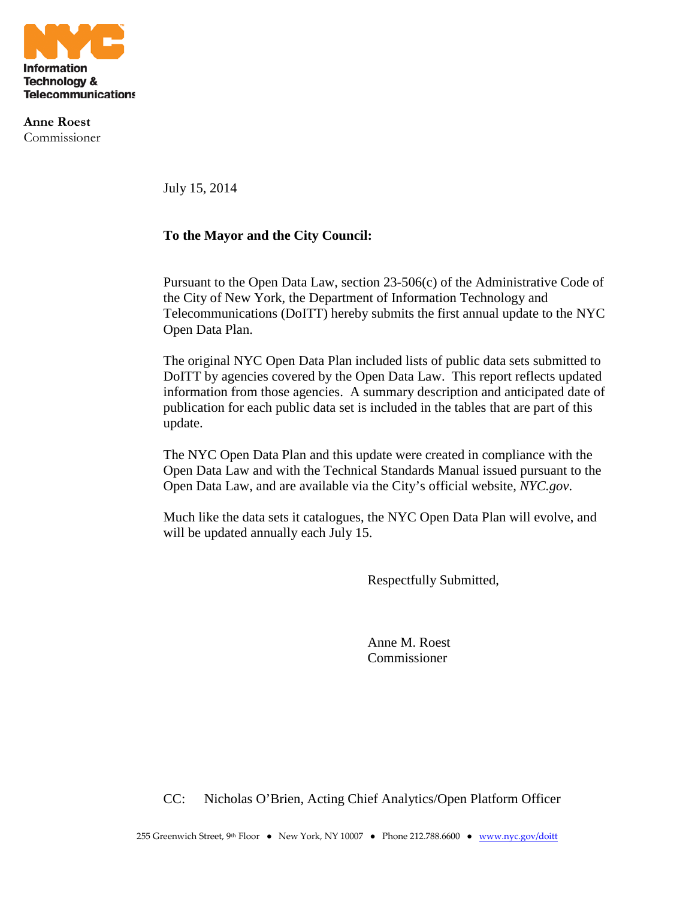

**Anne Roest** Commissioner

July 15, 2014

#### **To the Mayor and the City Council:**

Pursuant to the Open Data Law, section 23-506(c) of the Administrative Code of the City of New York, the Department of Information Technology and Telecommunications (DoITT) hereby submits the first annual update to the NYC Open Data Plan.

The original NYC Open Data Plan included lists of public data sets submitted to DoITT by agencies covered by the Open Data Law. This report reflects updated information from those agencies. A summary description and anticipated date of publication for each public data set is included in the tables that are part of this update.

The NYC Open Data Plan and this update were created in compliance with the Open Data Law and with the Technical Standards Manual issued pursuant to the Open Data Law, and are available via the City's official website, *NYC.gov*.

Much like the data sets it catalogues, the NYC Open Data Plan will evolve, and will be updated annually each July 15.

Respectfully Submitted,

Anne M. Roest Commissioner

CC: Nicholas O'Brien, Acting Chief Analytics/Open Platform Officer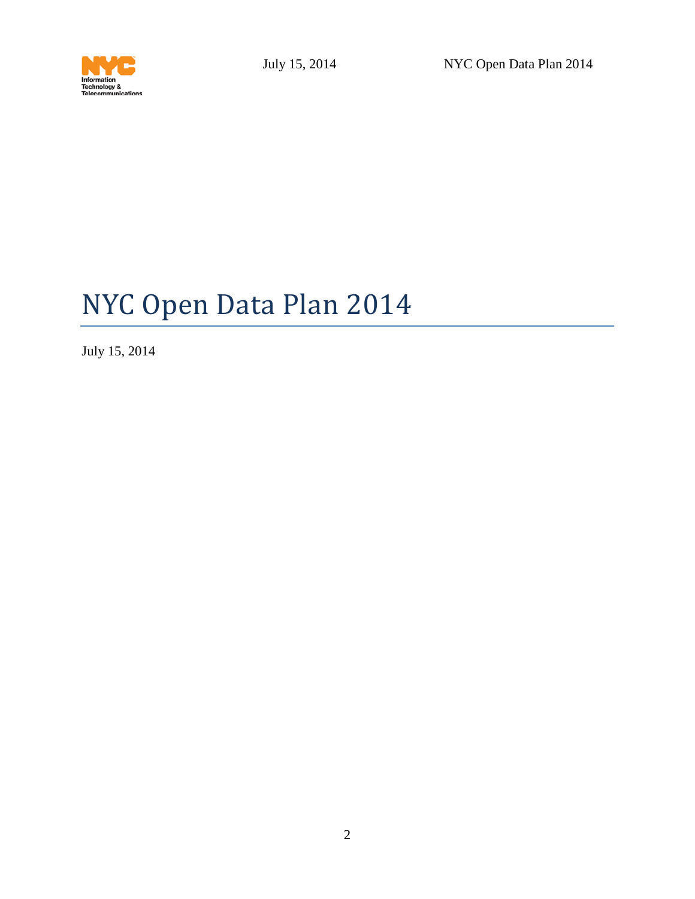

# NYC Open Data Plan 2014

July 15, 2014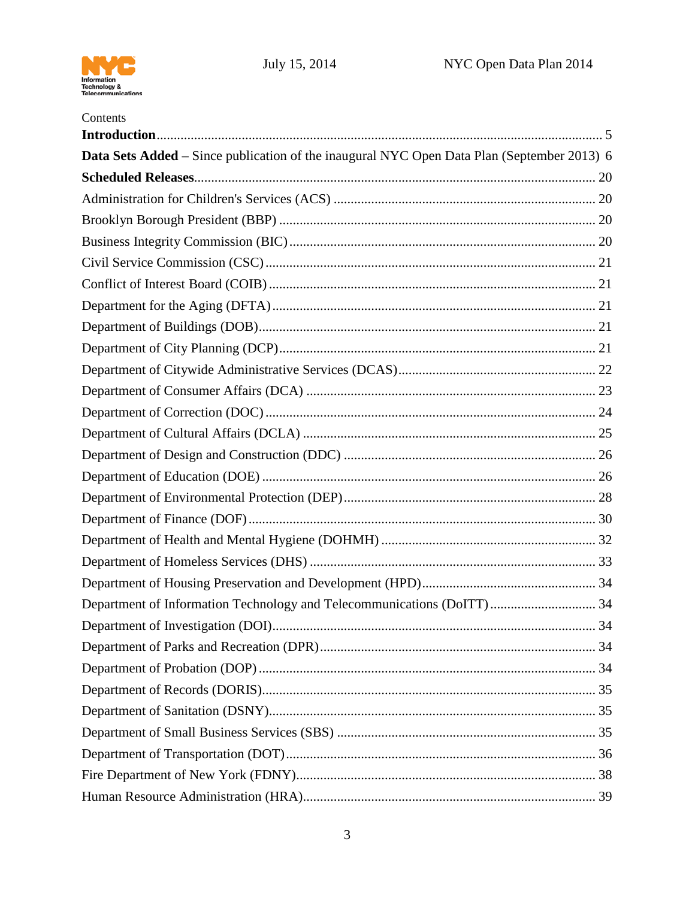

| Contents                                                                                   |  |
|--------------------------------------------------------------------------------------------|--|
| Data Sets Added - Since publication of the inaugural NYC Open Data Plan (September 2013) 6 |  |
|                                                                                            |  |
|                                                                                            |  |
|                                                                                            |  |
|                                                                                            |  |
|                                                                                            |  |
|                                                                                            |  |
|                                                                                            |  |
|                                                                                            |  |
|                                                                                            |  |
|                                                                                            |  |
|                                                                                            |  |
|                                                                                            |  |
|                                                                                            |  |
|                                                                                            |  |
|                                                                                            |  |
|                                                                                            |  |
|                                                                                            |  |
|                                                                                            |  |
|                                                                                            |  |
|                                                                                            |  |
| Department of Information Technology and Telecommunications (DoITT) 34                     |  |
|                                                                                            |  |
|                                                                                            |  |
|                                                                                            |  |
|                                                                                            |  |
|                                                                                            |  |
|                                                                                            |  |
|                                                                                            |  |
|                                                                                            |  |
|                                                                                            |  |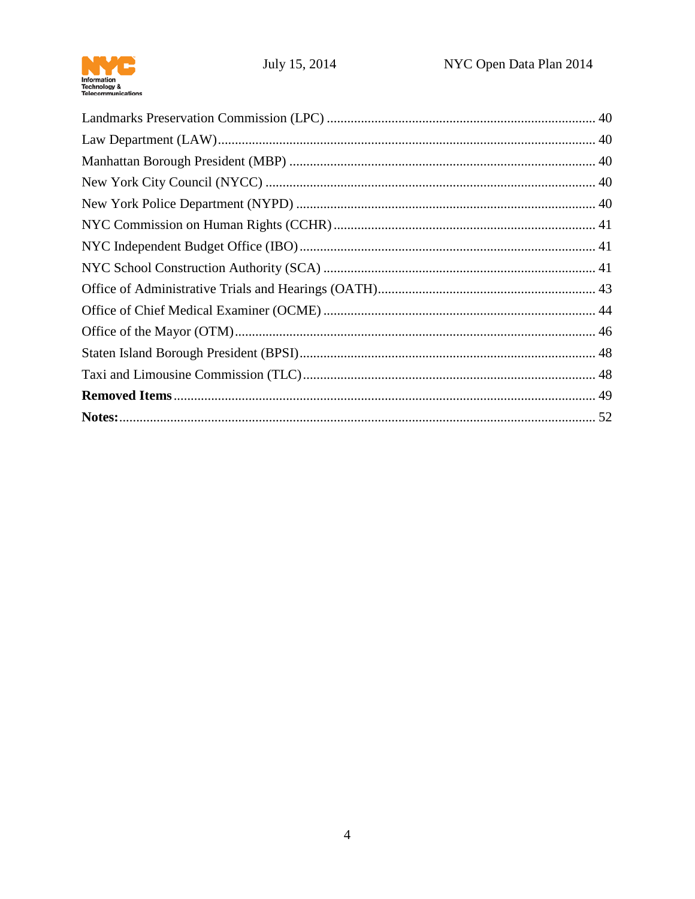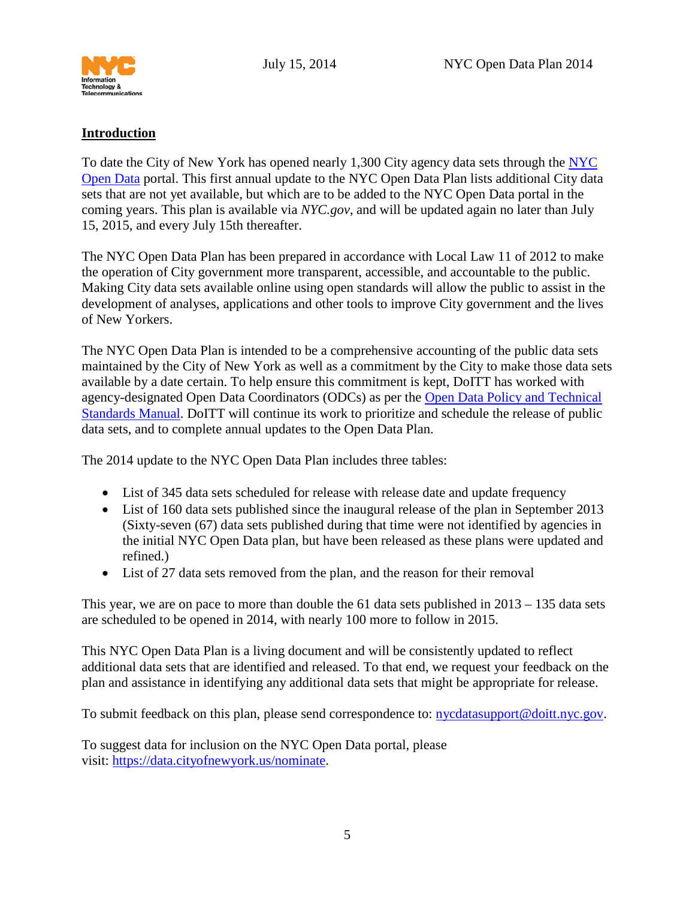

### <span id="page-4-0"></span>**Introduction**

To date the City of New York has opened nearly 1,300 City agency data sets through the [NYC](http://www.nyc.gov/data)  [Open Data](http://www.nyc.gov/data) portal. This first annual update to the NYC Open Data Plan lists additional City data sets that are not yet available, but which are to be added to the NYC Open Data portal in the coming years. This plan is available via *NYC.gov*, and will be updated again no later than July 15, 2015, and every July 15th thereafter.

The NYC Open Data Plan has been prepared in accordance with Local Law 11 of 2012 to make the operation of City government more transparent, accessible, and accountable to the public. Making City data sets available online using open standards will allow the public to assist in the development of analyses, applications and other tools to improve City government and the lives of New Yorkers.

The NYC Open Data Plan is intended to be a comprehensive accounting of the public data sets maintained by the City of New York as well as a commitment by the City to make those data sets available by a date certain. To help ensure this commitment is kept, DoITT has worked with agency-designated Open Data Coordinators (ODCs) as per the [Open Data Policy and Technical](http://www.nyc.gov/html/doitt/downloads/pdf/nyc_open_data_tsm.pdf)  [Standards Manual.](http://www.nyc.gov/html/doitt/downloads/pdf/nyc_open_data_tsm.pdf) DoITT will continue its work to prioritize and schedule the release of public data sets, and to complete annual updates to the Open Data Plan.

The 2014 update to the NYC Open Data Plan includes three tables:

- List of 345 data sets scheduled for release with release date and update frequency
- List of 160 data sets published since the inaugural release of the plan in September 2013 (Sixty-seven (67) data sets published during that time were not identified by agencies in the initial NYC Open Data plan, but have been released as these plans were updated and refined.)
- List of 27 data sets removed from the plan, and the reason for their removal

This year, we are on pace to more than double the 61 data sets published in 2013 – 135 data sets are scheduled to be opened in 2014, with nearly 100 more to follow in 2015.

This NYC Open Data Plan is a living document and will be consistently updated to reflect additional data sets that are identified and released. To that end, we request your feedback on the plan and assistance in identifying any additional data sets that might be appropriate for release.

To submit feedback on this plan, please send correspondence to: [nycdatasupport@doitt.nyc.gov.](mailto:nycdatasupport@doitt.nyc.gov)

To suggest data for inclusion on the NYC Open Data portal, please visit: [https://data.cityofnewyork.us/nominate.](https://data.cityofnewyork.us/nominate)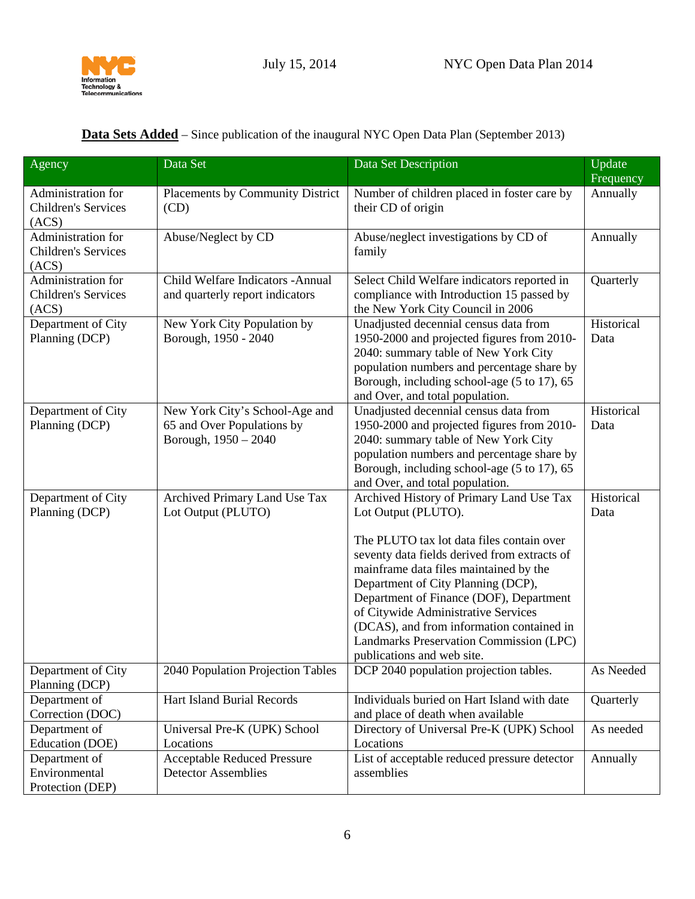

| Agency                                                    | Data Set                                                                             | Data Set Description                                                                                                                                                                                                                                                                                                                                                              | Update<br>Frequency |
|-----------------------------------------------------------|--------------------------------------------------------------------------------------|-----------------------------------------------------------------------------------------------------------------------------------------------------------------------------------------------------------------------------------------------------------------------------------------------------------------------------------------------------------------------------------|---------------------|
| Administration for<br><b>Children's Services</b><br>(ACS) | Placements by Community District<br>(CD)                                             | Number of children placed in foster care by<br>their CD of origin                                                                                                                                                                                                                                                                                                                 | Annually            |
| Administration for<br>Children's Services<br>(ACS)        | Abuse/Neglect by CD                                                                  | Abuse/neglect investigations by CD of<br>family                                                                                                                                                                                                                                                                                                                                   | Annually            |
| Administration for<br><b>Children's Services</b><br>(ACS) | Child Welfare Indicators - Annual<br>and quarterly report indicators                 | Select Child Welfare indicators reported in<br>compliance with Introduction 15 passed by<br>the New York City Council in 2006                                                                                                                                                                                                                                                     | Quarterly           |
| Department of City<br>Planning (DCP)                      | New York City Population by<br>Borough, 1950 - 2040                                  | Unadjusted decennial census data from<br>1950-2000 and projected figures from 2010-<br>2040: summary table of New York City<br>population numbers and percentage share by<br>Borough, including school-age (5 to 17), 65<br>and Over, and total population.                                                                                                                       | Historical<br>Data  |
| Department of City<br>Planning (DCP)                      | New York City's School-Age and<br>65 and Over Populations by<br>Borough, 1950 - 2040 | Unadjusted decennial census data from<br>1950-2000 and projected figures from 2010-<br>2040: summary table of New York City<br>population numbers and percentage share by<br>Borough, including school-age (5 to 17), 65<br>and Over, and total population.                                                                                                                       | Historical<br>Data  |
| Department of City<br>Planning (DCP)                      | Archived Primary Land Use Tax<br>Lot Output (PLUTO)                                  | Archived History of Primary Land Use Tax<br>Lot Output (PLUTO).                                                                                                                                                                                                                                                                                                                   | Historical<br>Data  |
|                                                           |                                                                                      | The PLUTO tax lot data files contain over<br>seventy data fields derived from extracts of<br>mainframe data files maintained by the<br>Department of City Planning (DCP),<br>Department of Finance (DOF), Department<br>of Citywide Administrative Services<br>(DCAS), and from information contained in<br>Landmarks Preservation Commission (LPC)<br>publications and web site. |                     |
| Department of City<br>Planning (DCP)                      | 2040 Population Projection Tables                                                    | DCP 2040 population projection tables.                                                                                                                                                                                                                                                                                                                                            | As Needed           |
| Department of<br>Correction (DOC)                         | <b>Hart Island Burial Records</b>                                                    | Individuals buried on Hart Island with date<br>and place of death when available                                                                                                                                                                                                                                                                                                  | Quarterly           |
| Department of<br>Education (DOE)                          | Universal Pre-K (UPK) School<br>Locations                                            | Directory of Universal Pre-K (UPK) School<br>Locations                                                                                                                                                                                                                                                                                                                            | As needed           |
| Department of<br>Environmental<br>Protection (DEP)        | <b>Acceptable Reduced Pressure</b><br><b>Detector Assemblies</b>                     | List of acceptable reduced pressure detector<br>assemblies                                                                                                                                                                                                                                                                                                                        | Annually            |

## <span id="page-5-0"></span>**Data Sets Added** – Since publication of the inaugural NYC Open Data Plan (September 2013)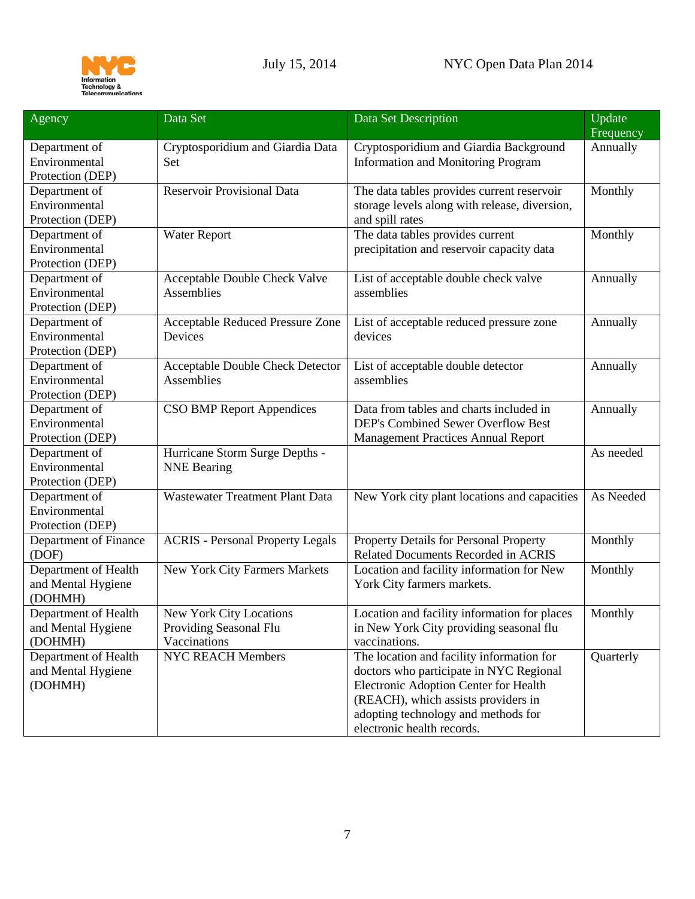

| Agency                | Data Set                                | Data Set Description                          | Update    |
|-----------------------|-----------------------------------------|-----------------------------------------------|-----------|
|                       |                                         |                                               | Frequency |
| Department of         | Cryptosporidium and Giardia Data        | Cryptosporidium and Giardia Background        | Annually  |
| Environmental         | Set                                     | <b>Information and Monitoring Program</b>     |           |
| Protection (DEP)      |                                         |                                               |           |
| Department of         | <b>Reservoir Provisional Data</b>       | The data tables provides current reservoir    | Monthly   |
| Environmental         |                                         | storage levels along with release, diversion, |           |
| Protection (DEP)      |                                         | and spill rates                               |           |
| Department of         | Water Report                            | The data tables provides current              | Monthly   |
| Environmental         |                                         | precipitation and reservoir capacity data     |           |
| Protection (DEP)      |                                         |                                               |           |
| Department of         | Acceptable Double Check Valve           | List of acceptable double check valve         | Annually  |
| Environmental         | Assemblies                              | assemblies                                    |           |
| Protection (DEP)      |                                         |                                               |           |
| Department of         | <b>Acceptable Reduced Pressure Zone</b> | List of acceptable reduced pressure zone      | Annually  |
| Environmental         | Devices                                 | devices                                       |           |
| Protection (DEP)      |                                         |                                               |           |
| Department of         | <b>Acceptable Double Check Detector</b> | List of acceptable double detector            | Annually  |
| Environmental         | Assemblies                              | assemblies                                    |           |
| Protection (DEP)      |                                         |                                               |           |
| Department of         | <b>CSO BMP Report Appendices</b>        | Data from tables and charts included in       | Annually  |
| Environmental         |                                         | DEP's Combined Sewer Overflow Best            |           |
| Protection (DEP)      |                                         | <b>Management Practices Annual Report</b>     |           |
| Department of         | Hurricane Storm Surge Depths -          |                                               | As needed |
| Environmental         | <b>NNE Bearing</b>                      |                                               |           |
| Protection (DEP)      |                                         |                                               |           |
| Department of         | Wastewater Treatment Plant Data         | New York city plant locations and capacities  | As Needed |
| Environmental         |                                         |                                               |           |
| Protection (DEP)      |                                         |                                               |           |
| Department of Finance | <b>ACRIS - Personal Property Legals</b> | Property Details for Personal Property        | Monthly   |
| (DOF)                 |                                         | Related Documents Recorded in ACRIS           |           |
| Department of Health  | New York City Farmers Markets           | Location and facility information for New     | Monthly   |
| and Mental Hygiene    |                                         | York City farmers markets.                    |           |
| (DOHMH)               |                                         |                                               |           |
| Department of Health  | New York City Locations                 | Location and facility information for places  | Monthly   |
| and Mental Hygiene    | Providing Seasonal Flu                  | in New York City providing seasonal flu       |           |
| (DOHMH)               | Vaccinations                            | vaccinations.                                 |           |
| Department of Health  | <b>NYC REACH Members</b>                | The location and facility information for     | Quarterly |
| and Mental Hygiene    |                                         | doctors who participate in NYC Regional       |           |
| (DOHMH)               |                                         | Electronic Adoption Center for Health         |           |
|                       |                                         | (REACH), which assists providers in           |           |
|                       |                                         | adopting technology and methods for           |           |
|                       |                                         |                                               |           |
|                       |                                         | electronic health records.                    |           |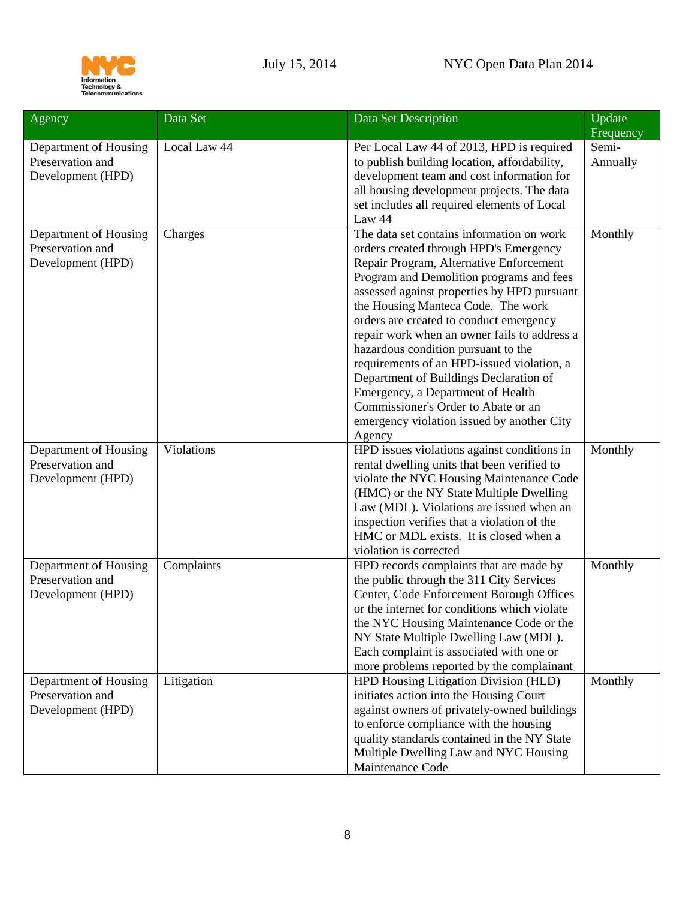

| Agency                | Data Set     | Data Set Description                         | Update<br>Frequency |
|-----------------------|--------------|----------------------------------------------|---------------------|
| Department of Housing | Local Law 44 | Per Local Law 44 of 2013, HPD is required    | Semi-               |
| Preservation and      |              | to publish building location, affordability, | Annually            |
| Development (HPD)     |              | development team and cost information for    |                     |
|                       |              | all housing development projects. The data   |                     |
|                       |              | set includes all required elements of Local  |                     |
|                       |              | Law 44                                       |                     |
| Department of Housing | Charges      | The data set contains information on work    | Monthly             |
| Preservation and      |              | orders created through HPD's Emergency       |                     |
| Development (HPD)     |              | Repair Program, Alternative Enforcement      |                     |
|                       |              | Program and Demolition programs and fees     |                     |
|                       |              | assessed against properties by HPD pursuant  |                     |
|                       |              | the Housing Manteca Code. The work           |                     |
|                       |              | orders are created to conduct emergency      |                     |
|                       |              | repair work when an owner fails to address a |                     |
|                       |              | hazardous condition pursuant to the          |                     |
|                       |              | requirements of an HPD-issued violation, a   |                     |
|                       |              | Department of Buildings Declaration of       |                     |
|                       |              | Emergency, a Department of Health            |                     |
|                       |              | Commissioner's Order to Abate or an          |                     |
|                       |              | emergency violation issued by another City   |                     |
|                       |              | Agency                                       |                     |
| Department of Housing | Violations   | HPD issues violations against conditions in  | Monthly             |
| Preservation and      |              | rental dwelling units that been verified to  |                     |
| Development (HPD)     |              | violate the NYC Housing Maintenance Code     |                     |
|                       |              | (HMC) or the NY State Multiple Dwelling      |                     |
|                       |              | Law (MDL). Violations are issued when an     |                     |
|                       |              | inspection verifies that a violation of the  |                     |
|                       |              | HMC or MDL exists. It is closed when a       |                     |
|                       |              | violation is corrected                       |                     |
| Department of Housing | Complaints   | HPD records complaints that are made by      | Monthly             |
| Preservation and      |              | the public through the 311 City Services     |                     |
| Development (HPD)     |              | Center, Code Enforcement Borough Offices     |                     |
|                       |              | or the internet for conditions which violate |                     |
|                       |              | the NYC Housing Maintenance Code or the      |                     |
|                       |              | NY State Multiple Dwelling Law (MDL).        |                     |
|                       |              | Each complaint is associated with one or     |                     |
|                       |              | more problems reported by the complainant    |                     |
| Department of Housing | Litigation   | HPD Housing Litigation Division (HLD)        | Monthly             |
| Preservation and      |              | initiates action into the Housing Court      |                     |
| Development (HPD)     |              | against owners of privately-owned buildings  |                     |
|                       |              | to enforce compliance with the housing       |                     |
|                       |              | quality standards contained in the NY State  |                     |
|                       |              | Multiple Dwelling Law and NYC Housing        |                     |
|                       |              | Maintenance Code                             |                     |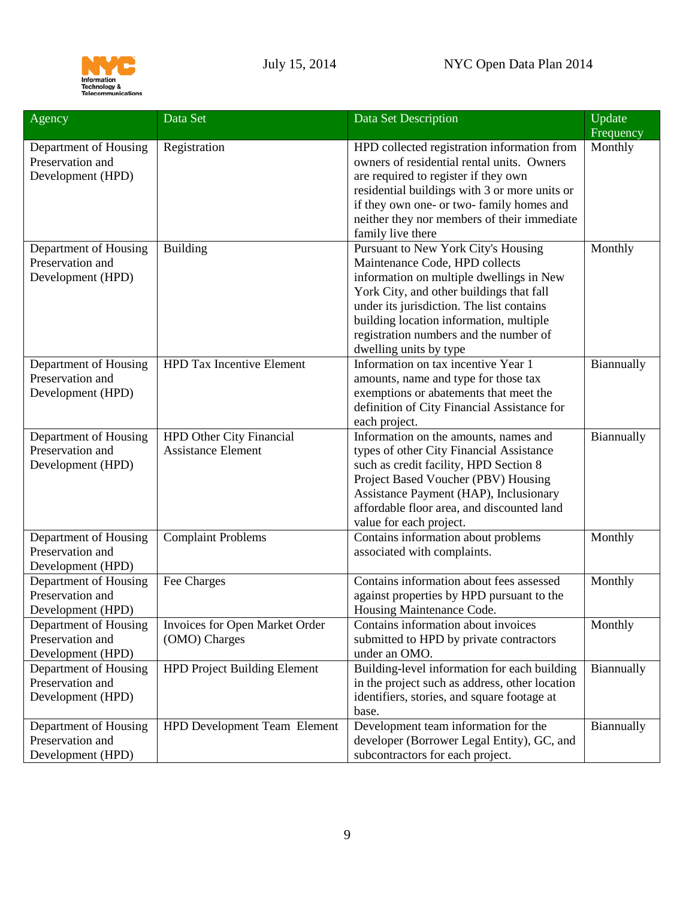

| Agency                                                         | Data Set                                                     | Data Set Description                                                                                                                                                                                                                                                                                                                           | Update               |
|----------------------------------------------------------------|--------------------------------------------------------------|------------------------------------------------------------------------------------------------------------------------------------------------------------------------------------------------------------------------------------------------------------------------------------------------------------------------------------------------|----------------------|
| Department of Housing<br>Preservation and<br>Development (HPD) | Registration                                                 | HPD collected registration information from<br>owners of residential rental units. Owners<br>are required to register if they own<br>residential buildings with 3 or more units or<br>if they own one- or two-family homes and<br>neither they nor members of their immediate                                                                  | Frequency<br>Monthly |
| Department of Housing<br>Preservation and<br>Development (HPD) | <b>Building</b>                                              | family live there<br>Pursuant to New York City's Housing<br>Maintenance Code, HPD collects<br>information on multiple dwellings in New<br>York City, and other buildings that fall<br>under its jurisdiction. The list contains<br>building location information, multiple<br>registration numbers and the number of<br>dwelling units by type | Monthly              |
| Department of Housing<br>Preservation and<br>Development (HPD) | <b>HPD Tax Incentive Element</b>                             | Information on tax incentive Year 1<br>amounts, name and type for those tax<br>exemptions or abatements that meet the<br>definition of City Financial Assistance for<br>each project.                                                                                                                                                          | Biannually           |
| Department of Housing<br>Preservation and<br>Development (HPD) | <b>HPD Other City Financial</b><br><b>Assistance Element</b> | Information on the amounts, names and<br>types of other City Financial Assistance<br>such as credit facility, HPD Section 8<br>Project Based Voucher (PBV) Housing<br>Assistance Payment (HAP), Inclusionary<br>affordable floor area, and discounted land<br>value for each project.                                                          | Biannually           |
| Department of Housing<br>Preservation and<br>Development (HPD) | <b>Complaint Problems</b>                                    | Contains information about problems<br>associated with complaints.                                                                                                                                                                                                                                                                             | Monthly              |
| Department of Housing<br>Preservation and<br>Development (HPD) | Fee Charges                                                  | Contains information about fees assessed<br>against properties by HPD pursuant to the<br>Housing Maintenance Code.                                                                                                                                                                                                                             | Monthly              |
| Department of Housing<br>Preservation and<br>Development (HPD) | Invoices for Open Market Order<br>(OMO) Charges              | Contains information about invoices<br>submitted to HPD by private contractors<br>under an OMO.                                                                                                                                                                                                                                                | Monthly              |
| Department of Housing<br>Preservation and<br>Development (HPD) | <b>HPD Project Building Element</b>                          | Building-level information for each building<br>in the project such as address, other location<br>identifiers, stories, and square footage at<br>base.                                                                                                                                                                                         | Biannually           |
| Department of Housing<br>Preservation and<br>Development (HPD) | <b>HPD Development Team Element</b>                          | Development team information for the<br>developer (Borrower Legal Entity), GC, and<br>subcontractors for each project.                                                                                                                                                                                                                         | Biannually           |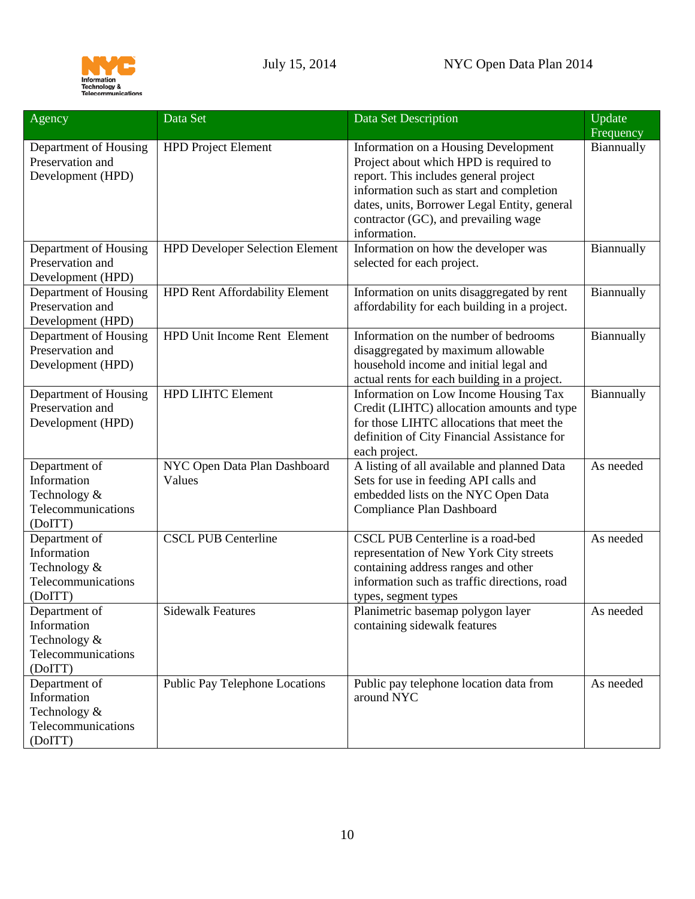

| Agency                                                                        | Data Set                               | Data Set Description                                                                                                                                                                                                                                                        | Update     |
|-------------------------------------------------------------------------------|----------------------------------------|-----------------------------------------------------------------------------------------------------------------------------------------------------------------------------------------------------------------------------------------------------------------------------|------------|
|                                                                               |                                        |                                                                                                                                                                                                                                                                             | Frequency  |
| Department of Housing<br>Preservation and<br>Development (HPD)                | <b>HPD Project Element</b>             | Information on a Housing Development<br>Project about which HPD is required to<br>report. This includes general project<br>information such as start and completion<br>dates, units, Borrower Legal Entity, general<br>contractor (GC), and prevailing wage<br>information. | Biannually |
| Department of Housing<br>Preservation and<br>Development (HPD)                | <b>HPD Developer Selection Element</b> | Information on how the developer was<br>selected for each project.                                                                                                                                                                                                          | Biannually |
| Department of Housing<br>Preservation and<br>Development (HPD)                | <b>HPD Rent Affordability Element</b>  | Information on units disaggregated by rent<br>affordability for each building in a project.                                                                                                                                                                                 | Biannually |
| Department of Housing<br>Preservation and<br>Development (HPD)                | HPD Unit Income Rent Element           | Information on the number of bedrooms<br>disaggregated by maximum allowable<br>household income and initial legal and<br>actual rents for each building in a project.                                                                                                       | Biannually |
| Department of Housing<br>Preservation and<br>Development (HPD)                | <b>HPD LIHTC Element</b>               | Information on Low Income Housing Tax<br>Credit (LIHTC) allocation amounts and type<br>for those LIHTC allocations that meet the<br>definition of City Financial Assistance for<br>each project.                                                                            | Biannually |
| Department of<br>Information<br>Technology &<br>Telecommunications<br>(DoITT) | NYC Open Data Plan Dashboard<br>Values | A listing of all available and planned Data<br>Sets for use in feeding API calls and<br>embedded lists on the NYC Open Data<br>Compliance Plan Dashboard                                                                                                                    | As needed  |
| Department of<br>Information<br>Technology &<br>Telecommunications<br>(DoITT) | <b>CSCL PUB Centerline</b>             | CSCL PUB Centerline is a road-bed<br>representation of New York City streets<br>containing address ranges and other<br>information such as traffic directions, road<br>types, segment types                                                                                 | As needed  |
| Department of<br>Information<br>Technology &<br>Telecommunications<br>(DoITT) | <b>Sidewalk Features</b>               | Planimetric basemap polygon layer<br>containing sidewalk features                                                                                                                                                                                                           | As needed  |
| Department of<br>Information<br>Technology &<br>Telecommunications<br>(DoITT) | Public Pay Telephone Locations         | Public pay telephone location data from<br>around NYC                                                                                                                                                                                                                       | As needed  |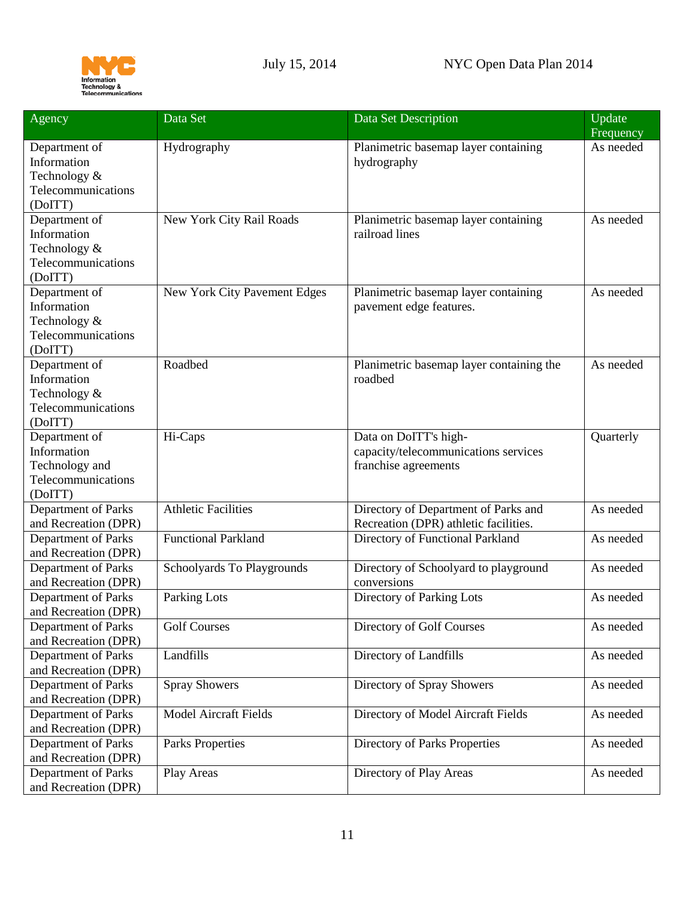

| Agency                                                                          | Data Set                     | Data Set Description                                                                  | Update<br>Frequency |
|---------------------------------------------------------------------------------|------------------------------|---------------------------------------------------------------------------------------|---------------------|
| Department of<br>Information<br>Technology &<br>Telecommunications<br>(DoITT)   | Hydrography                  | Planimetric basemap layer containing<br>hydrography                                   | As needed           |
| Department of<br>Information<br>Technology &<br>Telecommunications<br>(DoITT)   | New York City Rail Roads     | Planimetric basemap layer containing<br>railroad lines                                | As needed           |
| Department of<br>Information<br>Technology &<br>Telecommunications<br>(DoITT)   | New York City Pavement Edges | Planimetric basemap layer containing<br>pavement edge features.                       | As needed           |
| Department of<br>Information<br>Technology &<br>Telecommunications<br>(DoITT)   | Roadbed                      | Planimetric basemap layer containing the<br>roadbed                                   | As needed           |
| Department of<br>Information<br>Technology and<br>Telecommunications<br>(DoITT) | Hi-Caps                      | Data on DoITT's high-<br>capacity/telecommunications services<br>franchise agreements | Quarterly           |
| Department of Parks<br>and Recreation (DPR)                                     | <b>Athletic Facilities</b>   | Directory of Department of Parks and<br>Recreation (DPR) athletic facilities.         | As needed           |
| Department of Parks<br>and Recreation (DPR)                                     | <b>Functional Parkland</b>   | Directory of Functional Parkland                                                      | As needed           |
| Department of Parks<br>and Recreation (DPR)                                     | Schoolyards To Playgrounds   | Directory of Schoolyard to playground<br>conversions                                  | As needed           |
| Department of Parks<br>and Recreation (DPR)                                     | Parking Lots                 | Directory of Parking Lots                                                             | As needed           |
| Department of Parks<br>and Recreation (DPR)                                     | <b>Golf Courses</b>          | Directory of Golf Courses                                                             | As needed           |
| Department of Parks<br>and Recreation (DPR)                                     | Landfills                    | Directory of Landfills                                                                | As needed           |
| Department of Parks<br>and Recreation (DPR)                                     | <b>Spray Showers</b>         | Directory of Spray Showers                                                            | As needed           |
| Department of Parks<br>and Recreation (DPR)                                     | <b>Model Aircraft Fields</b> | Directory of Model Aircraft Fields                                                    | As needed           |
| Department of Parks<br>and Recreation (DPR)                                     | <b>Parks Properties</b>      | Directory of Parks Properties                                                         | As needed           |
| Department of Parks<br>and Recreation (DPR)                                     | Play Areas                   | Directory of Play Areas                                                               | As needed           |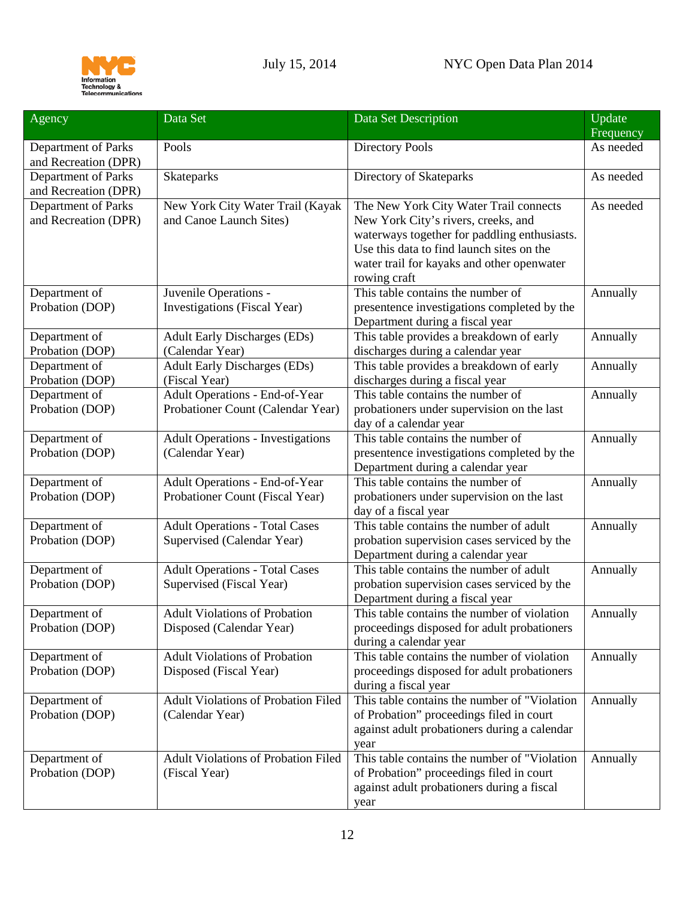

| Agency                                      | Data Set                                                                 | Data Set Description                                                                                                                                                                                                                     | Update<br>Frequency |
|---------------------------------------------|--------------------------------------------------------------------------|------------------------------------------------------------------------------------------------------------------------------------------------------------------------------------------------------------------------------------------|---------------------|
| Department of Parks<br>and Recreation (DPR) | Pools                                                                    | <b>Directory Pools</b>                                                                                                                                                                                                                   | As needed           |
| Department of Parks<br>and Recreation (DPR) | Skateparks                                                               | Directory of Skateparks                                                                                                                                                                                                                  | As needed           |
| Department of Parks<br>and Recreation (DPR) | New York City Water Trail (Kayak<br>and Canoe Launch Sites)              | The New York City Water Trail connects<br>New York City's rivers, creeks, and<br>waterways together for paddling enthusiasts.<br>Use this data to find launch sites on the<br>water trail for kayaks and other openwater<br>rowing craft | As needed           |
| Department of<br>Probation (DOP)            | Juvenile Operations -<br>Investigations (Fiscal Year)                    | This table contains the number of<br>presentence investigations completed by the<br>Department during a fiscal year                                                                                                                      | Annually            |
| Department of<br>Probation (DOP)            | <b>Adult Early Discharges (EDs)</b><br>(Calendar Year)                   | This table provides a breakdown of early<br>discharges during a calendar year                                                                                                                                                            | Annually            |
| Department of<br>Probation (DOP)            | <b>Adult Early Discharges (EDs)</b><br>(Fiscal Year)                     | This table provides a breakdown of early<br>discharges during a fiscal year                                                                                                                                                              | Annually            |
| Department of<br>Probation (DOP)            | Adult Operations - End-of-Year<br>Probationer Count (Calendar Year)      | This table contains the number of<br>probationers under supervision on the last<br>day of a calendar year                                                                                                                                | Annually            |
| Department of<br>Probation (DOP)            | <b>Adult Operations - Investigations</b><br>(Calendar Year)              | This table contains the number of<br>presentence investigations completed by the<br>Department during a calendar year                                                                                                                    | Annually            |
| Department of<br>Probation (DOP)            | <b>Adult Operations - End-of-Year</b><br>Probationer Count (Fiscal Year) | This table contains the number of<br>probationers under supervision on the last<br>day of a fiscal year                                                                                                                                  | Annually            |
| Department of<br>Probation (DOP)            | <b>Adult Operations - Total Cases</b><br>Supervised (Calendar Year)      | This table contains the number of adult<br>probation supervision cases serviced by the<br>Department during a calendar year                                                                                                              | Annually            |
| Department of<br>Probation (DOP)            | <b>Adult Operations - Total Cases</b><br>Supervised (Fiscal Year)        | This table contains the number of adult<br>probation supervision cases serviced by the<br>Department during a fiscal year                                                                                                                | Annually            |
| Department of<br>Probation (DOP)            | <b>Adult Violations of Probation</b><br>Disposed (Calendar Year)         | This table contains the number of violation<br>proceedings disposed for adult probationers<br>during a calendar year                                                                                                                     | Annually            |
| Department of<br>Probation (DOP)            | <b>Adult Violations of Probation</b><br>Disposed (Fiscal Year)           | This table contains the number of violation<br>proceedings disposed for adult probationers<br>during a fiscal year                                                                                                                       | Annually            |
| Department of<br>Probation (DOP)            | Adult Violations of Probation Filed<br>(Calendar Year)                   | This table contains the number of "Violation<br>of Probation" proceedings filed in court<br>against adult probationers during a calendar<br>year                                                                                         | Annually            |
| Department of<br>Probation (DOP)            | Adult Violations of Probation Filed<br>(Fiscal Year)                     | This table contains the number of "Violation"<br>of Probation" proceedings filed in court<br>against adult probationers during a fiscal<br>year                                                                                          | Annually            |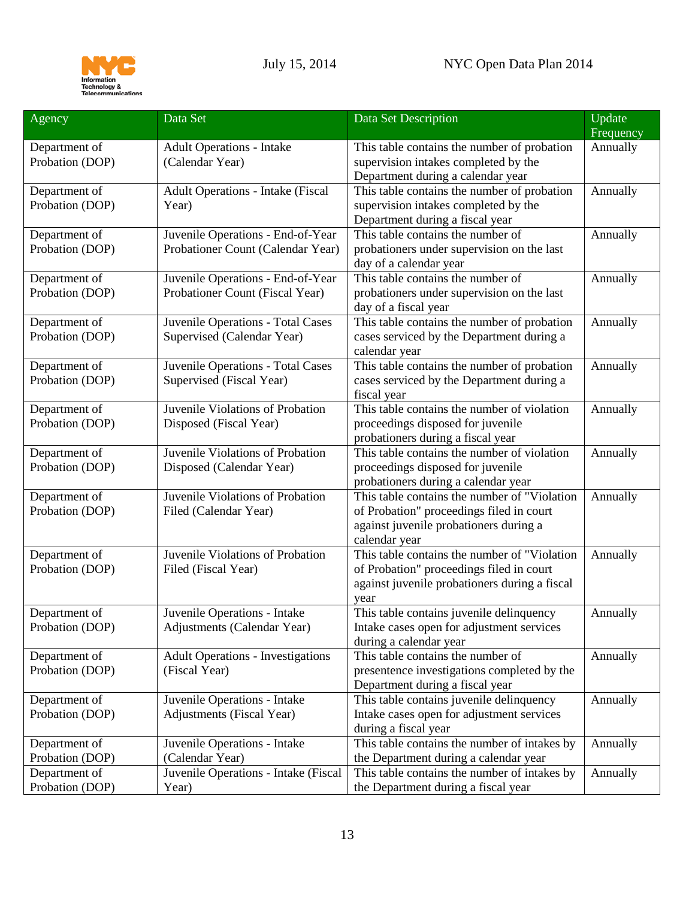



| Agency                           | Data Set                                 | Data Set Description                                                                | Update<br>Frequency |
|----------------------------------|------------------------------------------|-------------------------------------------------------------------------------------|---------------------|
| Department of                    | <b>Adult Operations - Intake</b>         | This table contains the number of probation                                         | Annually            |
| Probation (DOP)                  | (Calendar Year)                          | supervision intakes completed by the                                                |                     |
|                                  |                                          | Department during a calendar year                                                   |                     |
| Department of                    | <b>Adult Operations - Intake (Fiscal</b> | This table contains the number of probation                                         | Annually            |
| Probation (DOP)                  | Year)                                    | supervision intakes completed by the                                                |                     |
|                                  |                                          | Department during a fiscal year                                                     |                     |
| Department of                    | Juvenile Operations - End-of-Year        | This table contains the number of                                                   | Annually            |
| Probation (DOP)                  | Probationer Count (Calendar Year)        | probationers under supervision on the last                                          |                     |
| Department of                    | Juvenile Operations - End-of-Year        | day of a calendar year<br>This table contains the number of                         | Annually            |
| Probation (DOP)                  | Probationer Count (Fiscal Year)          | probationers under supervision on the last                                          |                     |
|                                  |                                          | day of a fiscal year                                                                |                     |
| Department of                    | Juvenile Operations - Total Cases        | This table contains the number of probation                                         | Annually            |
| Probation (DOP)                  | Supervised (Calendar Year)               | cases serviced by the Department during a                                           |                     |
|                                  |                                          | calendar year                                                                       |                     |
| Department of                    | Juvenile Operations - Total Cases        | This table contains the number of probation                                         | Annually            |
| Probation (DOP)                  | Supervised (Fiscal Year)                 | cases serviced by the Department during a                                           |                     |
|                                  |                                          | fiscal year                                                                         |                     |
| Department of                    | Juvenile Violations of Probation         | This table contains the number of violation                                         | Annually            |
| Probation (DOP)                  | Disposed (Fiscal Year)                   | proceedings disposed for juvenile                                                   |                     |
|                                  |                                          | probationers during a fiscal year                                                   |                     |
| Department of                    | Juvenile Violations of Probation         | This table contains the number of violation                                         | Annually            |
| Probation (DOP)                  | Disposed (Calendar Year)                 | proceedings disposed for juvenile                                                   |                     |
|                                  | Juvenile Violations of Probation         | probationers during a calendar year<br>This table contains the number of "Violation |                     |
| Department of<br>Probation (DOP) | Filed (Calendar Year)                    | of Probation" proceedings filed in court                                            | Annually            |
|                                  |                                          | against juvenile probationers during a                                              |                     |
|                                  |                                          | calendar year                                                                       |                     |
| Department of                    | Juvenile Violations of Probation         | This table contains the number of "Violation"                                       | Annually            |
| Probation (DOP)                  | Filed (Fiscal Year)                      | of Probation" proceedings filed in court                                            |                     |
|                                  |                                          | against juvenile probationers during a fiscal                                       |                     |
|                                  |                                          | year                                                                                |                     |
| Department of                    | Juvenile Operations - Intake             | This table contains juvenile delinquency                                            | Annually            |
| Probation (DOP)                  | Adjustments (Calendar Year)              | Intake cases open for adjustment services                                           |                     |
|                                  |                                          | during a calendar year                                                              |                     |
| Department of                    | <b>Adult Operations - Investigations</b> | This table contains the number of                                                   | Annually            |
| Probation (DOP)                  | (Fiscal Year)                            | presentence investigations completed by the                                         |                     |
|                                  |                                          | Department during a fiscal year                                                     |                     |
| Department of                    | Juvenile Operations - Intake             | This table contains juvenile delinquency                                            | Annually            |
| Probation (DOP)                  | <b>Adjustments</b> (Fiscal Year)         | Intake cases open for adjustment services                                           |                     |
| Department of                    | Juvenile Operations - Intake             | during a fiscal year<br>This table contains the number of intakes by                | Annually            |
| Probation (DOP)                  | (Calendar Year)                          | the Department during a calendar year                                               |                     |
| Department of                    | Juvenile Operations - Intake (Fiscal     | This table contains the number of intakes by                                        | Annually            |
| Probation (DOP)                  | Year)                                    | the Department during a fiscal year                                                 |                     |
|                                  |                                          |                                                                                     |                     |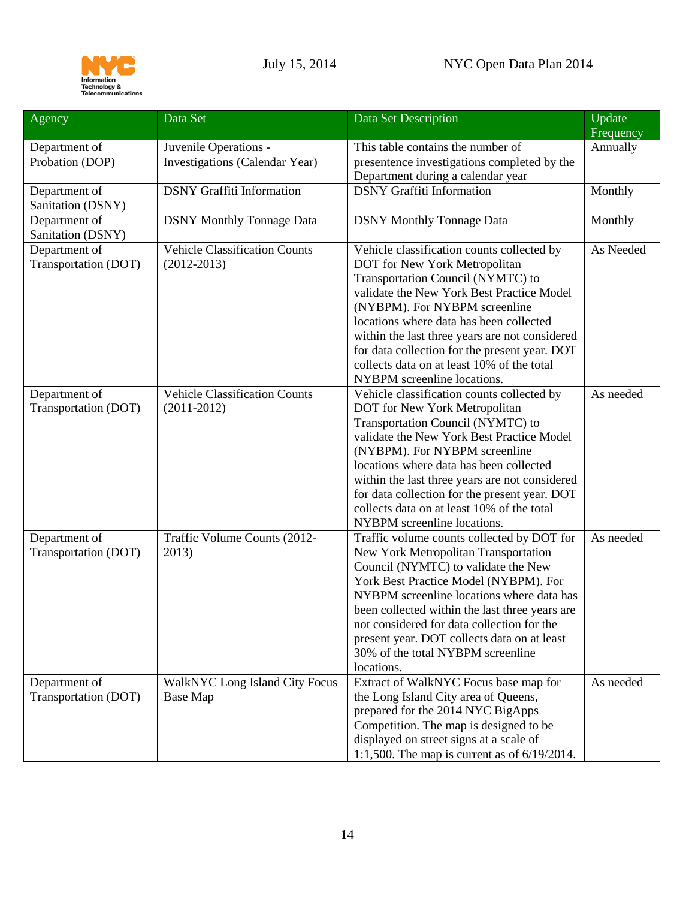| Agency                                | Data Set                                                | Data Set Description                                                                                                                                                                                                                                                                                                                                                                                                      | Update<br>Frequency |
|---------------------------------------|---------------------------------------------------------|---------------------------------------------------------------------------------------------------------------------------------------------------------------------------------------------------------------------------------------------------------------------------------------------------------------------------------------------------------------------------------------------------------------------------|---------------------|
| Department of                         | Juvenile Operations -                                   | This table contains the number of                                                                                                                                                                                                                                                                                                                                                                                         | Annually            |
| Probation (DOP)                       | Investigations (Calendar Year)                          | presentence investigations completed by the                                                                                                                                                                                                                                                                                                                                                                               |                     |
|                                       |                                                         | Department during a calendar year                                                                                                                                                                                                                                                                                                                                                                                         |                     |
| Department of<br>Sanitation (DSNY)    | <b>DSNY</b> Graffiti Information                        | <b>DSNY</b> Graffiti Information                                                                                                                                                                                                                                                                                                                                                                                          | Monthly             |
| Department of<br>Sanitation (DSNY)    | <b>DSNY Monthly Tonnage Data</b>                        | <b>DSNY Monthly Tonnage Data</b>                                                                                                                                                                                                                                                                                                                                                                                          | Monthly             |
| Department of<br>Transportation (DOT) | <b>Vehicle Classification Counts</b><br>$(2012 - 2013)$ | Vehicle classification counts collected by<br>DOT for New York Metropolitan<br>Transportation Council (NYMTC) to<br>validate the New York Best Practice Model<br>(NYBPM). For NYBPM screenline<br>locations where data has been collected<br>within the last three years are not considered<br>for data collection for the present year. DOT<br>collects data on at least 10% of the total<br>NYBPM screenline locations. | As Needed           |
| Department of<br>Transportation (DOT) | <b>Vehicle Classification Counts</b><br>$(2011-2012)$   | Vehicle classification counts collected by<br>DOT for New York Metropolitan<br>Transportation Council (NYMTC) to<br>validate the New York Best Practice Model<br>(NYBPM). For NYBPM screenline<br>locations where data has been collected<br>within the last three years are not considered<br>for data collection for the present year. DOT<br>collects data on at least 10% of the total<br>NYBPM screenline locations. | As needed           |
| Department of<br>Transportation (DOT) | Traffic Volume Counts (2012-<br>2013)                   | Traffic volume counts collected by DOT for<br>New York Metropolitan Transportation<br>Council (NYMTC) to validate the New<br>York Best Practice Model (NYBPM). For<br>NYBPM screenline locations where data has<br>been collected within the last three years are<br>not considered for data collection for the<br>present year. DOT collects data on at least<br>30% of the total NYBPM screenline<br>locations.         | As needed           |
| Department of<br>Transportation (DOT) | <b>WalkNYC Long Island City Focus</b><br>Base Map       | Extract of WalkNYC Focus base map for<br>the Long Island City area of Queens,<br>prepared for the 2014 NYC BigApps<br>Competition. The map is designed to be<br>displayed on street signs at a scale of<br>1:1,500. The map is current as of $6/19/2014$ .                                                                                                                                                                | As needed           |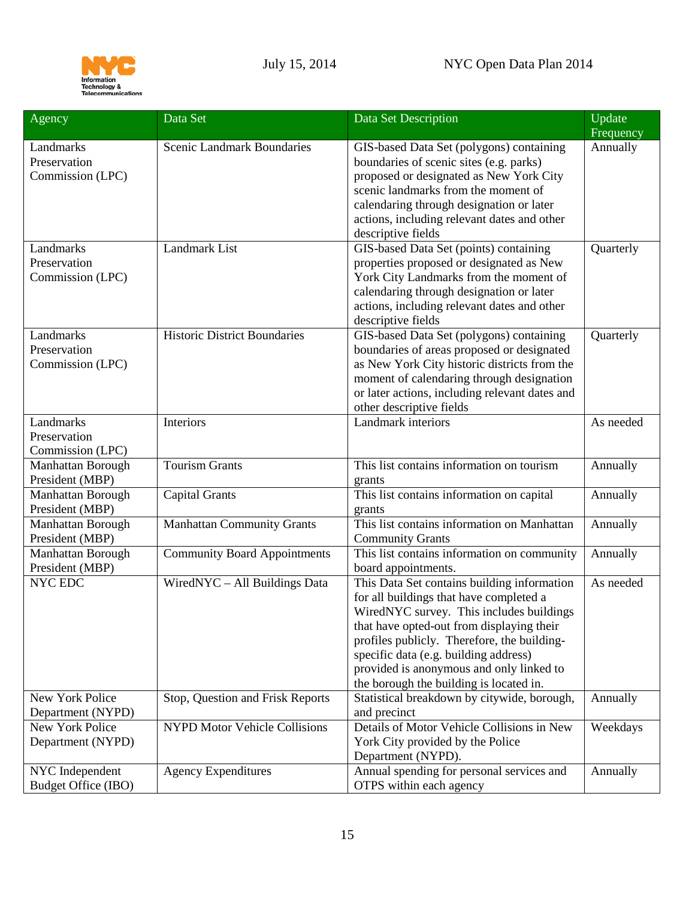

| Agency                               | Data Set                             | Data Set Description                                                                    | Update                |
|--------------------------------------|--------------------------------------|-----------------------------------------------------------------------------------------|-----------------------|
| Landmarks                            | Scenic Landmark Boundaries           | GIS-based Data Set (polygons) containing                                                | Frequency<br>Annually |
| Preservation                         |                                      | boundaries of scenic sites (e.g. parks)                                                 |                       |
| Commission (LPC)                     |                                      | proposed or designated as New York City                                                 |                       |
|                                      |                                      | scenic landmarks from the moment of                                                     |                       |
|                                      |                                      | calendaring through designation or later                                                |                       |
|                                      |                                      | actions, including relevant dates and other                                             |                       |
|                                      |                                      | descriptive fields                                                                      |                       |
| Landmarks                            | Landmark List                        | GIS-based Data Set (points) containing                                                  | Quarterly             |
| Preservation                         |                                      | properties proposed or designated as New                                                |                       |
| Commission (LPC)                     |                                      | York City Landmarks from the moment of                                                  |                       |
|                                      |                                      | calendaring through designation or later<br>actions, including relevant dates and other |                       |
|                                      |                                      | descriptive fields                                                                      |                       |
| Landmarks                            | <b>Historic District Boundaries</b>  | GIS-based Data Set (polygons) containing                                                | Quarterly             |
| Preservation                         |                                      | boundaries of areas proposed or designated                                              |                       |
| Commission (LPC)                     |                                      | as New York City historic districts from the                                            |                       |
|                                      |                                      | moment of calendaring through designation                                               |                       |
|                                      |                                      | or later actions, including relevant dates and                                          |                       |
|                                      |                                      | other descriptive fields                                                                |                       |
| Landmarks                            | Interiors                            | Landmark interiors                                                                      | As needed             |
| Preservation                         |                                      |                                                                                         |                       |
| Commission (LPC)                     |                                      |                                                                                         |                       |
| Manhattan Borough                    | <b>Tourism Grants</b>                | This list contains information on tourism                                               | Annually              |
| President (MBP)                      |                                      | grants                                                                                  |                       |
| Manhattan Borough<br>President (MBP) | <b>Capital Grants</b>                | This list contains information on capital                                               | Annually              |
| Manhattan Borough                    | <b>Manhattan Community Grants</b>    | grants<br>This list contains information on Manhattan                                   | Annually              |
| President (MBP)                      |                                      | <b>Community Grants</b>                                                                 |                       |
| Manhattan Borough                    | <b>Community Board Appointments</b>  | This list contains information on community                                             | Annually              |
| President (MBP)                      |                                      | board appointments.                                                                     |                       |
| NYC EDC                              | WiredNYC - All Buildings Data        | This Data Set contains building information                                             | As needed             |
|                                      |                                      | for all buildings that have completed a                                                 |                       |
|                                      |                                      | WiredNYC survey. This includes buildings                                                |                       |
|                                      |                                      | that have opted-out from displaying their                                               |                       |
|                                      |                                      | profiles publicly. Therefore, the building-                                             |                       |
|                                      |                                      | specific data (e.g. building address)                                                   |                       |
|                                      |                                      | provided is anonymous and only linked to<br>the borough the building is located in.     |                       |
| New York Police                      | Stop, Question and Frisk Reports     | Statistical breakdown by citywide, borough,                                             | Annually              |
| Department (NYPD)                    |                                      | and precinct                                                                            |                       |
| New York Police                      | <b>NYPD Motor Vehicle Collisions</b> | Details of Motor Vehicle Collisions in New                                              | Weekdays              |
| Department (NYPD)                    |                                      | York City provided by the Police                                                        |                       |
|                                      |                                      | Department (NYPD).                                                                      |                       |
| NYC Independent                      | <b>Agency Expenditures</b>           | Annual spending for personal services and                                               | Annually              |
| Budget Office (IBO)                  |                                      | OTPS within each agency                                                                 |                       |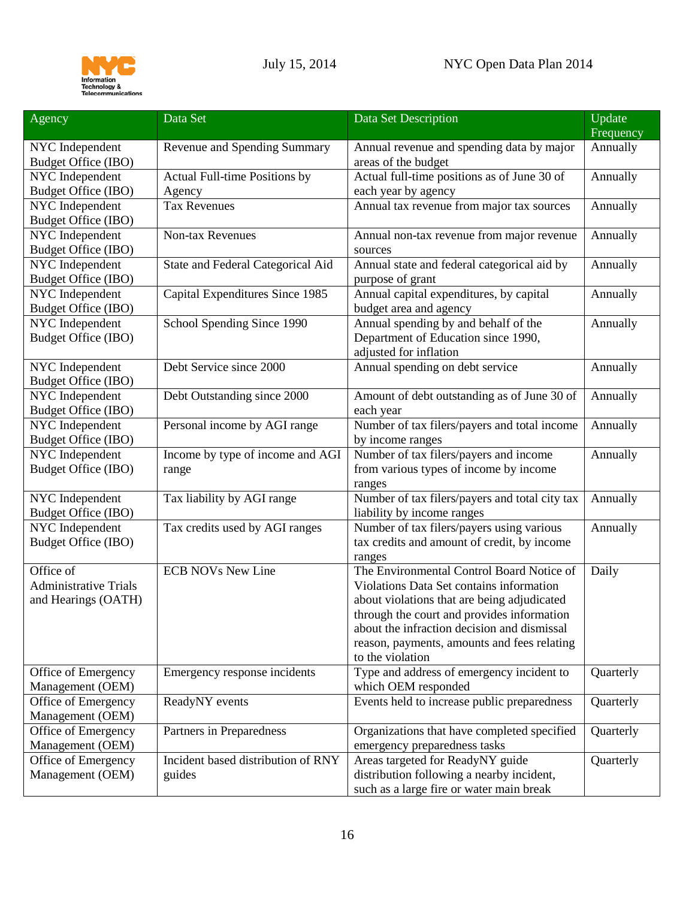

| Agency                                                           | Data Set                                     | Data Set Description                                                                                                                                                                                                                                                                                 | Update<br>Frequency |
|------------------------------------------------------------------|----------------------------------------------|------------------------------------------------------------------------------------------------------------------------------------------------------------------------------------------------------------------------------------------------------------------------------------------------------|---------------------|
| NYC Independent<br>Budget Office (IBO)                           | Revenue and Spending Summary                 | Annual revenue and spending data by major<br>areas of the budget                                                                                                                                                                                                                                     | Annually            |
| NYC Independent<br>Budget Office (IBO)                           | Actual Full-time Positions by<br>Agency      | Actual full-time positions as of June 30 of<br>each year by agency                                                                                                                                                                                                                                   | Annually            |
| NYC Independent<br>Budget Office (IBO)                           | <b>Tax Revenues</b>                          | Annual tax revenue from major tax sources                                                                                                                                                                                                                                                            | Annually            |
| NYC Independent<br>Budget Office (IBO)                           | Non-tax Revenues                             | Annual non-tax revenue from major revenue<br>sources                                                                                                                                                                                                                                                 | Annually            |
| NYC Independent<br>Budget Office (IBO)                           | State and Federal Categorical Aid            | Annual state and federal categorical aid by<br>purpose of grant                                                                                                                                                                                                                                      | Annually            |
| NYC Independent<br>Budget Office (IBO)                           | Capital Expenditures Since 1985              | Annual capital expenditures, by capital<br>budget area and agency                                                                                                                                                                                                                                    | Annually            |
| NYC Independent<br>Budget Office (IBO)                           | School Spending Since 1990                   | Annual spending by and behalf of the<br>Department of Education since 1990,<br>adjusted for inflation                                                                                                                                                                                                | Annually            |
| NYC Independent<br>Budget Office (IBO)                           | Debt Service since 2000                      | Annual spending on debt service                                                                                                                                                                                                                                                                      | Annually            |
| NYC Independent<br>Budget Office (IBO)                           | Debt Outstanding since 2000                  | Amount of debt outstanding as of June 30 of<br>each year                                                                                                                                                                                                                                             | Annually            |
| NYC Independent<br>Budget Office (IBO)                           | Personal income by AGI range                 | Number of tax filers/payers and total income<br>by income ranges                                                                                                                                                                                                                                     | Annually            |
| NYC Independent<br>Budget Office (IBO)                           | Income by type of income and AGI<br>range    | Number of tax filers/payers and income<br>from various types of income by income<br>ranges                                                                                                                                                                                                           | Annually            |
| NYC Independent<br>Budget Office (IBO)                           | Tax liability by AGI range                   | Number of tax filers/payers and total city tax<br>liability by income ranges                                                                                                                                                                                                                         | Annually            |
| NYC Independent<br>Budget Office (IBO)                           | Tax credits used by AGI ranges               | Number of tax filers/payers using various<br>tax credits and amount of credit, by income<br>ranges                                                                                                                                                                                                   | Annually            |
| Office of<br><b>Administrative Trials</b><br>and Hearings (OATH) | <b>ECB NOVs New Line</b>                     | The Environmental Control Board Notice of<br>Violations Data Set contains information<br>about violations that are being adjudicated<br>through the court and provides information<br>about the infraction decision and dismissal<br>reason, payments, amounts and fees relating<br>to the violation | Daily               |
| Office of Emergency<br>Management (OEM)                          | Emergency response incidents                 | Type and address of emergency incident to<br>which OEM responded                                                                                                                                                                                                                                     | Quarterly           |
| Office of Emergency<br>Management (OEM)                          | ReadyNY events                               | Events held to increase public preparedness                                                                                                                                                                                                                                                          | Quarterly           |
| Office of Emergency<br>Management (OEM)                          | Partners in Preparedness                     | Organizations that have completed specified<br>emergency preparedness tasks                                                                                                                                                                                                                          | Quarterly           |
| Office of Emergency<br>Management (OEM)                          | Incident based distribution of RNY<br>guides | Areas targeted for ReadyNY guide<br>distribution following a nearby incident,<br>such as a large fire or water main break                                                                                                                                                                            | Quarterly           |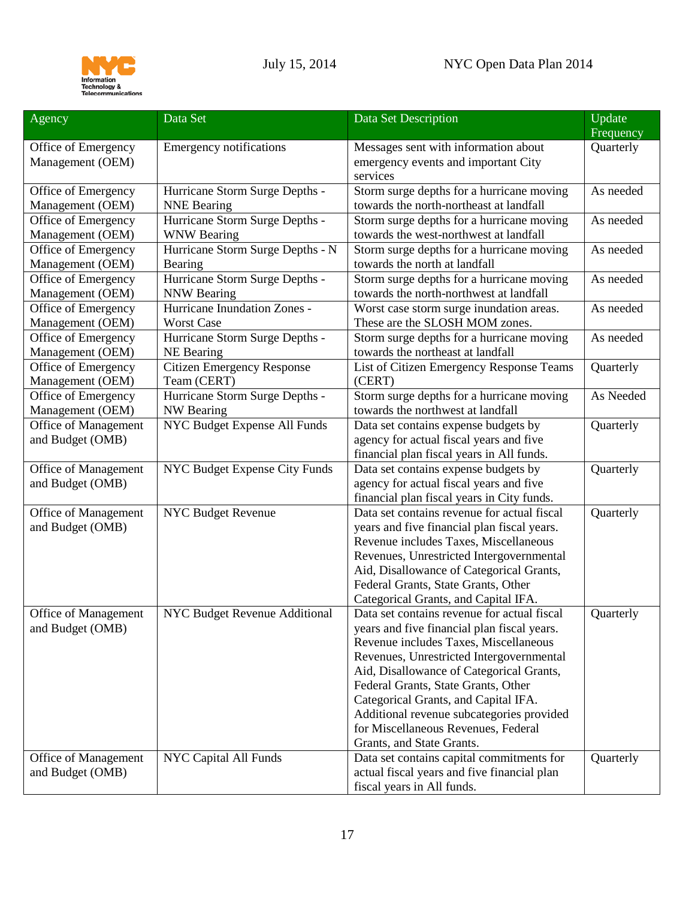

| Agency                                          | Data Set                          | Data Set Description                                                                                                                                                                                                                                                                                                                                                                                                        | Update<br>Frequency |
|-------------------------------------------------|-----------------------------------|-----------------------------------------------------------------------------------------------------------------------------------------------------------------------------------------------------------------------------------------------------------------------------------------------------------------------------------------------------------------------------------------------------------------------------|---------------------|
| Office of Emergency<br>Management (OEM)         | <b>Emergency notifications</b>    | Messages sent with information about<br>emergency events and important City<br>services                                                                                                                                                                                                                                                                                                                                     | Quarterly           |
| Office of Emergency                             | Hurricane Storm Surge Depths -    | Storm surge depths for a hurricane moving                                                                                                                                                                                                                                                                                                                                                                                   | As needed           |
| Management (OEM)                                | <b>NNE Bearing</b>                | towards the north-northeast at landfall                                                                                                                                                                                                                                                                                                                                                                                     |                     |
| Office of Emergency                             | Hurricane Storm Surge Depths -    | Storm surge depths for a hurricane moving                                                                                                                                                                                                                                                                                                                                                                                   | As needed           |
| Management (OEM)                                | <b>WNW Bearing</b>                | towards the west-northwest at landfall                                                                                                                                                                                                                                                                                                                                                                                      |                     |
| Office of Emergency                             | Hurricane Storm Surge Depths - N  | Storm surge depths for a hurricane moving                                                                                                                                                                                                                                                                                                                                                                                   | As needed           |
| Management (OEM)                                | Bearing                           | towards the north at landfall                                                                                                                                                                                                                                                                                                                                                                                               |                     |
| Office of Emergency                             | Hurricane Storm Surge Depths -    | Storm surge depths for a hurricane moving                                                                                                                                                                                                                                                                                                                                                                                   | As needed           |
| Management (OEM)                                | <b>NNW Bearing</b>                | towards the north-northwest at landfall                                                                                                                                                                                                                                                                                                                                                                                     |                     |
| Office of Emergency                             | Hurricane Inundation Zones -      | Worst case storm surge inundation areas.                                                                                                                                                                                                                                                                                                                                                                                    | As needed           |
| Management (OEM)                                | <b>Worst Case</b>                 | These are the SLOSH MOM zones.                                                                                                                                                                                                                                                                                                                                                                                              |                     |
| Office of Emergency                             | Hurricane Storm Surge Depths -    | Storm surge depths for a hurricane moving                                                                                                                                                                                                                                                                                                                                                                                   | As needed           |
| Management (OEM)                                | NE Bearing                        | towards the northeast at landfall                                                                                                                                                                                                                                                                                                                                                                                           |                     |
| Office of Emergency                             | <b>Citizen Emergency Response</b> | List of Citizen Emergency Response Teams                                                                                                                                                                                                                                                                                                                                                                                    | Quarterly           |
| Management (OEM)                                | Team (CERT)                       | (CERT)                                                                                                                                                                                                                                                                                                                                                                                                                      |                     |
| Office of Emergency                             | Hurricane Storm Surge Depths -    | Storm surge depths for a hurricane moving                                                                                                                                                                                                                                                                                                                                                                                   | As Needed           |
| Management (OEM)                                | <b>NW Bearing</b>                 | towards the northwest at landfall                                                                                                                                                                                                                                                                                                                                                                                           |                     |
| Office of Management<br>and Budget (OMB)        | NYC Budget Expense All Funds      | Data set contains expense budgets by<br>agency for actual fiscal years and five<br>financial plan fiscal years in All funds.                                                                                                                                                                                                                                                                                                | Quarterly           |
| Office of Management<br>and Budget (OMB)        | NYC Budget Expense City Funds     | Data set contains expense budgets by<br>agency for actual fiscal years and five<br>financial plan fiscal years in City funds.                                                                                                                                                                                                                                                                                               | Quarterly           |
| Office of Management<br>and Budget (OMB)        | <b>NYC Budget Revenue</b>         | Data set contains revenue for actual fiscal<br>years and five financial plan fiscal years.<br>Revenue includes Taxes, Miscellaneous<br>Revenues, Unrestricted Intergovernmental<br>Aid, Disallowance of Categorical Grants,<br>Federal Grants, State Grants, Other<br>Categorical Grants, and Capital IFA.                                                                                                                  | Quarterly           |
| <b>Office of Management</b><br>and Budget (OMB) | NYC Budget Revenue Additional     | Data set contains revenue for actual fiscal<br>years and five financial plan fiscal years.<br>Revenue includes Taxes, Miscellaneous<br>Revenues, Unrestricted Intergovernmental<br>Aid, Disallowance of Categorical Grants,<br>Federal Grants, State Grants, Other<br>Categorical Grants, and Capital IFA.<br>Additional revenue subcategories provided<br>for Miscellaneous Revenues, Federal<br>Grants, and State Grants. | Quarterly           |
| Office of Management<br>and Budget (OMB)        | <b>NYC Capital All Funds</b>      | Data set contains capital commitments for<br>actual fiscal years and five financial plan<br>fiscal years in All funds.                                                                                                                                                                                                                                                                                                      | Quarterly           |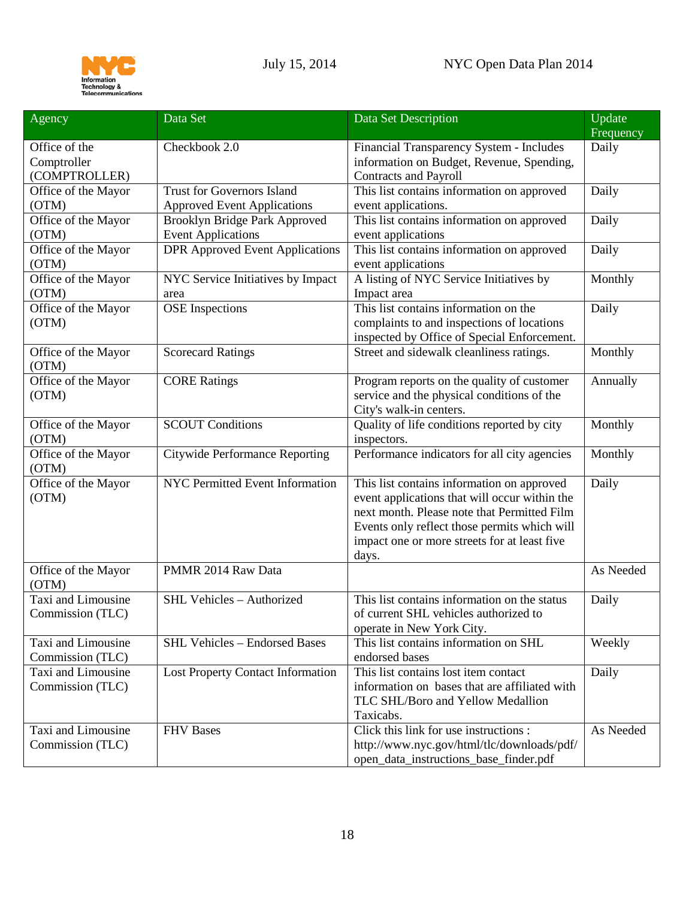

| Agency                                        | Data Set                                                                | Data Set Description                                                                                                                                                                                                                                | Update<br>Frequency |
|-----------------------------------------------|-------------------------------------------------------------------------|-----------------------------------------------------------------------------------------------------------------------------------------------------------------------------------------------------------------------------------------------------|---------------------|
| Office of the<br>Comptroller<br>(COMPTROLLER) | Checkbook 2.0                                                           | Financial Transparency System - Includes<br>information on Budget, Revenue, Spending,<br><b>Contracts and Payroll</b>                                                                                                                               | Daily               |
| Office of the Mayor<br>(OTM)                  | <b>Trust for Governors Island</b><br><b>Approved Event Applications</b> | This list contains information on approved<br>event applications.                                                                                                                                                                                   | Daily               |
| Office of the Mayor<br>(OTM)                  | Brooklyn Bridge Park Approved<br><b>Event Applications</b>              | This list contains information on approved<br>event applications                                                                                                                                                                                    | Daily               |
| Office of the Mayor<br>(OTM)                  | <b>DPR Approved Event Applications</b>                                  | This list contains information on approved<br>event applications                                                                                                                                                                                    | Daily               |
| Office of the Mayor<br>(OTM)                  | NYC Service Initiatives by Impact<br>area                               | A listing of NYC Service Initiatives by<br>Impact area                                                                                                                                                                                              | Monthly             |
| Office of the Mayor<br>(OTM)                  | <b>OSE</b> Inspections                                                  | This list contains information on the<br>complaints to and inspections of locations<br>inspected by Office of Special Enforcement.                                                                                                                  | Daily               |
| Office of the Mayor<br>(OTM)                  | Scorecard Ratings                                                       | Street and sidewalk cleanliness ratings.                                                                                                                                                                                                            | Monthly             |
| Office of the Mayor<br>(OTM)                  | <b>CORE Ratings</b>                                                     | Program reports on the quality of customer<br>service and the physical conditions of the<br>City's walk-in centers.                                                                                                                                 | Annually            |
| Office of the Mayor<br>(OTM)                  | <b>SCOUT Conditions</b>                                                 | Quality of life conditions reported by city<br>inspectors.                                                                                                                                                                                          | Monthly             |
| Office of the Mayor<br>(OTM)                  | <b>Citywide Performance Reporting</b>                                   | Performance indicators for all city agencies                                                                                                                                                                                                        | Monthly             |
| Office of the Mayor<br>(OTM)                  | NYC Permitted Event Information                                         | This list contains information on approved<br>event applications that will occur within the<br>next month. Please note that Permitted Film<br>Events only reflect those permits which will<br>impact one or more streets for at least five<br>days. | Daily               |
| Office of the Mayor<br>(OTM)                  | PMMR 2014 Raw Data                                                      |                                                                                                                                                                                                                                                     | As Needed           |
| Taxi and Limousine<br>Commission (TLC)        | SHL Vehicles - Authorized                                               | This list contains information on the status<br>of current SHL vehicles authorized to<br>operate in New York City.                                                                                                                                  | Daily               |
| Taxi and Limousine<br>Commission (TLC)        | <b>SHL Vehicles - Endorsed Bases</b>                                    | This list contains information on SHL<br>endorsed bases                                                                                                                                                                                             | Weekly              |
| Taxi and Limousine<br>Commission (TLC)        | <b>Lost Property Contact Information</b>                                | This list contains lost item contact<br>information on bases that are affiliated with<br>TLC SHL/Boro and Yellow Medallion<br>Taxicabs.                                                                                                             | Daily               |
| Taxi and Limousine<br>Commission (TLC)        | <b>FHV</b> Bases                                                        | Click this link for use instructions :<br>http://www.nyc.gov/html/tlc/downloads/pdf/<br>open_data_instructions_base_finder.pdf                                                                                                                      | As Needed           |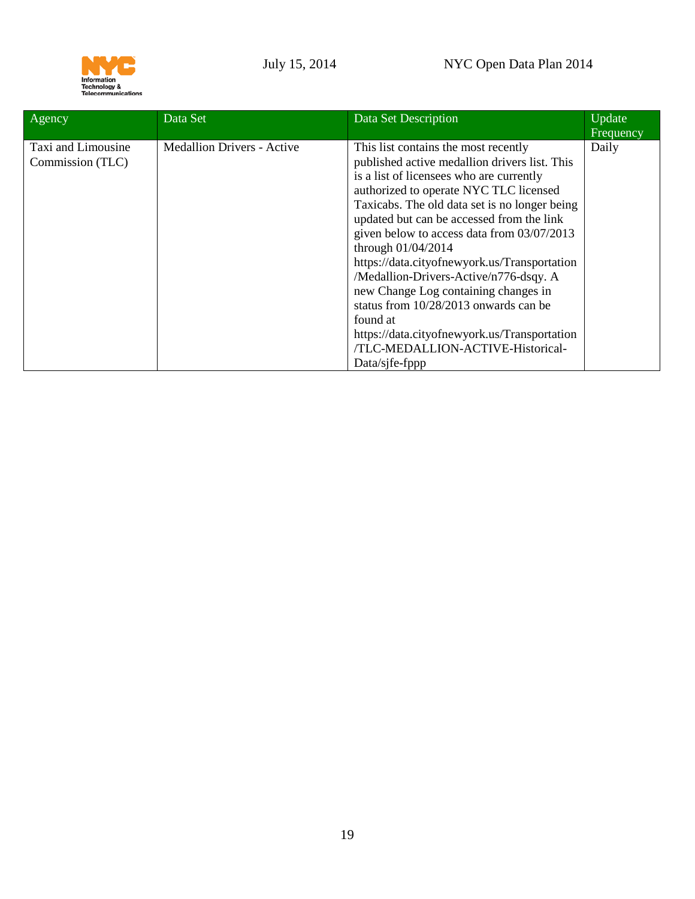

| Agency                                 | Data Set                          | Data Set Description                                                                                                                                                                                                                                                                                                                                                                                                                                                                                                                                                                                                                          | Update<br>Frequency |
|----------------------------------------|-----------------------------------|-----------------------------------------------------------------------------------------------------------------------------------------------------------------------------------------------------------------------------------------------------------------------------------------------------------------------------------------------------------------------------------------------------------------------------------------------------------------------------------------------------------------------------------------------------------------------------------------------------------------------------------------------|---------------------|
| Taxi and Limousine<br>Commission (TLC) | <b>Medallion Drivers - Active</b> | This list contains the most recently<br>published active medallion drivers list. This<br>is a list of licensees who are currently<br>authorized to operate NYC TLC licensed<br>Taxicabs. The old data set is no longer being<br>updated but can be accessed from the link<br>given below to access data from 03/07/2013<br>through $01/04/2014$<br>https://data.cityofnewyork.us/Transportation<br>/Medallion-Drivers-Active/n776-dsqy. A<br>new Change Log containing changes in<br>status from 10/28/2013 onwards can be<br>found at<br>https://data.cityofnewyork.us/Transportation<br>/TLC-MEDALLION-ACTIVE-Historical-<br>Data/sjfe-fppp | Daily               |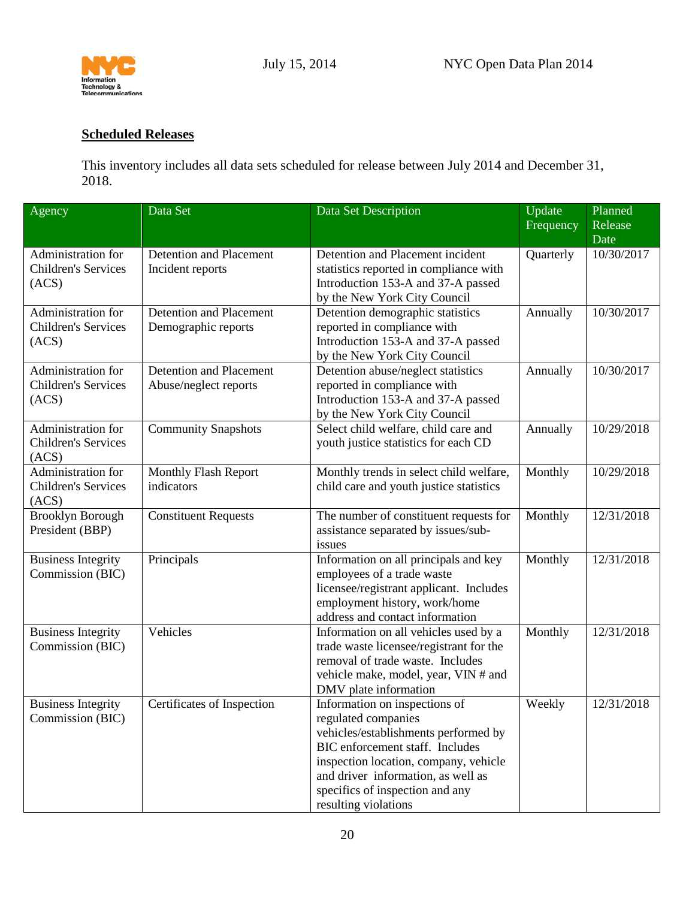

## <span id="page-19-0"></span>**Scheduled Releases**

This inventory includes all data sets scheduled for release between July 2014 and December 31, 2018.

<span id="page-19-3"></span><span id="page-19-2"></span><span id="page-19-1"></span>

| Agency                                                    | Data Set                                                | Data Set Description                                                                                                                                                                                                                                                      | Update<br>Frequency | Planned<br>Release<br>Date |
|-----------------------------------------------------------|---------------------------------------------------------|---------------------------------------------------------------------------------------------------------------------------------------------------------------------------------------------------------------------------------------------------------------------------|---------------------|----------------------------|
| Administration for<br><b>Children's Services</b><br>(ACS) | Detention and Placement<br>Incident reports             | Detention and Placement incident<br>statistics reported in compliance with<br>Introduction 153-A and 37-A passed<br>by the New York City Council                                                                                                                          | Quarterly           | 10/30/2017                 |
| Administration for<br><b>Children's Services</b><br>(ACS) | <b>Detention and Placement</b><br>Demographic reports   | Detention demographic statistics<br>reported in compliance with<br>Introduction 153-A and 37-A passed<br>by the New York City Council                                                                                                                                     | Annually            | 10/30/2017                 |
| Administration for<br><b>Children's Services</b><br>(ACS) | <b>Detention and Placement</b><br>Abuse/neglect reports | Detention abuse/neglect statistics<br>reported in compliance with<br>Introduction 153-A and 37-A passed<br>by the New York City Council                                                                                                                                   | Annually            | 10/30/2017                 |
| Administration for<br><b>Children's Services</b><br>(ACS) | <b>Community Snapshots</b>                              | Select child welfare, child care and<br>youth justice statistics for each CD                                                                                                                                                                                              | Annually            | 10/29/2018                 |
| Administration for<br><b>Children's Services</b><br>(ACS) | Monthly Flash Report<br>indicators                      | Monthly trends in select child welfare,<br>child care and youth justice statistics                                                                                                                                                                                        | Monthly             | 10/29/2018                 |
| <b>Brooklyn Borough</b><br>President (BBP)                | <b>Constituent Requests</b>                             | The number of constituent requests for<br>assistance separated by issues/sub-<br>issues                                                                                                                                                                                   | Monthly             | 12/31/2018                 |
| <b>Business Integrity</b><br>Commission (BIC)             | Principals                                              | Information on all principals and key<br>employees of a trade waste<br>licensee/registrant applicant. Includes<br>employment history, work/home<br>address and contact information                                                                                        | Monthly             | 12/31/2018                 |
| <b>Business Integrity</b><br>Commission (BIC)             | Vehicles                                                | Information on all vehicles used by a<br>trade waste licensee/registrant for the<br>removal of trade waste. Includes<br>vehicle make, model, year, VIN # and<br>DMV plate information                                                                                     | Monthly             | 12/31/2018                 |
| <b>Business Integrity</b><br>Commission (BIC)             | Certificates of Inspection                              | Information on inspections of<br>regulated companies<br>vehicles/establishments performed by<br>BIC enforcement staff. Includes<br>inspection location, company, vehicle<br>and driver information, as well as<br>specifics of inspection and any<br>resulting violations | Weekly              | 12/31/2018                 |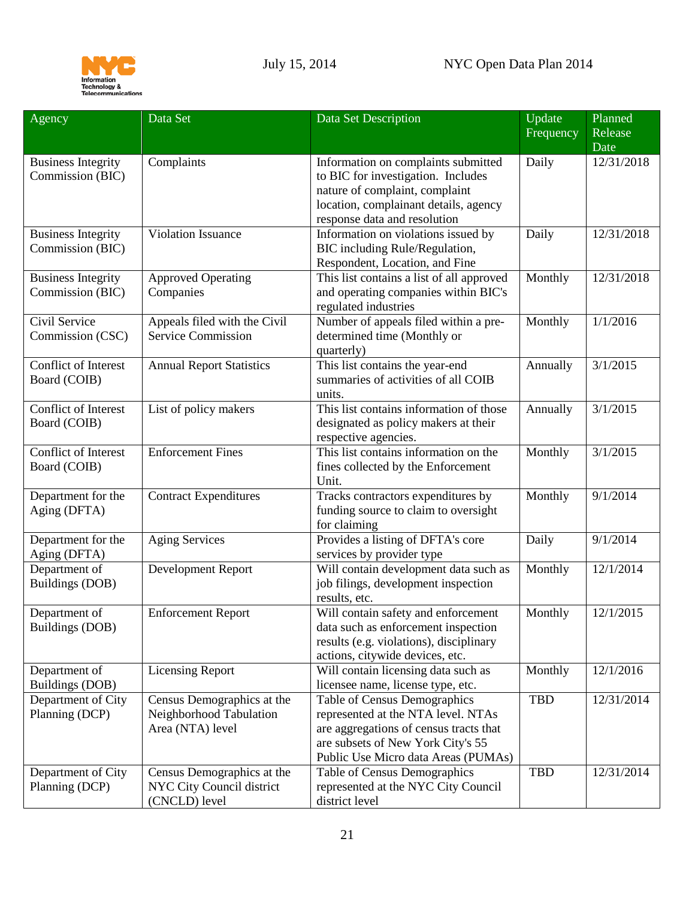

<span id="page-20-4"></span><span id="page-20-3"></span><span id="page-20-2"></span><span id="page-20-1"></span><span id="page-20-0"></span>

| Agency                                        | Data Set                                                                  | Data Set Description                                                                                                                                                                     | Update     | Planned              |
|-----------------------------------------------|---------------------------------------------------------------------------|------------------------------------------------------------------------------------------------------------------------------------------------------------------------------------------|------------|----------------------|
|                                               |                                                                           |                                                                                                                                                                                          | Frequency  | Release<br>Date      |
| <b>Business Integrity</b><br>Commission (BIC) | Complaints                                                                | Information on complaints submitted<br>to BIC for investigation. Includes<br>nature of complaint, complaint<br>location, complainant details, agency<br>response data and resolution     | Daily      | 12/31/2018           |
| <b>Business Integrity</b><br>Commission (BIC) | Violation Issuance                                                        | Information on violations issued by<br>BIC including Rule/Regulation,<br>Respondent, Location, and Fine                                                                                  | Daily      | 12/31/2018           |
| <b>Business Integrity</b><br>Commission (BIC) | <b>Approved Operating</b><br>Companies                                    | This list contains a list of all approved<br>and operating companies within BIC's<br>regulated industries                                                                                | Monthly    | 12/31/2018           |
| Civil Service<br>Commission (CSC)             | Appeals filed with the Civil<br><b>Service Commission</b>                 | Number of appeals filed within a pre-<br>determined time (Monthly or<br>quarterly)                                                                                                       | Monthly    | 1/1/2016             |
| Conflict of Interest<br>Board (COIB)          | <b>Annual Report Statistics</b>                                           | This list contains the year-end<br>summaries of activities of all COIB<br>units.                                                                                                         | Annually   | 3/1/2015             |
| Conflict of Interest<br>Board (COIB)          | List of policy makers                                                     | This list contains information of those<br>designated as policy makers at their<br>respective agencies.                                                                                  | Annually   | $\frac{1}{3}/1/2015$ |
| Conflict of Interest<br>Board (COIB)          | <b>Enforcement Fines</b>                                                  | This list contains information on the<br>fines collected by the Enforcement<br>Unit.                                                                                                     | Monthly    | 3/1/2015             |
| Department for the<br>Aging (DFTA)            | <b>Contract Expenditures</b>                                              | Tracks contractors expenditures by<br>funding source to claim to oversight<br>for claiming                                                                                               | Monthly    | 9/1/2014             |
| Department for the<br>Aging (DFTA)            | <b>Aging Services</b>                                                     | Provides a listing of DFTA's core<br>services by provider type                                                                                                                           | Daily      | 9/1/2014             |
| Department of<br>Buildings (DOB)              | Development Report                                                        | Will contain development data such as<br>job filings, development inspection<br>results, etc.                                                                                            | Monthly    | 12/1/2014            |
| Department of<br>Buildings (DOB)              | <b>Enforcement Report</b>                                                 | Will contain safety and enforcement<br>data such as enforcement inspection<br>results (e.g. violations), disciplinary<br>actions, citywide devices, etc.                                 | Monthly    | 12/1/2015            |
| Department of<br>Buildings (DOB)              | <b>Licensing Report</b>                                                   | Will contain licensing data such as<br>licensee name, license type, etc.                                                                                                                 | Monthly    | 12/1/2016            |
| Department of City<br>Planning (DCP)          | Census Demographics at the<br>Neighborhood Tabulation<br>Area (NTA) level | Table of Census Demographics<br>represented at the NTA level. NTAs<br>are aggregations of census tracts that<br>are subsets of New York City's 55<br>Public Use Micro data Areas (PUMAs) | <b>TBD</b> | 12/31/2014           |
| Department of City<br>Planning (DCP)          | Census Demographics at the<br>NYC City Council district<br>(CNCLD) level  | Table of Census Demographics<br>represented at the NYC City Council<br>district level                                                                                                    | <b>TBD</b> | 12/31/2014           |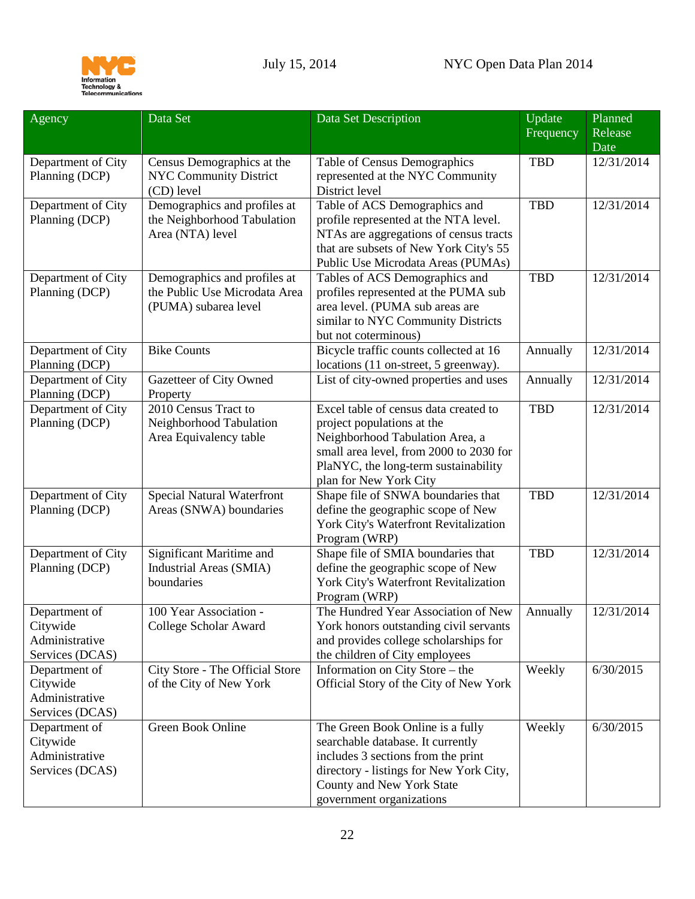

<span id="page-21-0"></span>

| Agency                                                         | Data Set                                                                              | Data Set Description                                                                                                                                                                                                | Update<br>Frequency | Planned<br>Release<br>Date |
|----------------------------------------------------------------|---------------------------------------------------------------------------------------|---------------------------------------------------------------------------------------------------------------------------------------------------------------------------------------------------------------------|---------------------|----------------------------|
| Department of City<br>Planning (DCP)                           | Census Demographics at the<br><b>NYC Community District</b><br>(CD) level             | Table of Census Demographics<br>represented at the NYC Community<br>District level                                                                                                                                  | <b>TBD</b>          | 12/31/2014                 |
| Department of City<br>Planning (DCP)                           | Demographics and profiles at<br>the Neighborhood Tabulation<br>Area (NTA) level       | Table of ACS Demographics and<br>profile represented at the NTA level.<br>NTAs are aggregations of census tracts<br>that are subsets of New York City's 55<br>Public Use Microdata Areas (PUMAs)                    | <b>TBD</b>          | 12/31/2014                 |
| Department of City<br>Planning (DCP)                           | Demographics and profiles at<br>the Public Use Microdata Area<br>(PUMA) subarea level | Tables of ACS Demographics and<br>profiles represented at the PUMA sub<br>area level. (PUMA sub areas are<br>similar to NYC Community Districts<br>but not coterminous)                                             | <b>TBD</b>          | 12/31/2014                 |
| Department of City<br>Planning (DCP)                           | <b>Bike Counts</b>                                                                    | Bicycle traffic counts collected at 16<br>locations (11 on-street, 5 greenway).                                                                                                                                     | Annually            | 12/31/2014                 |
| Department of City<br>Planning (DCP)                           | Gazetteer of City Owned<br>Property                                                   | List of city-owned properties and uses                                                                                                                                                                              | Annually            | 12/31/2014                 |
| Department of City<br>Planning (DCP)                           | 2010 Census Tract to<br>Neighborhood Tabulation<br>Area Equivalency table             | Excel table of census data created to<br>project populations at the<br>Neighborhood Tabulation Area, a<br>small area level, from 2000 to 2030 for<br>PlaNYC, the long-term sustainability<br>plan for New York City | <b>TBD</b>          | 12/31/2014                 |
| Department of City<br>Planning (DCP)                           | <b>Special Natural Waterfront</b><br>Areas (SNWA) boundaries                          | Shape file of SNWA boundaries that<br>define the geographic scope of New<br>York City's Waterfront Revitalization<br>Program (WRP)                                                                                  | <b>TBD</b>          | 12/31/2014                 |
| Department of City<br>Planning (DCP)                           | Significant Maritime and<br>Industrial Areas (SMIA)<br>boundaries                     | Shape file of SMIA boundaries that<br>define the geographic scope of New<br>York City's Waterfront Revitalization<br>Program (WRP)                                                                                  | <b>TBD</b>          | 12/31/2014                 |
| Department of<br>Citywide<br>Administrative<br>Services (DCAS) | 100 Year Association -<br>College Scholar Award                                       | The Hundred Year Association of New<br>York honors outstanding civil servants<br>and provides college scholarships for<br>the children of City employees                                                            | Annually            | 12/31/2014                 |
| Department of<br>Citywide<br>Administrative<br>Services (DCAS) | City Store - The Official Store<br>of the City of New York                            | Information on City Store – the<br>Official Story of the City of New York                                                                                                                                           | Weekly              | 6/30/2015                  |
| Department of<br>Citywide<br>Administrative<br>Services (DCAS) | Green Book Online                                                                     | The Green Book Online is a fully<br>searchable database. It currently<br>includes 3 sections from the print<br>directory - listings for New York City,<br>County and New York State<br>government organizations     | Weekly              | 6/30/2015                  |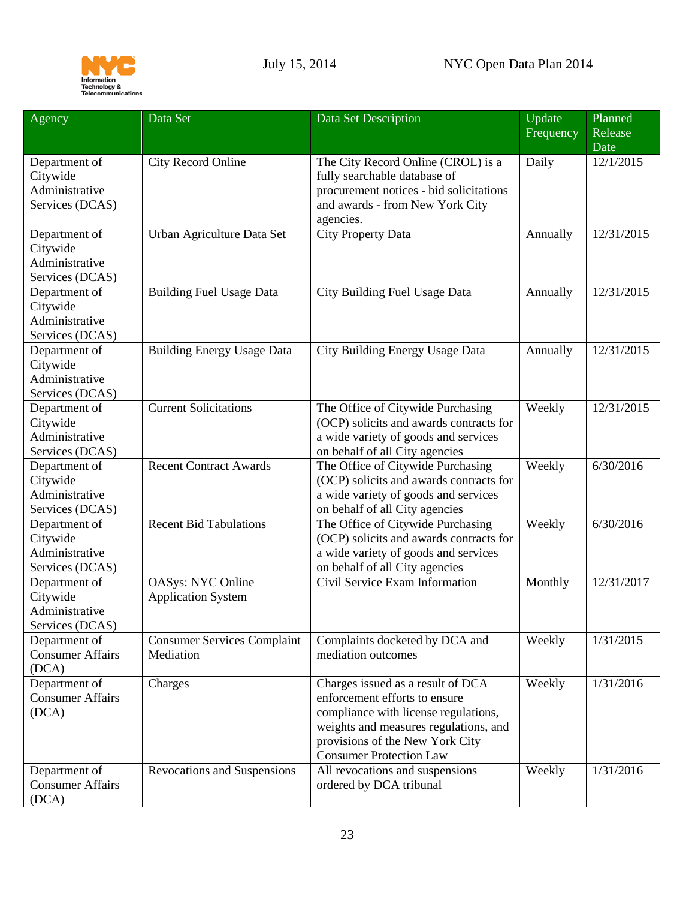

<span id="page-22-0"></span>

| Agency                                                         | Data Set                                              | Data Set Description                                                                                                                                                                                                     | Update<br>Frequency | Planned<br>Release |
|----------------------------------------------------------------|-------------------------------------------------------|--------------------------------------------------------------------------------------------------------------------------------------------------------------------------------------------------------------------------|---------------------|--------------------|
| Department of<br>Citywide<br>Administrative<br>Services (DCAS) | City Record Online                                    | The City Record Online (CROL) is a<br>fully searchable database of<br>procurement notices - bid solicitations<br>and awards - from New York City<br>agencies.                                                            | Daily               | Date<br>12/1/2015  |
| Department of<br>Citywide<br>Administrative<br>Services (DCAS) | Urban Agriculture Data Set                            | <b>City Property Data</b>                                                                                                                                                                                                | Annually            | 12/31/2015         |
| Department of<br>Citywide<br>Administrative<br>Services (DCAS) | <b>Building Fuel Usage Data</b>                       | City Building Fuel Usage Data                                                                                                                                                                                            | Annually            | 12/31/2015         |
| Department of<br>Citywide<br>Administrative<br>Services (DCAS) | <b>Building Energy Usage Data</b>                     | City Building Energy Usage Data                                                                                                                                                                                          | Annually            | 12/31/2015         |
| Department of<br>Citywide<br>Administrative<br>Services (DCAS) | <b>Current Solicitations</b>                          | The Office of Citywide Purchasing<br>(OCP) solicits and awards contracts for<br>a wide variety of goods and services<br>on behalf of all City agencies                                                                   | Weekly              | 12/31/2015         |
| Department of<br>Citywide<br>Administrative<br>Services (DCAS) | <b>Recent Contract Awards</b>                         | The Office of Citywide Purchasing<br>(OCP) solicits and awards contracts for<br>a wide variety of goods and services<br>on behalf of all City agencies                                                                   | Weekly              | 6/30/2016          |
| Department of<br>Citywide<br>Administrative<br>Services (DCAS) | <b>Recent Bid Tabulations</b>                         | The Office of Citywide Purchasing<br>(OCP) solicits and awards contracts for<br>a wide variety of goods and services<br>on behalf of all City agencies                                                                   | Weekly              | 6/30/2016          |
| Department of<br>Citywide<br>Administrative<br>Services (DCAS) | <b>OASys: NYC Online</b><br><b>Application System</b> | Civil Service Exam Information                                                                                                                                                                                           | Monthly             | 12/31/2017         |
| Department of<br><b>Consumer Affairs</b><br>(DCA)              | <b>Consumer Services Complaint</b><br>Mediation       | Complaints docketed by DCA and<br>mediation outcomes                                                                                                                                                                     | Weekly              | 1/31/2015          |
| Department of<br><b>Consumer Affairs</b><br>(DCA)              | Charges                                               | Charges issued as a result of DCA<br>enforcement efforts to ensure<br>compliance with license regulations,<br>weights and measures regulations, and<br>provisions of the New York City<br><b>Consumer Protection Law</b> | Weekly              | 1/31/2016          |
| Department of<br><b>Consumer Affairs</b><br>(DCA)              | Revocations and Suspensions                           | All revocations and suspensions<br>ordered by DCA tribunal                                                                                                                                                               | Weekly              | 1/31/2016          |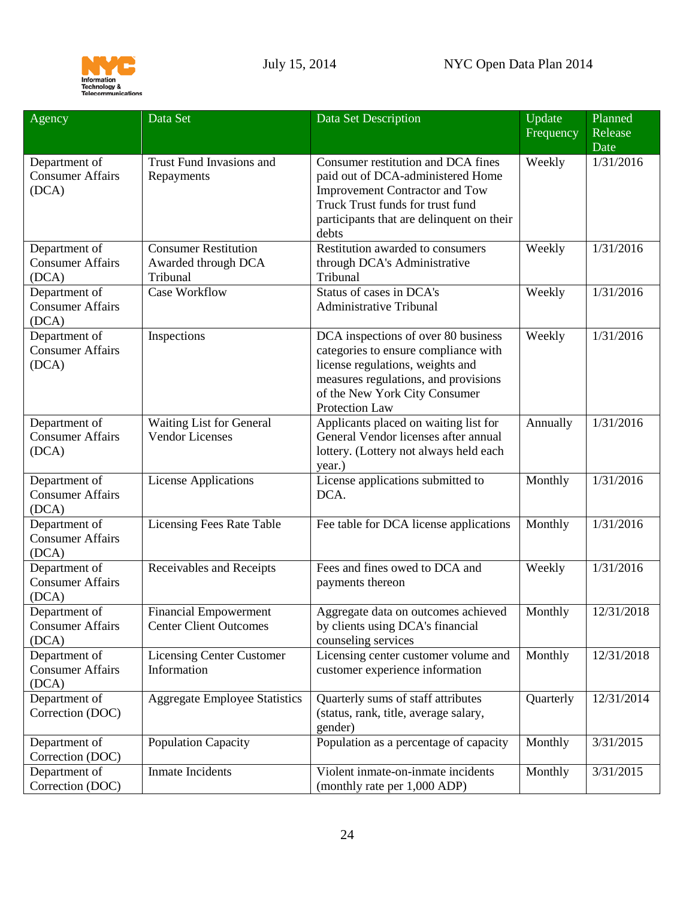

<span id="page-23-0"></span>

| Agency                                            | Data Set                                                       | Data Set Description                                                                                                                                                                                       | Update<br>Frequency | Planned<br>Release<br>Date |
|---------------------------------------------------|----------------------------------------------------------------|------------------------------------------------------------------------------------------------------------------------------------------------------------------------------------------------------------|---------------------|----------------------------|
| Department of<br><b>Consumer Affairs</b><br>(DCA) | Trust Fund Invasions and<br>Repayments                         | Consumer restitution and DCA fines<br>paid out of DCA-administered Home<br><b>Improvement Contractor and Tow</b><br>Truck Trust funds for trust fund<br>participants that are delinquent on their<br>debts | Weekly              | 1/31/2016                  |
| Department of<br><b>Consumer Affairs</b><br>(DCA) | <b>Consumer Restitution</b><br>Awarded through DCA<br>Tribunal | Restitution awarded to consumers<br>through DCA's Administrative<br>Tribunal                                                                                                                               | Weekly              | 1/31/2016                  |
| Department of<br><b>Consumer Affairs</b><br>(DCA) | Case Workflow                                                  | Status of cases in DCA's<br><b>Administrative Tribunal</b>                                                                                                                                                 | Weekly              | 1/31/2016                  |
| Department of<br><b>Consumer Affairs</b><br>(DCA) | Inspections                                                    | DCA inspections of over 80 business<br>categories to ensure compliance with<br>license regulations, weights and<br>measures regulations, and provisions<br>of the New York City Consumer<br>Protection Law | Weekly              | 1/31/2016                  |
| Department of<br><b>Consumer Affairs</b><br>(DCA) | Waiting List for General<br><b>Vendor Licenses</b>             | Applicants placed on waiting list for<br>General Vendor licenses after annual<br>lottery. (Lottery not always held each<br>year.)                                                                          | Annually            | 1/31/2016                  |
| Department of<br><b>Consumer Affairs</b><br>(DCA) | <b>License Applications</b>                                    | License applications submitted to<br>DCA.                                                                                                                                                                  | Monthly             | 1/31/2016                  |
| Department of<br><b>Consumer Affairs</b><br>(DCA) | <b>Licensing Fees Rate Table</b>                               | Fee table for DCA license applications                                                                                                                                                                     | Monthly             | 1/31/2016                  |
| Department of<br><b>Consumer Affairs</b><br>(DCA) | Receivables and Receipts                                       | Fees and fines owed to DCA and<br>payments thereon                                                                                                                                                         | Weekly              | 1/31/2016                  |
| Department of<br><b>Consumer Affairs</b><br>(DCA) | <b>Financial Empowerment</b><br><b>Center Client Outcomes</b>  | Aggregate data on outcomes achieved<br>by clients using DCA's financial<br>counseling services                                                                                                             | Monthly             | 12/31/2018                 |
| Department of<br><b>Consumer Affairs</b><br>(DCA) | <b>Licensing Center Customer</b><br>Information                | Licensing center customer volume and<br>customer experience information                                                                                                                                    | Monthly             | 12/31/2018                 |
| Department of<br>Correction (DOC)                 | <b>Aggregate Employee Statistics</b>                           | Quarterly sums of staff attributes<br>(status, rank, title, average salary,<br>gender)                                                                                                                     | Quarterly           | 12/31/2014                 |
| Department of<br>Correction (DOC)                 | <b>Population Capacity</b>                                     | Population as a percentage of capacity                                                                                                                                                                     | Monthly             | 3/31/2015                  |
| Department of<br>Correction (DOC)                 | <b>Inmate Incidents</b>                                        | Violent inmate-on-inmate incidents<br>(monthly rate per 1,000 ADP)                                                                                                                                         | Monthly             | 3/31/2015                  |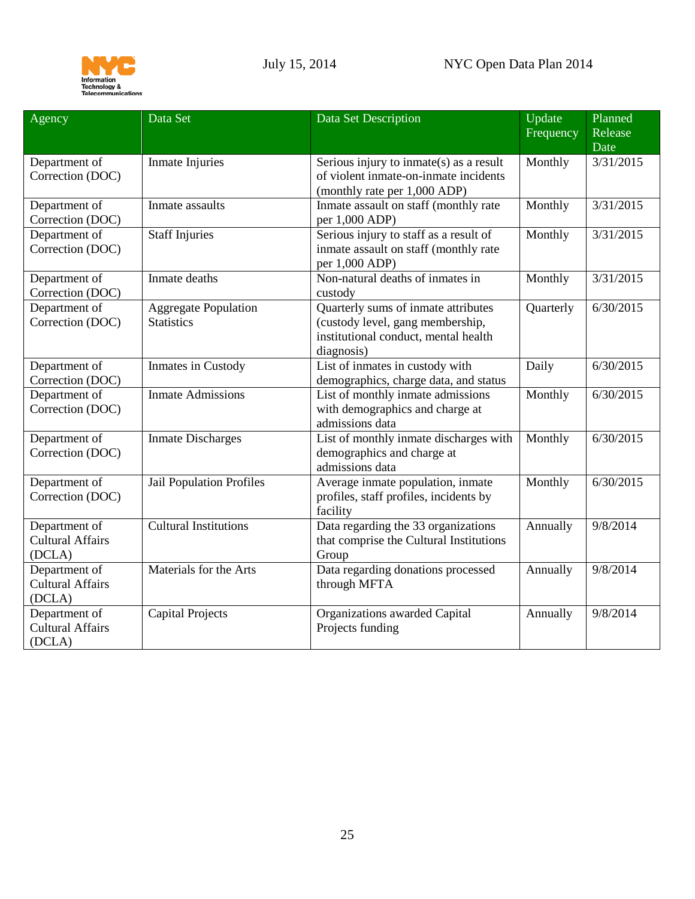

<span id="page-24-0"></span>

| Agency                  | Data Set                     | Data Set Description                        | Update<br>Frequency | Planned<br>Release |
|-------------------------|------------------------------|---------------------------------------------|---------------------|--------------------|
|                         |                              |                                             |                     | Date               |
| Department of           | Inmate Injuries              | Serious injury to inmate( $s$ ) as a result | Monthly             | 3/31/2015          |
| Correction (DOC)        |                              | of violent inmate-on-inmate incidents       |                     |                    |
|                         |                              | (monthly rate per 1,000 ADP)                |                     |                    |
| Department of           | Inmate assaults              | Inmate assault on staff (monthly rate       | Monthly             | 3/31/2015          |
| Correction (DOC)        |                              | per 1,000 ADP)                              |                     |                    |
| Department of           | Staff Injuries               | Serious injury to staff as a result of      | Monthly             | 3/31/2015          |
| Correction (DOC)        |                              | inmate assault on staff (monthly rate       |                     |                    |
|                         |                              | per 1,000 ADP)                              |                     |                    |
| Department of           | Inmate deaths                | Non-natural deaths of inmates in            | Monthly             | 3/31/2015          |
| Correction (DOC)        |                              | custody                                     |                     |                    |
| Department of           | <b>Aggregate Population</b>  | Quarterly sums of inmate attributes         | Quarterly           | 6/30/2015          |
| Correction (DOC)        | <b>Statistics</b>            | (custody level, gang membership,            |                     |                    |
|                         |                              | institutional conduct, mental health        |                     |                    |
|                         |                              | diagnosis)                                  |                     |                    |
| Department of           | Inmates in Custody           | List of inmates in custody with             | Daily               | 6/30/2015          |
| Correction (DOC)        |                              | demographics, charge data, and status       |                     |                    |
| Department of           | <b>Inmate Admissions</b>     | List of monthly inmate admissions           | Monthly             | 6/30/2015          |
| Correction (DOC)        |                              | with demographics and charge at             |                     |                    |
|                         |                              | admissions data                             |                     |                    |
| Department of           | <b>Inmate Discharges</b>     | List of monthly inmate discharges with      | Monthly             | 6/30/2015          |
| Correction (DOC)        |                              | demographics and charge at                  |                     |                    |
|                         |                              | admissions data                             |                     |                    |
| Department of           | Jail Population Profiles     | Average inmate population, inmate           | Monthly             | 6/30/2015          |
| Correction (DOC)        |                              | profiles, staff profiles, incidents by      |                     |                    |
|                         |                              | facility                                    |                     |                    |
| Department of           | <b>Cultural Institutions</b> | Data regarding the 33 organizations         | Annually            | 9/8/2014           |
| <b>Cultural Affairs</b> |                              | that comprise the Cultural Institutions     |                     |                    |
| (DCLA)                  |                              | Group                                       |                     |                    |
| Department of           | Materials for the Arts       | Data regarding donations processed          | Annually            | 9/8/2014           |
| <b>Cultural Affairs</b> |                              | through MFTA                                |                     |                    |
| (DCLA)                  |                              |                                             |                     |                    |
| Department of           | <b>Capital Projects</b>      | Organizations awarded Capital               | Annually            | 9/8/2014           |
| <b>Cultural Affairs</b> |                              | Projects funding                            |                     |                    |
| (DCLA)                  |                              |                                             |                     |                    |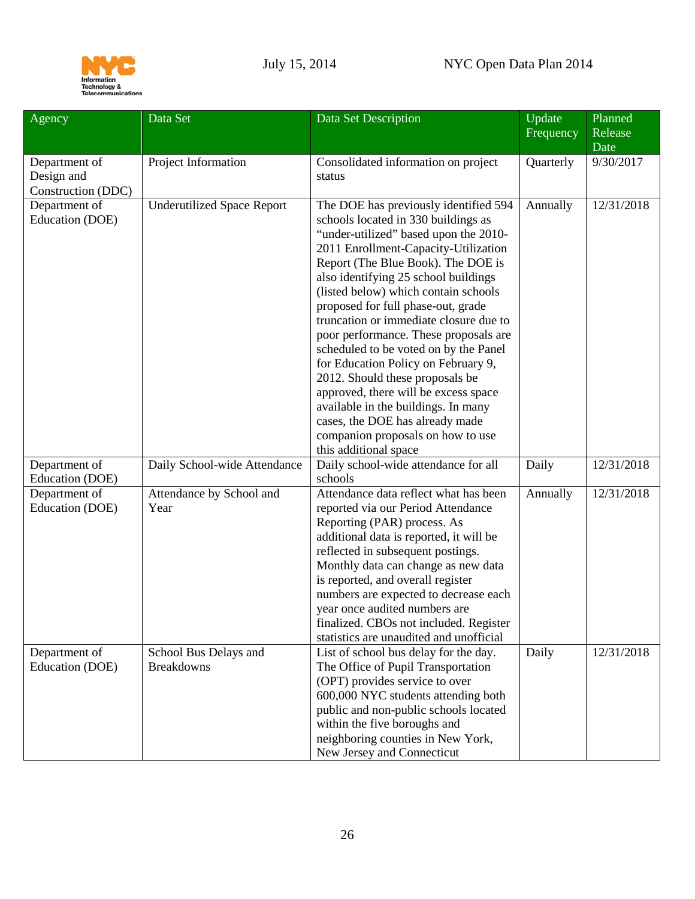

<span id="page-25-1"></span><span id="page-25-0"></span>

| Agency                                            | Data Set                                   | Data Set Description                                                                                                                                                                                                                                                                                                                                                                                                                                                                                                                                                                                                                                                                                            | Update<br>Frequency | Planned<br>Release<br>Date |
|---------------------------------------------------|--------------------------------------------|-----------------------------------------------------------------------------------------------------------------------------------------------------------------------------------------------------------------------------------------------------------------------------------------------------------------------------------------------------------------------------------------------------------------------------------------------------------------------------------------------------------------------------------------------------------------------------------------------------------------------------------------------------------------------------------------------------------------|---------------------|----------------------------|
| Department of<br>Design and<br>Construction (DDC) | Project Information                        | Consolidated information on project<br>status                                                                                                                                                                                                                                                                                                                                                                                                                                                                                                                                                                                                                                                                   | Quarterly           | 9/30/2017                  |
| Department of<br>Education (DOE)                  | <b>Underutilized Space Report</b>          | The DOE has previously identified 594<br>schools located in 330 buildings as<br>"under-utilized" based upon the 2010-<br>2011 Enrollment-Capacity-Utilization<br>Report (The Blue Book). The DOE is<br>also identifying 25 school buildings<br>(listed below) which contain schools<br>proposed for full phase-out, grade<br>truncation or immediate closure due to<br>poor performance. These proposals are<br>scheduled to be voted on by the Panel<br>for Education Policy on February 9,<br>2012. Should these proposals be<br>approved, there will be excess space<br>available in the buildings. In many<br>cases, the DOE has already made<br>companion proposals on how to use<br>this additional space | Annually            | 12/31/2018                 |
| Department of<br>Education (DOE)                  | Daily School-wide Attendance               | Daily school-wide attendance for all<br>schools                                                                                                                                                                                                                                                                                                                                                                                                                                                                                                                                                                                                                                                                 | Daily               | 12/31/2018                 |
| Department of<br>Education (DOE)                  | Attendance by School and<br>Year           | Attendance data reflect what has been<br>reported via our Period Attendance<br>Reporting (PAR) process. As<br>additional data is reported, it will be<br>reflected in subsequent postings.<br>Monthly data can change as new data<br>is reported, and overall register<br>numbers are expected to decrease each<br>year once audited numbers are<br>finalized. CBOs not included. Register<br>statistics are unaudited and unofficial                                                                                                                                                                                                                                                                           | Annually            | 12/31/2018                 |
| Department of<br>Education (DOE)                  | School Bus Delays and<br><b>Breakdowns</b> | List of school bus delay for the day.<br>The Office of Pupil Transportation<br>(OPT) provides service to over<br>600,000 NYC students attending both<br>public and non-public schools located<br>within the five boroughs and<br>neighboring counties in New York,<br>New Jersey and Connecticut                                                                                                                                                                                                                                                                                                                                                                                                                | Daily               | 12/31/2018                 |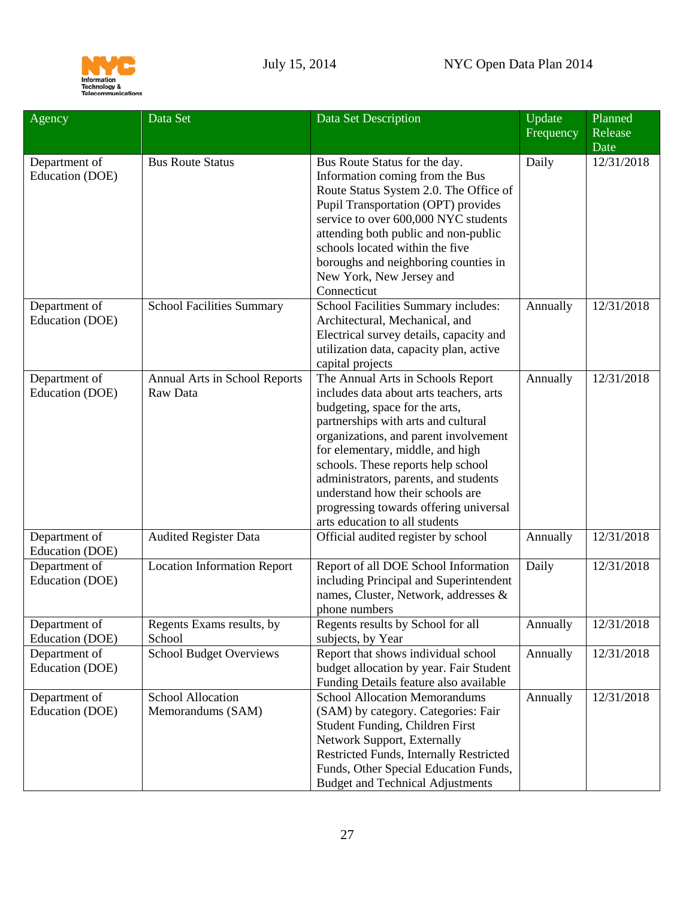

| Agency                           | Data Set                                      | Data Set Description                                                                                                                                                                                                                                                                                                                                                                                                              | Update<br>Frequency | Planned<br>Release<br>Date |
|----------------------------------|-----------------------------------------------|-----------------------------------------------------------------------------------------------------------------------------------------------------------------------------------------------------------------------------------------------------------------------------------------------------------------------------------------------------------------------------------------------------------------------------------|---------------------|----------------------------|
| Department of<br>Education (DOE) | <b>Bus Route Status</b>                       | Bus Route Status for the day.<br>Information coming from the Bus<br>Route Status System 2.0. The Office of<br>Pupil Transportation (OPT) provides<br>service to over 600,000 NYC students<br>attending both public and non-public<br>schools located within the five<br>boroughs and neighboring counties in<br>New York, New Jersey and<br>Connecticut                                                                           | Daily               | 12/31/2018                 |
| Department of<br>Education (DOE) | <b>School Facilities Summary</b>              | School Facilities Summary includes:<br>Architectural, Mechanical, and<br>Electrical survey details, capacity and<br>utilization data, capacity plan, active<br>capital projects                                                                                                                                                                                                                                                   | Annually            | 12/31/2018                 |
| Department of<br>Education (DOE) | Annual Arts in School Reports<br>Raw Data     | The Annual Arts in Schools Report<br>includes data about arts teachers, arts<br>budgeting, space for the arts,<br>partnerships with arts and cultural<br>organizations, and parent involvement<br>for elementary, middle, and high<br>schools. These reports help school<br>administrators, parents, and students<br>understand how their schools are<br>progressing towards offering universal<br>arts education to all students | Annually            | 12/31/2018                 |
| Department of<br>Education (DOE) | <b>Audited Register Data</b>                  | Official audited register by school                                                                                                                                                                                                                                                                                                                                                                                               | Annually            | 12/31/2018                 |
| Department of<br>Education (DOE) | <b>Location Information Report</b>            | Report of all DOE School Information<br>including Principal and Superintendent<br>names, Cluster, Network, addresses &<br>phone numbers                                                                                                                                                                                                                                                                                           | Daily               | 12/31/2018                 |
| Department of<br>Education (DOE) | Regents Exams results, by<br>School           | Regents results by School for all<br>subjects, by Year                                                                                                                                                                                                                                                                                                                                                                            | Annually            | 12/31/2018                 |
| Department of<br>Education (DOE) | <b>School Budget Overviews</b>                | Report that shows individual school<br>budget allocation by year. Fair Student<br>Funding Details feature also available                                                                                                                                                                                                                                                                                                          | Annually            | 12/31/2018                 |
| Department of<br>Education (DOE) | <b>School Allocation</b><br>Memorandums (SAM) | <b>School Allocation Memorandums</b><br>(SAM) by category. Categories: Fair<br>Student Funding, Children First<br>Network Support, Externally<br>Restricted Funds, Internally Restricted<br>Funds, Other Special Education Funds,<br><b>Budget and Technical Adjustments</b>                                                                                                                                                      | Annually            | 12/31/2018                 |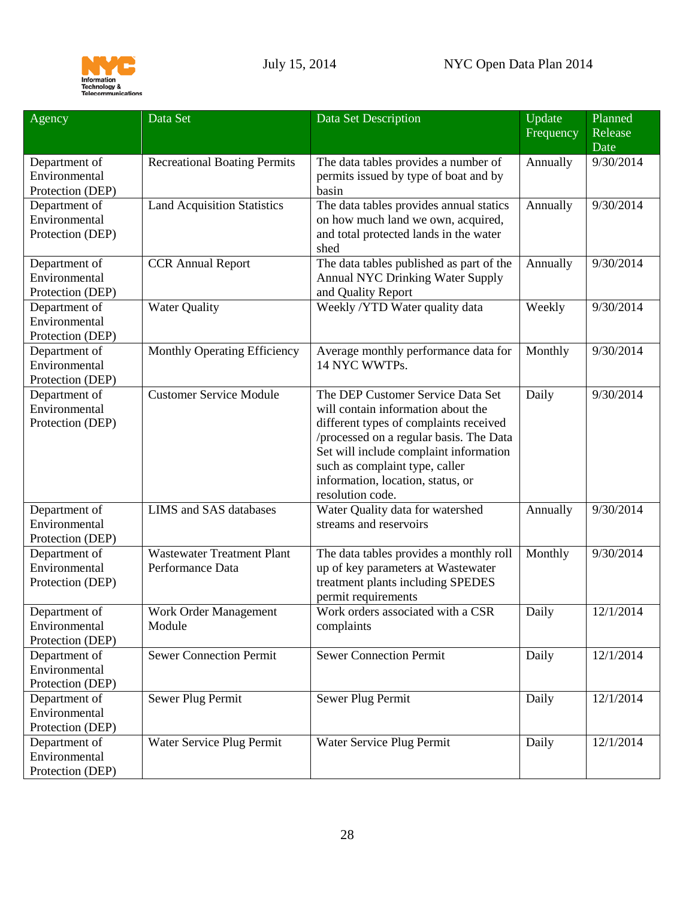

<span id="page-27-0"></span>

| Agency                                             | Data Set                                              | Data Set Description                                                                                                                                                                                                                                                                              | Update<br>Frequency | Planned<br>Release<br>Date |
|----------------------------------------------------|-------------------------------------------------------|---------------------------------------------------------------------------------------------------------------------------------------------------------------------------------------------------------------------------------------------------------------------------------------------------|---------------------|----------------------------|
| Department of<br>Environmental<br>Protection (DEP) | <b>Recreational Boating Permits</b>                   | The data tables provides a number of<br>permits issued by type of boat and by<br>basin                                                                                                                                                                                                            | Annually            | 9/30/2014                  |
| Department of<br>Environmental<br>Protection (DEP) | <b>Land Acquisition Statistics</b>                    | The data tables provides annual statics<br>on how much land we own, acquired,<br>and total protected lands in the water<br>shed                                                                                                                                                                   | Annually            | 9/30/2014                  |
| Department of<br>Environmental<br>Protection (DEP) | <b>CCR Annual Report</b>                              | The data tables published as part of the<br><b>Annual NYC Drinking Water Supply</b><br>and Quality Report                                                                                                                                                                                         | Annually            | 9/30/2014                  |
| Department of<br>Environmental<br>Protection (DEP) | <b>Water Quality</b>                                  | Weekly /YTD Water quality data                                                                                                                                                                                                                                                                    | Weekly              | 9/30/2014                  |
| Department of<br>Environmental<br>Protection (DEP) | Monthly Operating Efficiency                          | Average monthly performance data for<br>14 NYC WWTPs.                                                                                                                                                                                                                                             | Monthly             | 9/30/2014                  |
| Department of<br>Environmental<br>Protection (DEP) | <b>Customer Service Module</b>                        | The DEP Customer Service Data Set<br>will contain information about the<br>different types of complaints received<br>/processed on a regular basis. The Data<br>Set will include complaint information<br>such as complaint type, caller<br>information, location, status, or<br>resolution code. | Daily               | 9/30/2014                  |
| Department of<br>Environmental<br>Protection (DEP) | LIMS and SAS databases                                | Water Quality data for watershed<br>streams and reservoirs                                                                                                                                                                                                                                        | Annually            | 9/30/2014                  |
| Department of<br>Environmental<br>Protection (DEP) | <b>Wastewater Treatment Plant</b><br>Performance Data | The data tables provides a monthly roll<br>up of key parameters at Wastewater<br>treatment plants including SPEDES<br>permit requirements                                                                                                                                                         | Monthly             | 9/30/2014                  |
| Department of<br>Environmental<br>Protection (DEP) | Work Order Management<br>Module                       | Work orders associated with a CSR<br>complaints                                                                                                                                                                                                                                                   | Daily               | 12/1/2014                  |
| Department of<br>Environmental<br>Protection (DEP) | <b>Sewer Connection Permit</b>                        | <b>Sewer Connection Permit</b>                                                                                                                                                                                                                                                                    | Daily               | 12/1/2014                  |
| Department of<br>Environmental<br>Protection (DEP) | Sewer Plug Permit                                     | Sewer Plug Permit                                                                                                                                                                                                                                                                                 | Daily               | 12/1/2014                  |
| Department of<br>Environmental<br>Protection (DEP) | Water Service Plug Permit                             | Water Service Plug Permit                                                                                                                                                                                                                                                                         | Daily               | 12/1/2014                  |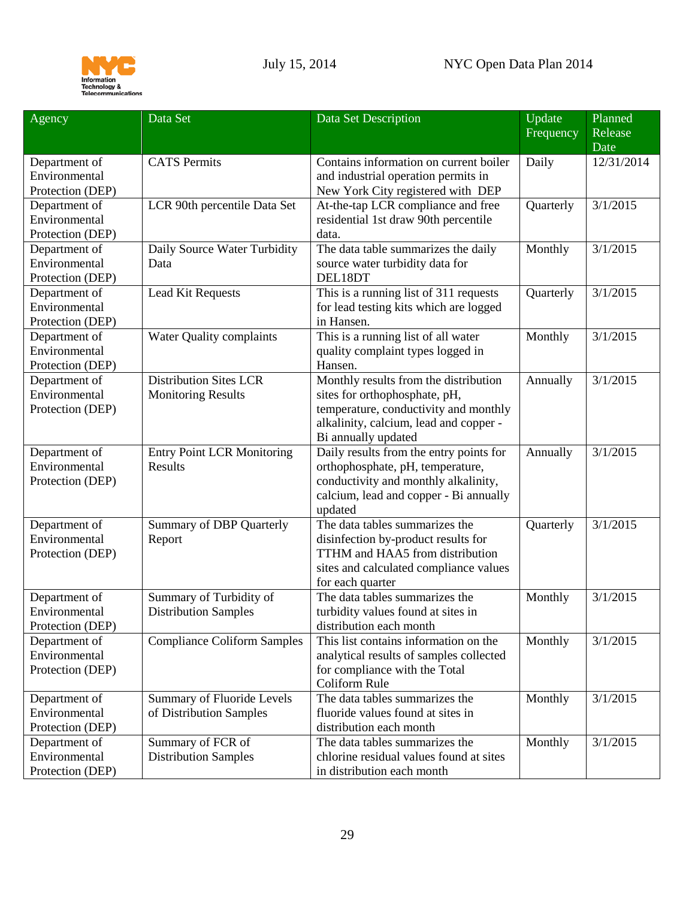

| Frequency<br>Release<br>Date<br><b>CATS</b> Permits<br>Daily<br>Department of<br>Contains information on current boiler         | 12/31/2014 |
|---------------------------------------------------------------------------------------------------------------------------------|------------|
|                                                                                                                                 |            |
|                                                                                                                                 |            |
| Environmental<br>and industrial operation permits in                                                                            |            |
| Protection (DEP)<br>New York City registered with DEP                                                                           |            |
| LCR 90th percentile Data Set<br>At-the-tap LCR compliance and free<br>3/1/2015<br>Department of<br>Quarterly                    |            |
| Environmental<br>residential 1st draw 90th percentile                                                                           |            |
| Protection (DEP)<br>data.                                                                                                       |            |
| Department of<br>Daily Source Water Turbidity<br>The data table summarizes the daily<br>3/1/2015<br>Monthly                     |            |
| Environmental<br>source water turbidity data for<br>Data                                                                        |            |
| DEL18DT<br>Protection (DEP)                                                                                                     |            |
| This is a running list of 311 requests<br>3/1/2015<br>Lead Kit Requests<br>Quarterly<br>Department of                           |            |
| Environmental<br>for lead testing kits which are logged                                                                         |            |
| in Hansen.<br>Protection (DEP)                                                                                                  |            |
| This is a running list of all water<br>Monthly<br>Department of<br>Water Quality complaints<br>3/1/2015                         |            |
| Environmental<br>quality complaint types logged in                                                                              |            |
| Hansen.<br>Protection (DEP)                                                                                                     |            |
| <b>Distribution Sites LCR</b><br>Department of<br>Monthly results from the distribution<br>3/1/2015<br>Annually                 |            |
| Environmental<br>sites for orthophosphate, pH,<br><b>Monitoring Results</b>                                                     |            |
| temperature, conductivity and monthly<br>Protection (DEP)                                                                       |            |
| alkalinity, calcium, lead and copper -                                                                                          |            |
| Bi annually updated                                                                                                             |            |
| Daily results from the entry points for<br><b>Entry Point LCR Monitoring</b><br>3/1/2015<br>Department of<br>Annually           |            |
| Environmental<br>Results<br>orthophosphate, pH, temperature,                                                                    |            |
| conductivity and monthly alkalinity,<br>Protection (DEP)                                                                        |            |
| calcium, lead and copper - Bi annually                                                                                          |            |
| updated                                                                                                                         |            |
| The data tables summarizes the<br>Department of<br><b>Summary of DBP Quarterly</b><br>Quarterly<br>3/1/2015                     |            |
| Environmental<br>disinfection by-product results for<br>Report                                                                  |            |
| TTHM and HAA5 from distribution<br>Protection (DEP)                                                                             |            |
| sites and calculated compliance values                                                                                          |            |
| for each quarter                                                                                                                |            |
| Department of<br>Summary of Turbidity of<br>The data tables summarizes the<br>3/1/2015<br>Monthly                               |            |
| <b>Distribution Samples</b><br>Environmental<br>turbidity values found at sites in                                              |            |
| Protection (DEP)<br>distribution each month                                                                                     |            |
| This list contains information on the<br><b>Compliance Coliform Samples</b><br>Monthly<br>3/1/2015<br>Department of             |            |
| Environmental<br>analytical results of samples collected                                                                        |            |
| Protection (DEP)<br>for compliance with the Total<br>Coliform Rule                                                              |            |
| The data tables summarizes the                                                                                                  |            |
| <b>Summary of Fluoride Levels</b><br>Monthly<br>3/1/2015<br>Department of<br>fluoride values found at sites in<br>Environmental |            |
| of Distribution Samples<br>distribution each month                                                                              |            |
| Protection (DEP)<br>Summary of FCR of<br>The data tables summarizes the<br>Monthly<br>3/1/2015                                  |            |
| Department of<br>Environmental<br>chlorine residual values found at sites<br><b>Distribution Samples</b>                        |            |
| Protection (DEP)<br>in distribution each month                                                                                  |            |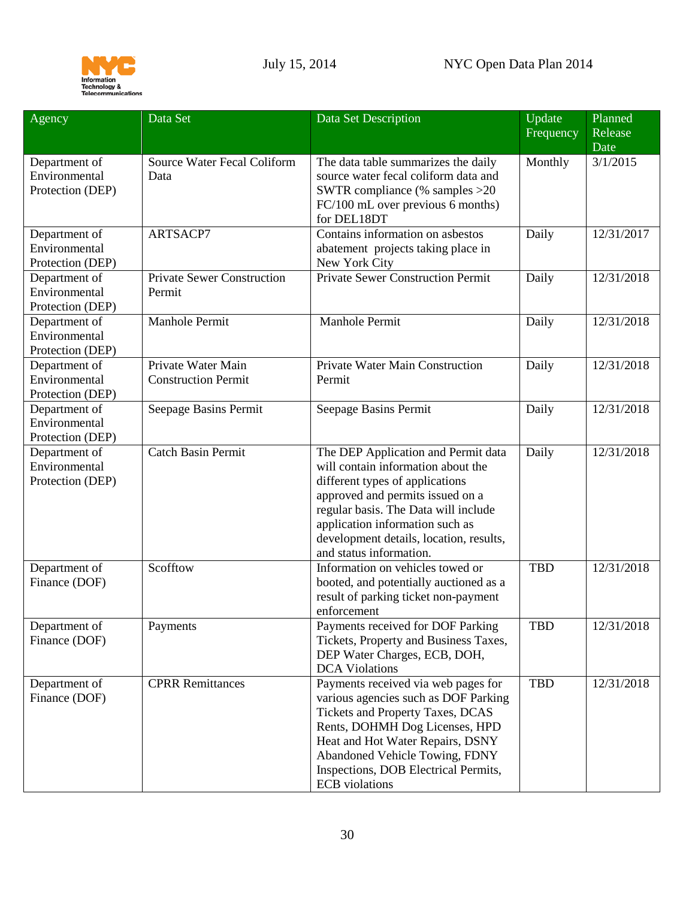

<span id="page-29-0"></span>

| Agency                                             | Data Set                                         | Data Set Description                                                                                                                                                                                                                                                                              | Update<br>Frequency | Planned<br>Release<br>Date |
|----------------------------------------------------|--------------------------------------------------|---------------------------------------------------------------------------------------------------------------------------------------------------------------------------------------------------------------------------------------------------------------------------------------------------|---------------------|----------------------------|
| Department of<br>Environmental<br>Protection (DEP) | <b>Source Water Fecal Coliform</b><br>Data       | The data table summarizes the daily<br>source water fecal coliform data and<br>SWTR compliance (% samples $>20$<br>FC/100 mL over previous 6 months)<br>for DEL18DT                                                                                                                               | Monthly             | 3/1/2015                   |
| Department of<br>Environmental<br>Protection (DEP) | ARTSACP7                                         | Contains information on asbestos<br>abatement projects taking place in<br>New York City                                                                                                                                                                                                           | Daily               | 12/31/2017                 |
| Department of<br>Environmental<br>Protection (DEP) | <b>Private Sewer Construction</b><br>Permit      | Private Sewer Construction Permit                                                                                                                                                                                                                                                                 | Daily               | 12/31/2018                 |
| Department of<br>Environmental<br>Protection (DEP) | Manhole Permit                                   | Manhole Permit                                                                                                                                                                                                                                                                                    | Daily               | 12/31/2018                 |
| Department of<br>Environmental<br>Protection (DEP) | Private Water Main<br><b>Construction Permit</b> | Private Water Main Construction<br>Permit                                                                                                                                                                                                                                                         | Daily               | 12/31/2018                 |
| Department of<br>Environmental<br>Protection (DEP) | Seepage Basins Permit                            | Seepage Basins Permit                                                                                                                                                                                                                                                                             | Daily               | 12/31/2018                 |
| Department of<br>Environmental<br>Protection (DEP) | <b>Catch Basin Permit</b>                        | The DEP Application and Permit data<br>will contain information about the<br>different types of applications<br>approved and permits issued on a<br>regular basis. The Data will include<br>application information such as<br>development details, location, results,<br>and status information. | Daily               | 12/31/2018                 |
| Department of<br>Finance (DOF)                     | Scofftow                                         | Information on vehicles towed or<br>booted, and potentially auctioned as a<br>result of parking ticket non-payment<br>enforcement                                                                                                                                                                 | <b>TBD</b>          | 12/31/2018                 |
| Department of<br>Finance (DOF)                     | Payments                                         | Payments received for DOF Parking<br>Tickets, Property and Business Taxes,<br>DEP Water Charges, ECB, DOH,<br><b>DCA</b> Violations                                                                                                                                                               | TBD                 | 12/31/2018                 |
| Department of<br>Finance (DOF)                     | <b>CPRR</b> Remittances                          | Payments received via web pages for<br>various agencies such as DOF Parking<br>Tickets and Property Taxes, DCAS<br>Rents, DOHMH Dog Licenses, HPD<br>Heat and Hot Water Repairs, DSNY<br>Abandoned Vehicle Towing, FDNY<br>Inspections, DOB Electrical Permits,<br><b>ECB</b> violations          | <b>TBD</b>          | 12/31/2018                 |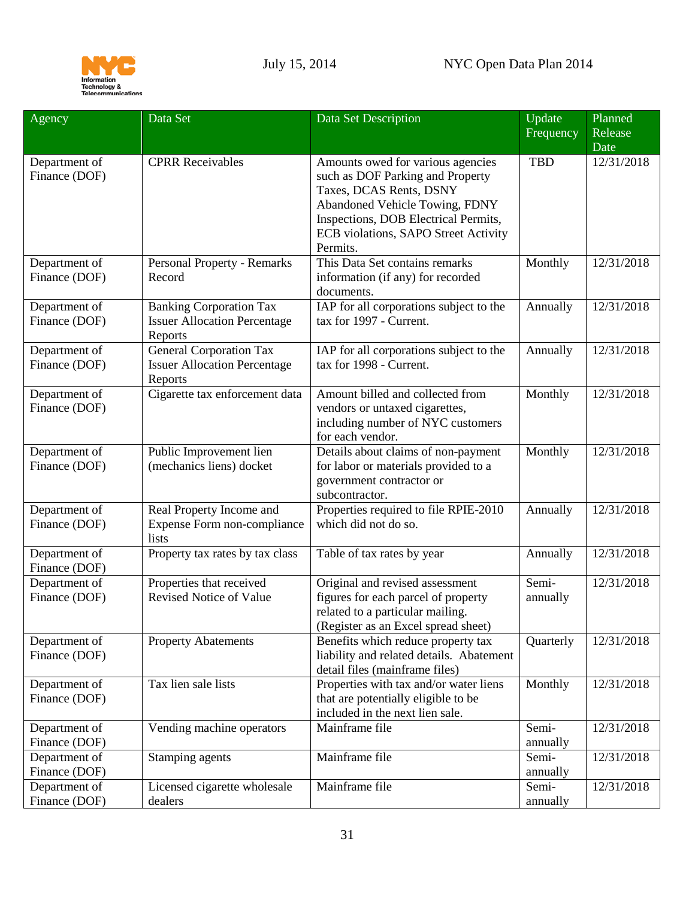

| Agency                                          | Data Set                                                                         | Data Set Description                                                                                                                                                                                                           | Update<br>Frequency        | Planned<br>Release       |
|-------------------------------------------------|----------------------------------------------------------------------------------|--------------------------------------------------------------------------------------------------------------------------------------------------------------------------------------------------------------------------------|----------------------------|--------------------------|
|                                                 |                                                                                  |                                                                                                                                                                                                                                |                            | Date                     |
| Department of<br>Finance (DOF)                  | <b>CPRR</b> Receivables                                                          | Amounts owed for various agencies<br>such as DOF Parking and Property<br>Taxes, DCAS Rents, DSNY<br>Abandoned Vehicle Towing, FDNY<br>Inspections, DOB Electrical Permits,<br>ECB violations, SAPO Street Activity<br>Permits. | <b>TBD</b>                 | 12/31/2018               |
| Department of<br>Finance (DOF)                  | <b>Personal Property - Remarks</b><br>Record                                     | This Data Set contains remarks<br>information (if any) for recorded<br>documents.                                                                                                                                              | Monthly                    | 12/31/2018               |
| Department of<br>Finance (DOF)                  | <b>Banking Corporation Tax</b><br><b>Issuer Allocation Percentage</b><br>Reports | IAP for all corporations subject to the<br>tax for 1997 - Current.                                                                                                                                                             | Annually                   | 12/31/2018               |
| Department of<br>Finance (DOF)                  | General Corporation Tax<br><b>Issuer Allocation Percentage</b><br>Reports        | IAP for all corporations subject to the<br>tax for 1998 - Current.                                                                                                                                                             | Annually                   | 12/31/2018               |
| Department of<br>Finance (DOF)                  | Cigarette tax enforcement data                                                   | Amount billed and collected from<br>vendors or untaxed cigarettes,<br>including number of NYC customers<br>for each vendor.                                                                                                    | Monthly                    | 12/31/2018               |
| Department of<br>Finance (DOF)                  | Public Improvement lien<br>(mechanics liens) docket                              | Details about claims of non-payment<br>for labor or materials provided to a<br>government contractor or<br>subcontractor.                                                                                                      | Monthly                    | 12/31/2018               |
| Department of<br>Finance (DOF)                  | Real Property Income and<br>Expense Form non-compliance<br>lists                 | Properties required to file RPIE-2010<br>which did not do so.                                                                                                                                                                  | Annually                   | 12/31/2018               |
| Department of<br>Finance (DOF)                  | Property tax rates by tax class                                                  | Table of tax rates by year                                                                                                                                                                                                     | Annually                   | 12/31/2018               |
| Department of<br>Finance (DOF)                  | Properties that received<br><b>Revised Notice of Value</b>                       | Original and revised assessment<br>figures for each parcel of property<br>related to a particular mailing.<br>(Register as an Excel spread sheet)                                                                              | Semi-<br>annually          | 12/31/2018               |
| Department of<br>Finance (DOF)                  | <b>Property Abatements</b>                                                       | Benefits which reduce property tax<br>liability and related details. Abatement<br>detail files (mainframe files)                                                                                                               | Quarterly                  | 12/31/2018               |
| Department of<br>Finance (DOF)                  | Tax lien sale lists                                                              | Properties with tax and/or water liens<br>that are potentially eligible to be<br>included in the next lien sale.                                                                                                               | Monthly                    | 12/31/2018               |
| Department of<br>Finance (DOF)<br>Department of | Vending machine operators<br>Stamping agents                                     | Mainframe file<br>Mainframe file                                                                                                                                                                                               | Semi-<br>annually<br>Semi- | 12/31/2018<br>12/31/2018 |
| Finance (DOF)<br>Department of                  | Licensed cigarette wholesale                                                     | Mainframe file                                                                                                                                                                                                                 | annually<br>Semi-          | 12/31/2018               |
| Finance (DOF)                                   | dealers                                                                          |                                                                                                                                                                                                                                | annually                   |                          |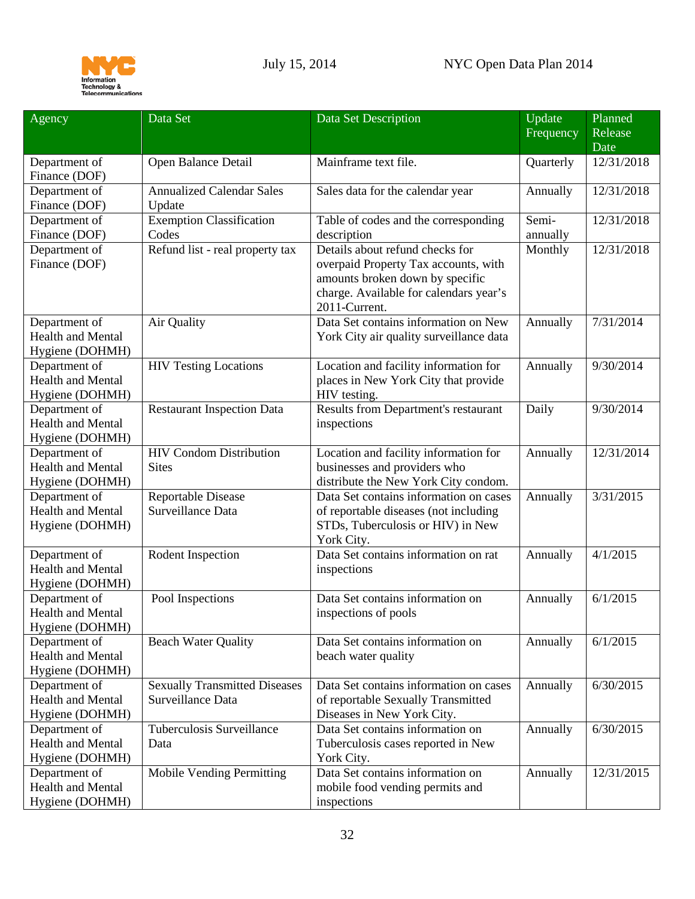

<span id="page-31-0"></span>

| Agency                               | Data Set                                                  | Data Set Description                                                    | Update    | Planned         |
|--------------------------------------|-----------------------------------------------------------|-------------------------------------------------------------------------|-----------|-----------------|
|                                      |                                                           |                                                                         | Frequency | Release<br>Date |
| Department of                        | Open Balance Detail                                       | Mainframe text file.                                                    | Quarterly | 12/31/2018      |
| Finance (DOF)                        |                                                           |                                                                         |           |                 |
| Department of                        | <b>Annualized Calendar Sales</b>                          | Sales data for the calendar year                                        | Annually  | 12/31/2018      |
| Finance (DOF)                        | Update                                                    |                                                                         |           |                 |
| Department of                        | <b>Exemption Classification</b>                           | Table of codes and the corresponding                                    | Semi-     | 12/31/2018      |
| Finance (DOF)                        | Codes                                                     | description                                                             | annually  |                 |
| Department of                        | Refund list - real property tax                           | Details about refund checks for                                         | Monthly   | 12/31/2018      |
| Finance (DOF)                        |                                                           | overpaid Property Tax accounts, with<br>amounts broken down by specific |           |                 |
|                                      |                                                           | charge. Available for calendars year's                                  |           |                 |
|                                      |                                                           | 2011-Current.                                                           |           |                 |
| Department of                        | Air Quality                                               | Data Set contains information on New                                    | Annually  | 7/31/2014       |
| <b>Health and Mental</b>             |                                                           | York City air quality surveillance data                                 |           |                 |
| Hygiene (DOHMH)                      |                                                           |                                                                         |           |                 |
| Department of                        | <b>HIV Testing Locations</b>                              | Location and facility information for                                   | Annually  | 9/30/2014       |
| <b>Health and Mental</b>             |                                                           | places in New York City that provide                                    |           |                 |
| Hygiene (DOHMH)                      |                                                           | HIV testing.                                                            |           |                 |
| Department of                        | <b>Restaurant Inspection Data</b>                         | Results from Department's restaurant                                    | Daily     | 9/30/2014       |
| <b>Health and Mental</b>             |                                                           | inspections                                                             |           |                 |
| Hygiene (DOHMH)                      |                                                           |                                                                         |           |                 |
| Department of<br>Health and Mental   | <b>HIV Condom Distribution</b><br><b>Sites</b>            | Location and facility information for                                   | Annually  | 12/31/2014      |
| Hygiene (DOHMH)                      |                                                           | businesses and providers who<br>distribute the New York City condom.    |           |                 |
| Department of                        | <b>Reportable Disease</b>                                 | Data Set contains information on cases                                  | Annually  | 3/31/2015       |
| <b>Health and Mental</b>             | Surveillance Data                                         | of reportable diseases (not including                                   |           |                 |
| Hygiene (DOHMH)                      |                                                           | STDs, Tuberculosis or HIV) in New                                       |           |                 |
|                                      |                                                           | York City.                                                              |           |                 |
| Department of                        | Rodent Inspection                                         | Data Set contains information on rat                                    | Annually  | 4/1/2015        |
| <b>Health and Mental</b>             |                                                           | inspections                                                             |           |                 |
| Hygiene (DOHMH)                      |                                                           |                                                                         |           |                 |
| Department of                        | Pool Inspections                                          | Data Set contains information on                                        | Annually  | 6/1/2015        |
| Health and Mental                    |                                                           | inspections of pools                                                    |           |                 |
| Hygiene (DOHMH)                      |                                                           |                                                                         |           |                 |
| Department of                        | <b>Beach Water Quality</b>                                | Data Set contains information on                                        | Annually  | 6/1/2015        |
| <b>Health and Mental</b>             |                                                           | beach water quality                                                     |           |                 |
| Hygiene (DOHMH)                      |                                                           |                                                                         |           |                 |
| Department of                        | <b>Sexually Transmitted Diseases</b><br>Surveillance Data | Data Set contains information on cases                                  | Annually  | 6/30/2015       |
| Health and Mental<br>Hygiene (DOHMH) |                                                           | of reportable Sexually Transmitted<br>Diseases in New York City.        |           |                 |
| Department of                        | Tuberculosis Surveillance                                 | Data Set contains information on                                        | Annually  | 6/30/2015       |
| Health and Mental                    | Data                                                      | Tuberculosis cases reported in New                                      |           |                 |
| Hygiene (DOHMH)                      |                                                           | York City.                                                              |           |                 |
| Department of                        | Mobile Vending Permitting                                 | Data Set contains information on                                        | Annually  | 12/31/2015      |
| Health and Mental                    |                                                           | mobile food vending permits and                                         |           |                 |
| Hygiene (DOHMH)                      |                                                           | inspections                                                             |           |                 |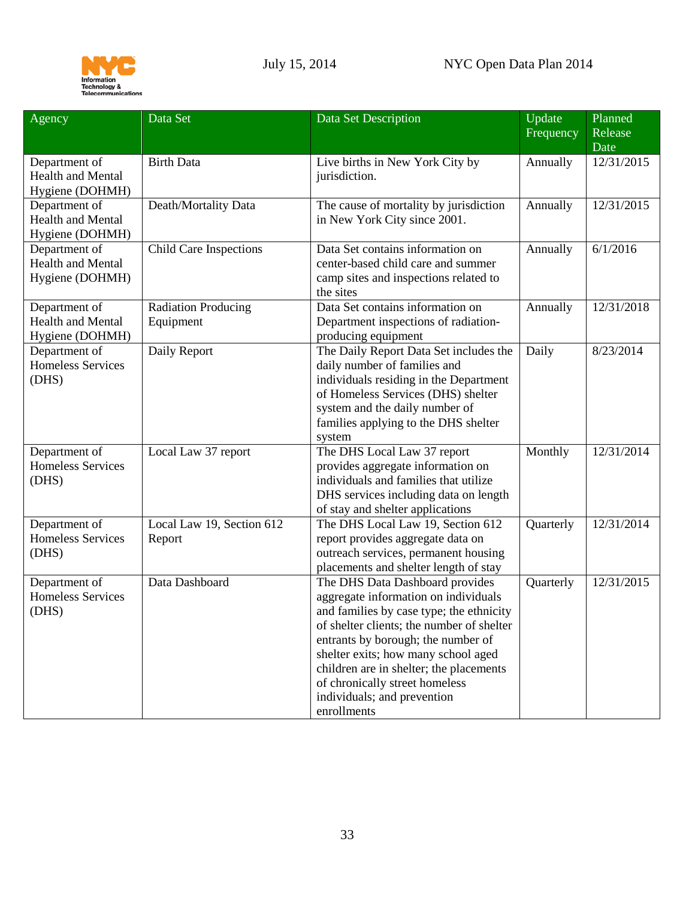

<span id="page-32-0"></span>

| Agency                                                       | Data Set                                | Data Set Description                                                                                                                                                                                                                                                                                                                                                     | Update<br>Frequency | Planned<br>Release |
|--------------------------------------------------------------|-----------------------------------------|--------------------------------------------------------------------------------------------------------------------------------------------------------------------------------------------------------------------------------------------------------------------------------------------------------------------------------------------------------------------------|---------------------|--------------------|
|                                                              |                                         |                                                                                                                                                                                                                                                                                                                                                                          |                     | Date               |
| Department of<br><b>Health and Mental</b><br>Hygiene (DOHMH) | <b>Birth Data</b>                       | Live births in New York City by<br>jurisdiction.                                                                                                                                                                                                                                                                                                                         | Annually            | 12/31/2015         |
| Department of<br><b>Health and Mental</b><br>Hygiene (DOHMH) | Death/Mortality Data                    | The cause of mortality by jurisdiction<br>in New York City since 2001.                                                                                                                                                                                                                                                                                                   | Annually            | 12/31/2015         |
| Department of<br><b>Health and Mental</b><br>Hygiene (DOHMH) | <b>Child Care Inspections</b>           | Data Set contains information on<br>center-based child care and summer<br>camp sites and inspections related to<br>the sites                                                                                                                                                                                                                                             | Annually            | 6/1/2016           |
| Department of<br><b>Health and Mental</b><br>Hygiene (DOHMH) | <b>Radiation Producing</b><br>Equipment | Data Set contains information on<br>Department inspections of radiation-<br>producing equipment                                                                                                                                                                                                                                                                          | Annually            | 12/31/2018         |
| Department of<br><b>Homeless Services</b><br>(DHS)           | Daily Report                            | The Daily Report Data Set includes the<br>daily number of families and<br>individuals residing in the Department<br>of Homeless Services (DHS) shelter<br>system and the daily number of<br>families applying to the DHS shelter<br>system                                                                                                                               | Daily               | 8/23/2014          |
| Department of<br><b>Homeless Services</b><br>(DHS)           | Local Law 37 report                     | The DHS Local Law 37 report<br>provides aggregate information on<br>individuals and families that utilize<br>DHS services including data on length<br>of stay and shelter applications                                                                                                                                                                                   | Monthly             | 12/31/2014         |
| Department of<br><b>Homeless Services</b><br>(DHS)           | Local Law 19, Section 612<br>Report     | The DHS Local Law 19, Section 612<br>report provides aggregate data on<br>outreach services, permanent housing<br>placements and shelter length of stay                                                                                                                                                                                                                  | Quarterly           | 12/31/2014         |
| Department of<br><b>Homeless Services</b><br>(DHS)           | Data Dashboard                          | The DHS Data Dashboard provides<br>aggregate information on individuals<br>and families by case type; the ethnicity<br>of shelter clients; the number of shelter<br>entrants by borough; the number of<br>shelter exits; how many school aged<br>children are in shelter; the placements<br>of chronically street homeless<br>individuals; and prevention<br>enrollments | Quarterly           | 12/31/2015         |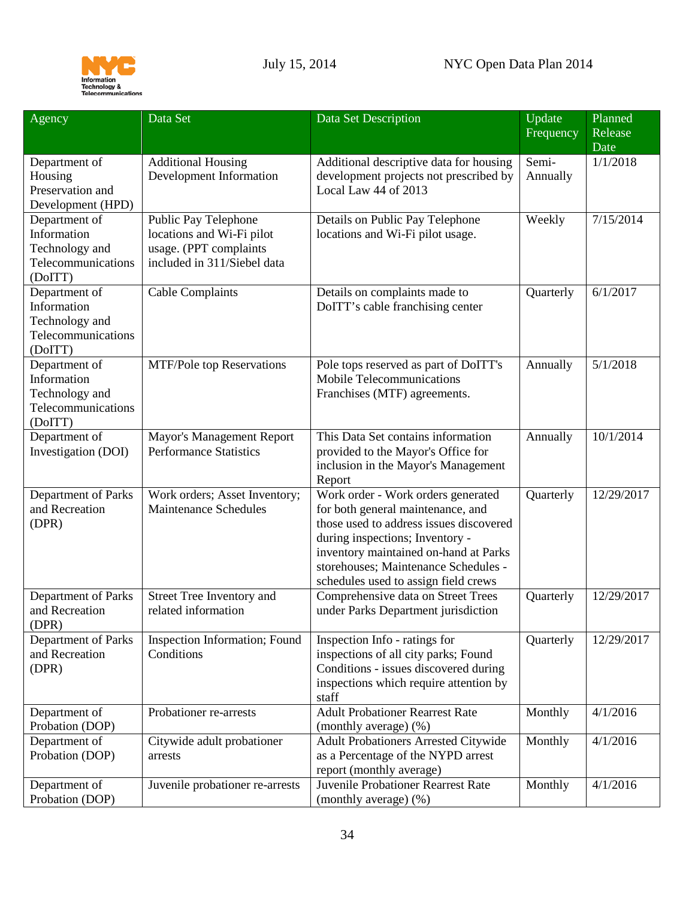

<span id="page-33-4"></span><span id="page-33-3"></span><span id="page-33-2"></span><span id="page-33-1"></span><span id="page-33-0"></span>

| Agency                               | Data Set                                            | Data Set Description                                                       | Update    | Planned         |
|--------------------------------------|-----------------------------------------------------|----------------------------------------------------------------------------|-----------|-----------------|
|                                      |                                                     |                                                                            | Frequency | Release<br>Date |
| Department of                        | <b>Additional Housing</b>                           | Additional descriptive data for housing                                    | Semi-     | 1/1/2018        |
| Housing                              | Development Information                             | development projects not prescribed by                                     | Annually  |                 |
| Preservation and                     |                                                     | Local Law 44 of 2013                                                       |           |                 |
| Development (HPD)                    |                                                     |                                                                            |           |                 |
| Department of<br>Information         | Public Pay Telephone                                | Details on Public Pay Telephone                                            | Weekly    | 7/15/2014       |
| Technology and                       | locations and Wi-Fi pilot<br>usage. (PPT complaints | locations and Wi-Fi pilot usage.                                           |           |                 |
| Telecommunications                   | included in 311/Siebel data                         |                                                                            |           |                 |
| (DoITT)                              |                                                     |                                                                            |           |                 |
| Department of                        | <b>Cable Complaints</b>                             | Details on complaints made to                                              | Quarterly | 6/1/2017        |
| Information                          |                                                     | DoITT's cable franchising center                                           |           |                 |
| Technology and                       |                                                     |                                                                            |           |                 |
| Telecommunications                   |                                                     |                                                                            |           |                 |
| (DoITT)                              |                                                     |                                                                            |           |                 |
| Department of                        | <b>MTF/Pole top Reservations</b>                    | Pole tops reserved as part of DoITT's                                      | Annually  | 5/1/2018        |
| Information                          |                                                     | Mobile Telecommunications                                                  |           |                 |
| Technology and<br>Telecommunications |                                                     | Franchises (MTF) agreements.                                               |           |                 |
| (DoITT)                              |                                                     |                                                                            |           |                 |
| Department of                        | Mayor's Management Report                           | This Data Set contains information                                         | Annually  | 10/1/2014       |
| Investigation (DOI)                  | <b>Performance Statistics</b>                       | provided to the Mayor's Office for                                         |           |                 |
|                                      |                                                     | inclusion in the Mayor's Management                                        |           |                 |
|                                      |                                                     | Report                                                                     |           |                 |
| Department of Parks                  | Work orders; Asset Inventory;                       | Work order - Work orders generated                                         | Quarterly | 12/29/2017      |
| and Recreation                       | <b>Maintenance Schedules</b>                        | for both general maintenance, and                                          |           |                 |
| (DPR)                                |                                                     | those used to address issues discovered                                    |           |                 |
|                                      |                                                     | during inspections; Inventory -                                            |           |                 |
|                                      |                                                     | inventory maintained on-hand at Parks                                      |           |                 |
|                                      |                                                     | storehouses; Maintenance Schedules -                                       |           |                 |
| Department of Parks                  | Street Tree Inventory and                           | schedules used to assign field crews<br>Comprehensive data on Street Trees | Quarterly | 12/29/2017      |
| and Recreation                       | related information                                 | under Parks Department jurisdiction                                        |           |                 |
| (DPR)                                |                                                     |                                                                            |           |                 |
| Department of Parks                  | Inspection Information; Found                       | Inspection Info - ratings for                                              | Quarterly | 12/29/2017      |
| and Recreation                       | Conditions                                          | inspections of all city parks; Found                                       |           |                 |
| (DPR)                                |                                                     | Conditions - issues discovered during                                      |           |                 |
|                                      |                                                     | inspections which require attention by                                     |           |                 |
|                                      |                                                     | staff<br><b>Adult Probationer Rearrest Rate</b>                            |           | 4/1/2016        |
| Department of<br>Probation (DOP)     | Probationer re-arrests                              | (monthly average) (%)                                                      | Monthly   |                 |
| Department of                        | Citywide adult probationer                          | Adult Probationers Arrested Citywide                                       | Monthly   | 4/1/2016        |
| Probation (DOP)                      | arrests                                             | as a Percentage of the NYPD arrest                                         |           |                 |
|                                      |                                                     | report (monthly average)                                                   |           |                 |
| Department of                        | Juvenile probationer re-arrests                     | Juvenile Probationer Rearrest Rate                                         | Monthly   | 4/1/2016        |
| Probation (DOP)                      |                                                     | (monthly average) (%)                                                      |           |                 |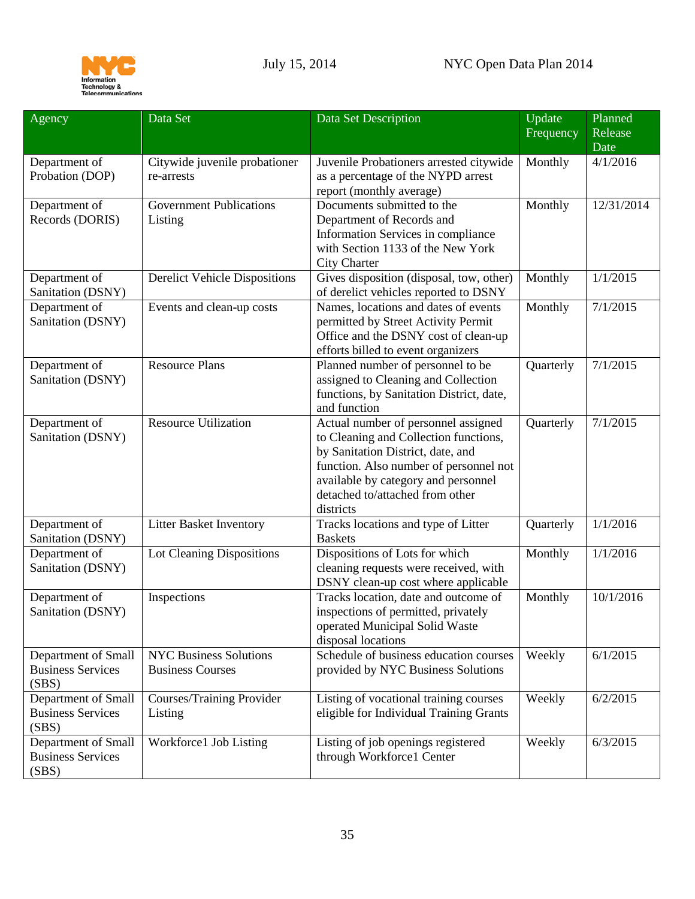

<span id="page-34-2"></span><span id="page-34-1"></span><span id="page-34-0"></span>

| Frequency<br>Date<br>Department of<br>Citywide juvenile probationer<br>Monthly<br>4/1/2016<br>Juvenile Probationers arrested citywide |  |
|---------------------------------------------------------------------------------------------------------------------------------------|--|
|                                                                                                                                       |  |
|                                                                                                                                       |  |
| as a percentage of the NYPD arrest<br>Probation (DOP)<br>re-arrests                                                                   |  |
| report (monthly average)                                                                                                              |  |
| <b>Government Publications</b><br>Documents submitted to the<br>Monthly<br>Department of<br>12/31/2014                                |  |
| Records (DORIS)<br>Department of Records and<br>Listing                                                                               |  |
| Information Services in compliance                                                                                                    |  |
| with Section 1133 of the New York                                                                                                     |  |
| <b>City Charter</b>                                                                                                                   |  |
| Gives disposition (disposal, tow, other)<br>1/1/2015<br>Department of<br><b>Derelict Vehicle Dispositions</b><br>Monthly              |  |
| of derelict vehicles reported to DSNY<br>Sanitation (DSNY)                                                                            |  |
| Names, locations and dates of events<br>Monthly<br>7/1/2015<br>Department of<br>Events and clean-up costs                             |  |
| Sanitation (DSNY)<br>permitted by Street Activity Permit                                                                              |  |
| Office and the DSNY cost of clean-up                                                                                                  |  |
| efforts billed to event organizers                                                                                                    |  |
| Planned number of personnel to be<br>Department of<br><b>Resource Plans</b><br>7/1/2015<br>Quarterly                                  |  |
| Sanitation (DSNY)<br>assigned to Cleaning and Collection                                                                              |  |
| functions, by Sanitation District, date,                                                                                              |  |
| and function                                                                                                                          |  |
| <b>Resource Utilization</b><br>Actual number of personnel assigned<br>7/1/2015<br>Department of<br>Quarterly                          |  |
| Sanitation (DSNY)<br>to Cleaning and Collection functions,                                                                            |  |
| by Sanitation District, date, and                                                                                                     |  |
| function. Also number of personnel not                                                                                                |  |
| available by category and personnel                                                                                                   |  |
| detached to/attached from other                                                                                                       |  |
| districts                                                                                                                             |  |
| Department of<br>Tracks locations and type of Litter<br>1/1/2016<br><b>Litter Basket Inventory</b><br>Quarterly                       |  |
| Sanitation (DSNY)<br><b>Baskets</b>                                                                                                   |  |
| Department of<br>Dispositions of Lots for which<br>Lot Cleaning Dispositions<br>Monthly<br>1/1/2016                                   |  |
| Sanitation (DSNY)<br>cleaning requests were received, with                                                                            |  |
| DSNY clean-up cost where applicable                                                                                                   |  |
| Tracks location, date and outcome of<br>Department of<br>10/1/2016<br>Inspections<br>Monthly                                          |  |
| Sanitation (DSNY)<br>inspections of permitted, privately                                                                              |  |
| operated Municipal Solid Waste                                                                                                        |  |
| disposal locations                                                                                                                    |  |
| Department of Small<br><b>NYC Business Solutions</b><br>Schedule of business education courses<br>Weekly<br>6/1/2015                  |  |
| <b>Business Services</b><br><b>Business Courses</b><br>provided by NYC Business Solutions                                             |  |
| (SBS)                                                                                                                                 |  |
| Department of Small<br>6/2/2015<br>Courses/Training Provider<br>Listing of vocational training courses<br>Weekly                      |  |
| <b>Business Services</b><br>eligible for Individual Training Grants<br>Listing                                                        |  |
| (SBS)<br>Workforce1 Job Listing<br>Weekly<br>6/3/2015                                                                                 |  |
| Department of Small<br>Listing of job openings registered<br><b>Business Services</b><br>through Workforce1 Center                    |  |
| (SBS)                                                                                                                                 |  |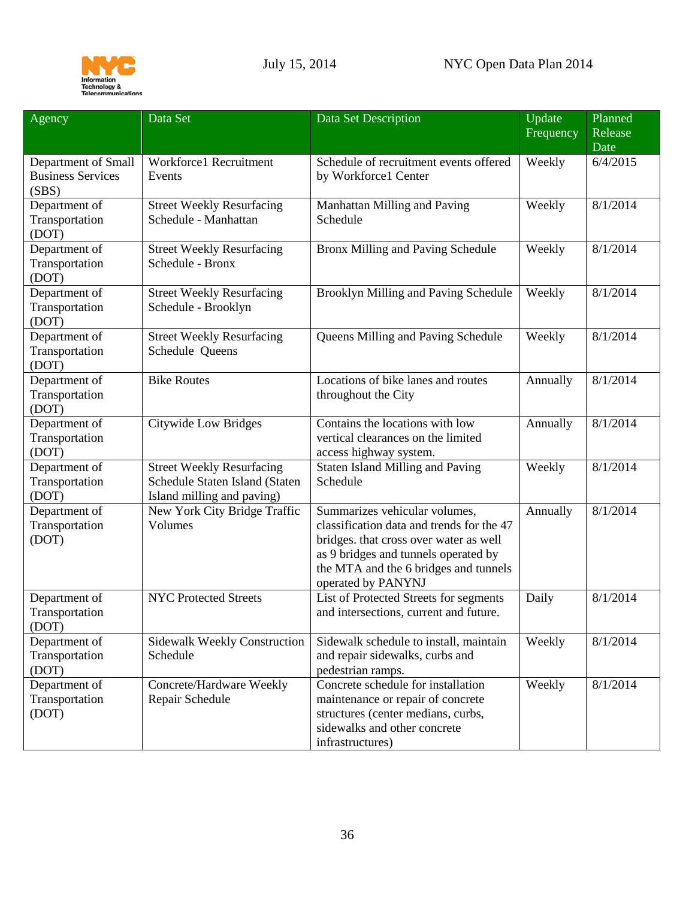

<span id="page-35-0"></span>

| Agency                                                   | Data Set                                                                                         | Data Set Description                                                                                                                                                                                                        | Update<br>Frequency | Planned<br>Release<br>Date |
|----------------------------------------------------------|--------------------------------------------------------------------------------------------------|-----------------------------------------------------------------------------------------------------------------------------------------------------------------------------------------------------------------------------|---------------------|----------------------------|
| Department of Small<br><b>Business Services</b><br>(SBS) | Workforce1 Recruitment<br>Events                                                                 | Schedule of recruitment events offered<br>by Workforce1 Center                                                                                                                                                              | Weekly              | 6/4/2015                   |
| Department of<br>Transportation<br>(DOT)                 | <b>Street Weekly Resurfacing</b><br>Schedule - Manhattan                                         | Manhattan Milling and Paving<br>Schedule                                                                                                                                                                                    | Weekly              | 8/1/2014                   |
| Department of<br>Transportation<br>(DOT)                 | <b>Street Weekly Resurfacing</b><br>Schedule - Bronx                                             | Bronx Milling and Paving Schedule                                                                                                                                                                                           | Weekly              | 8/1/2014                   |
| Department of<br>Transportation<br>(DOT)                 | <b>Street Weekly Resurfacing</b><br>Schedule - Brooklyn                                          | Brooklyn Milling and Paving Schedule                                                                                                                                                                                        | Weekly              | 8/1/2014                   |
| Department of<br>Transportation<br>(DOT)                 | <b>Street Weekly Resurfacing</b><br>Schedule Queens                                              | Queens Milling and Paving Schedule                                                                                                                                                                                          | Weekly              | 8/1/2014                   |
| Department of<br>Transportation<br>(DOT)                 | <b>Bike Routes</b>                                                                               | Locations of bike lanes and routes<br>throughout the City                                                                                                                                                                   | Annually            | 8/1/2014                   |
| Department of<br>Transportation<br>(DOT)                 | <b>Citywide Low Bridges</b>                                                                      | Contains the locations with low<br>vertical clearances on the limited<br>access highway system.                                                                                                                             | Annually            | 8/1/2014                   |
| Department of<br>Transportation<br>(DOT)                 | <b>Street Weekly Resurfacing</b><br>Schedule Staten Island (Staten<br>Island milling and paving) | Staten Island Milling and Paving<br>Schedule                                                                                                                                                                                | Weekly              | 8/1/2014                   |
| Department of<br>Transportation<br>(DOT)                 | New York City Bridge Traffic<br>Volumes                                                          | Summarizes vehicular volumes,<br>classification data and trends for the 47<br>bridges. that cross over water as well<br>as 9 bridges and tunnels operated by<br>the MTA and the 6 bridges and tunnels<br>operated by PANYNJ | Annually            | 8/1/2014                   |
| Department of<br>Transportation<br>(DOT)                 | <b>NYC Protected Streets</b>                                                                     | List of Protected Streets for segments<br>and intersections, current and future.                                                                                                                                            | Daily               | 8/1/2014                   |
| Department of<br>Transportation<br>(DOT)                 | <b>Sidewalk Weekly Construction</b><br>Schedule                                                  | Sidewalk schedule to install, maintain<br>and repair sidewalks, curbs and<br>pedestrian ramps.                                                                                                                              | Weekly              | 8/1/2014                   |
| Department of<br>Transportation<br>(DOT)                 | Concrete/Hardware Weekly<br>Repair Schedule                                                      | Concrete schedule for installation<br>maintenance or repair of concrete<br>structures (center medians, curbs,<br>sidewalks and other concrete<br>infrastructures)                                                           | Weekly              | 8/1/2014                   |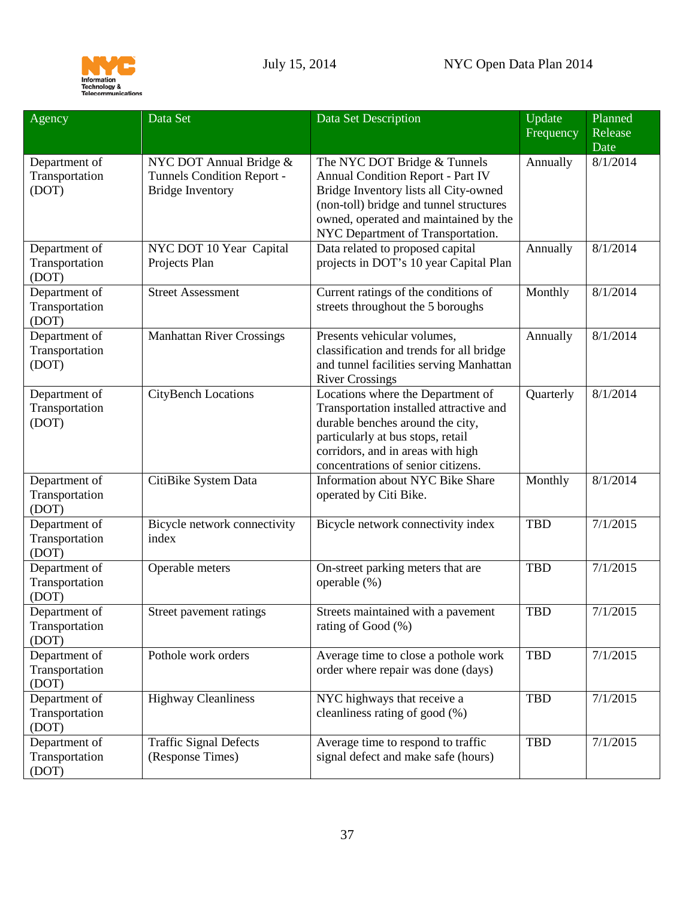

| Agency                                   | Data Set                                                                         | Data Set Description                                                                                                                                                                                                                       | Update<br>Frequency | Planned<br>Release<br>Date |
|------------------------------------------|----------------------------------------------------------------------------------|--------------------------------------------------------------------------------------------------------------------------------------------------------------------------------------------------------------------------------------------|---------------------|----------------------------|
| Department of<br>Transportation<br>(DOT) | NYC DOT Annual Bridge &<br>Tunnels Condition Report -<br><b>Bridge Inventory</b> | The NYC DOT Bridge & Tunnels<br><b>Annual Condition Report - Part IV</b><br>Bridge Inventory lists all City-owned<br>(non-toll) bridge and tunnel structures<br>owned, operated and maintained by the<br>NYC Department of Transportation. | Annually            | 8/1/2014                   |
| Department of<br>Transportation<br>(DOT) | NYC DOT 10 Year Capital<br>Projects Plan                                         | Data related to proposed capital<br>projects in DOT's 10 year Capital Plan                                                                                                                                                                 | Annually            | 8/1/2014                   |
| Department of<br>Transportation<br>(DOT) | <b>Street Assessment</b>                                                         | Current ratings of the conditions of<br>streets throughout the 5 boroughs                                                                                                                                                                  | Monthly             | 8/1/2014                   |
| Department of<br>Transportation<br>(DOT) | <b>Manhattan River Crossings</b>                                                 | Presents vehicular volumes,<br>classification and trends for all bridge<br>and tunnel facilities serving Manhattan<br><b>River Crossings</b>                                                                                               | Annually            | 8/1/2014                   |
| Department of<br>Transportation<br>(DOT) | <b>CityBench Locations</b>                                                       | Locations where the Department of<br>Transportation installed attractive and<br>durable benches around the city,<br>particularly at bus stops, retail<br>corridors, and in areas with high<br>concentrations of senior citizens.           | Quarterly           | 8/1/2014                   |
| Department of<br>Transportation<br>(DOT) | CitiBike System Data                                                             | Information about NYC Bike Share<br>operated by Citi Bike.                                                                                                                                                                                 | Monthly             | 8/1/2014                   |
| Department of<br>Transportation<br>(DOT) | Bicycle network connectivity<br>index                                            | Bicycle network connectivity index                                                                                                                                                                                                         | <b>TBD</b>          | 7/1/2015                   |
| Department of<br>Transportation<br>(DOT) | Operable meters                                                                  | On-street parking meters that are<br>operable (%)                                                                                                                                                                                          | <b>TBD</b>          | 7/1/2015                   |
| Department of<br>Transportation<br>(DOT) | Street pavement ratings                                                          | Streets maintained with a pavement<br>rating of Good (%)                                                                                                                                                                                   | <b>TBD</b>          | 7/1/2015                   |
| Department of<br>Transportation<br>(DOT) | Pothole work orders                                                              | Average time to close a pothole work<br>order where repair was done (days)                                                                                                                                                                 | <b>TBD</b>          | 7/1/2015                   |
| Department of<br>Transportation<br>(DOT) | <b>Highway Cleanliness</b>                                                       | NYC highways that receive a<br>cleanliness rating of good (%)                                                                                                                                                                              | <b>TBD</b>          | 7/1/2015                   |
| Department of<br>Transportation<br>(DOT) | <b>Traffic Signal Defects</b><br>(Response Times)                                | Average time to respond to traffic<br>signal defect and make safe (hours)                                                                                                                                                                  | <b>TBD</b>          | 7/1/2015                   |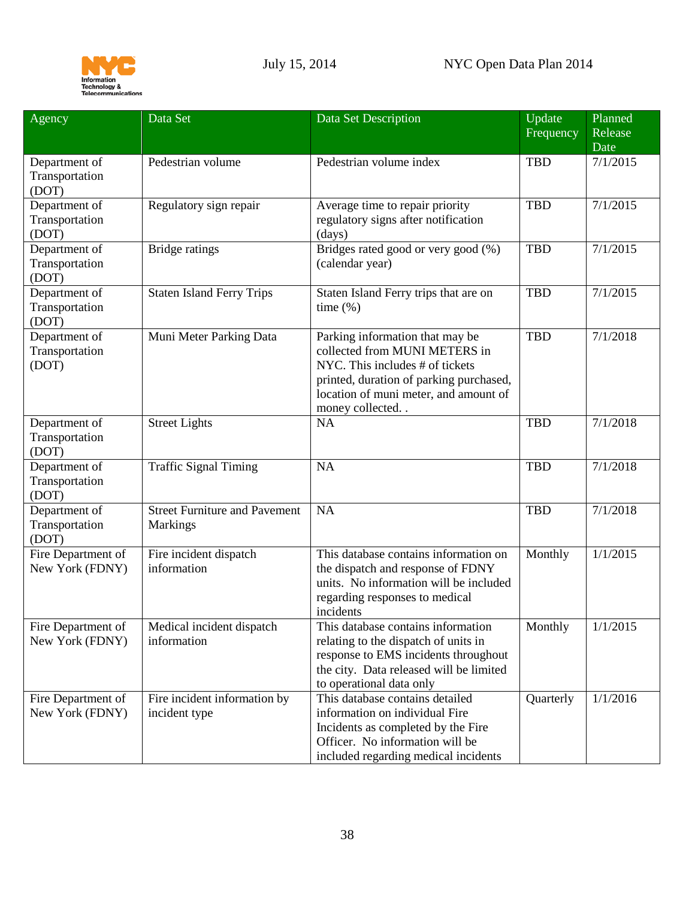

<span id="page-37-0"></span>

| Agency                                   | Data Set                                                | Data Set Description                                                                                                                                                                                        | Update<br>Frequency | Planned<br>Release<br>Date |
|------------------------------------------|---------------------------------------------------------|-------------------------------------------------------------------------------------------------------------------------------------------------------------------------------------------------------------|---------------------|----------------------------|
| Department of<br>Transportation<br>(DOT) | Pedestrian volume                                       | Pedestrian volume index                                                                                                                                                                                     | <b>TBD</b>          | 7/1/2015                   |
| Department of<br>Transportation<br>(DOT) | Regulatory sign repair                                  | Average time to repair priority<br>regulatory signs after notification<br>(days)                                                                                                                            | <b>TBD</b>          | 7/1/2015                   |
| Department of<br>Transportation<br>(DOT) | <b>Bridge ratings</b>                                   | Bridges rated good or very good (%)<br>(calendar year)                                                                                                                                                      | <b>TBD</b>          | 7/1/2015                   |
| Department of<br>Transportation<br>(DOT) | <b>Staten Island Ferry Trips</b>                        | Staten Island Ferry trips that are on<br>time $(\% )$                                                                                                                                                       | <b>TBD</b>          | 7/1/2015                   |
| Department of<br>Transportation<br>(DOT) | Muni Meter Parking Data                                 | Parking information that may be<br>collected from MUNI METERS in<br>NYC. This includes # of tickets<br>printed, duration of parking purchased,<br>location of muni meter, and amount of<br>money collected. | <b>TBD</b>          | 7/1/2018                   |
| Department of<br>Transportation<br>(DOT) | <b>Street Lights</b>                                    | NA                                                                                                                                                                                                          | <b>TBD</b>          | 7/1/2018                   |
| Department of<br>Transportation<br>(DOT) | <b>Traffic Signal Timing</b>                            | NA                                                                                                                                                                                                          | <b>TBD</b>          | 7/1/2018                   |
| Department of<br>Transportation<br>(DOT) | <b>Street Furniture and Pavement</b><br><b>Markings</b> | NA                                                                                                                                                                                                          | <b>TBD</b>          | 7/1/2018                   |
| Fire Department of<br>New York (FDNY)    | Fire incident dispatch<br>information                   | This database contains information on<br>the dispatch and response of FDNY<br>units. No information will be included<br>regarding responses to medical<br>incidents                                         | Monthly             | 1/1/2015                   |
| Fire Department of<br>New York (FDNY)    | Medical incident dispatch<br>information                | This database contains information<br>relating to the dispatch of units in<br>response to EMS incidents throughout<br>the city. Data released will be limited<br>to operational data only                   | Monthly             | 1/1/2015                   |
| Fire Department of<br>New York (FDNY)    | Fire incident information by<br>incident type           | This database contains detailed<br>information on individual Fire<br>Incidents as completed by the Fire<br>Officer. No information will be<br>included regarding medical incidents                          | Quarterly           | 1/1/2016                   |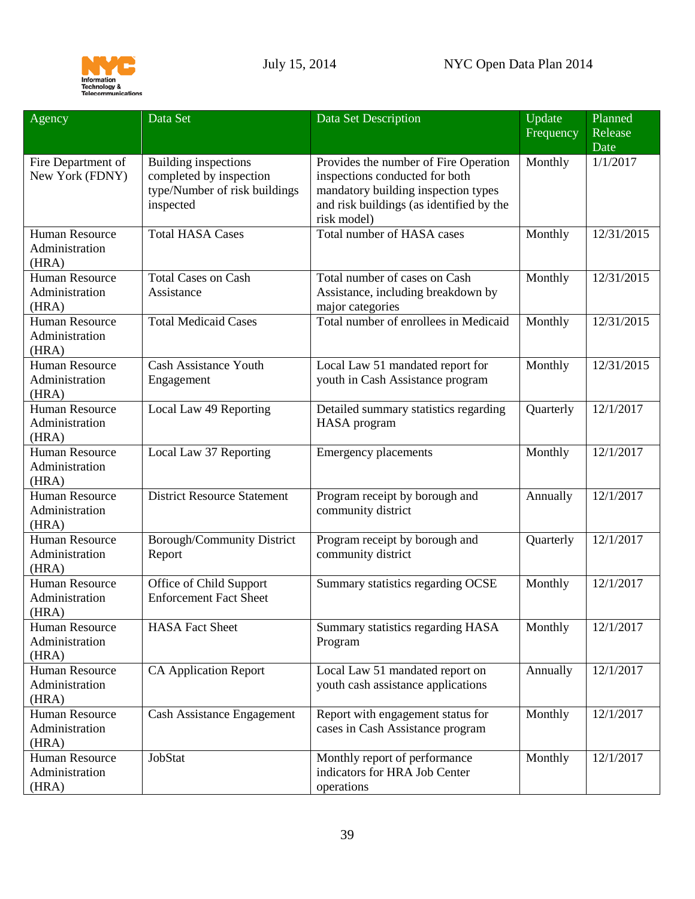

<span id="page-38-0"></span>

| Agency                                           | Data Set                                                                                      | Data Set Description                                                                                                                                                      | Update<br>Frequency | Planned<br>Release |
|--------------------------------------------------|-----------------------------------------------------------------------------------------------|---------------------------------------------------------------------------------------------------------------------------------------------------------------------------|---------------------|--------------------|
| Fire Department of<br>New York (FDNY)            | Building inspections<br>completed by inspection<br>type/Number of risk buildings<br>inspected | Provides the number of Fire Operation<br>inspections conducted for both<br>mandatory building inspection types<br>and risk buildings (as identified by the<br>risk model) | Monthly             | Date<br>1/1/2017   |
| <b>Human Resource</b><br>Administration<br>(HRA) | <b>Total HASA Cases</b>                                                                       | <b>Total number of HASA cases</b>                                                                                                                                         | Monthly             | 12/31/2015         |
| <b>Human Resource</b><br>Administration<br>(HRA) | <b>Total Cases on Cash</b><br>Assistance                                                      | Total number of cases on Cash<br>Assistance, including breakdown by<br>major categories                                                                                   | Monthly             | 12/31/2015         |
| <b>Human Resource</b><br>Administration<br>(HRA) | <b>Total Medicaid Cases</b>                                                                   | Total number of enrollees in Medicaid                                                                                                                                     | Monthly             | 12/31/2015         |
| <b>Human Resource</b><br>Administration<br>(HRA) | <b>Cash Assistance Youth</b><br>Engagement                                                    | Local Law 51 mandated report for<br>youth in Cash Assistance program                                                                                                      | Monthly             | 12/31/2015         |
| <b>Human Resource</b><br>Administration<br>(HRA) | Local Law 49 Reporting                                                                        | Detailed summary statistics regarding<br><b>HASA</b> program                                                                                                              | Quarterly           | 12/1/2017          |
| <b>Human Resource</b><br>Administration<br>(HRA) | Local Law 37 Reporting                                                                        | <b>Emergency placements</b>                                                                                                                                               | Monthly             | 12/1/2017          |
| <b>Human Resource</b><br>Administration<br>(HRA) | <b>District Resource Statement</b>                                                            | Program receipt by borough and<br>community district                                                                                                                      | Annually            | 12/1/2017          |
| <b>Human Resource</b><br>Administration<br>(HRA) | Borough/Community District<br>Report                                                          | Program receipt by borough and<br>community district                                                                                                                      | Quarterly           | 12/1/2017          |
| Human Resource<br>Administration<br>(HRA)        | Office of Child Support<br><b>Enforcement Fact Sheet</b>                                      | Summary statistics regarding OCSE                                                                                                                                         | Monthly             | 12/1/2017          |
| <b>Human Resource</b><br>Administration<br>(HRA) | <b>HASA Fact Sheet</b>                                                                        | Summary statistics regarding HASA<br>Program                                                                                                                              | Monthly             | 12/1/2017          |
| Human Resource<br>Administration<br>(HRA)        | <b>CA Application Report</b>                                                                  | Local Law 51 mandated report on<br>youth cash assistance applications                                                                                                     | Annually            | 12/1/2017          |
| Human Resource<br>Administration<br>(HRA)        | <b>Cash Assistance Engagement</b>                                                             | Report with engagement status for<br>cases in Cash Assistance program                                                                                                     | Monthly             | 12/1/2017          |
| <b>Human Resource</b><br>Administration<br>(HRA) | JobStat                                                                                       | Monthly report of performance<br>indicators for HRA Job Center<br>operations                                                                                              | Monthly             | 12/1/2017          |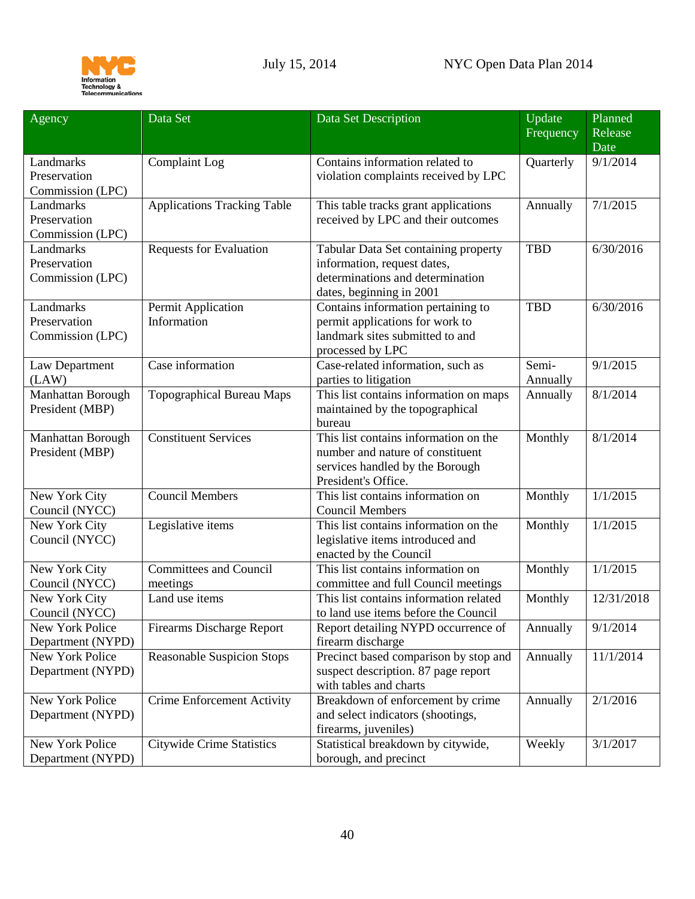

<span id="page-39-4"></span><span id="page-39-3"></span><span id="page-39-2"></span><span id="page-39-1"></span><span id="page-39-0"></span>

| Agency            | Data Set                           | Data Set Description                                            | Update<br>Frequency | Planned<br>Release |
|-------------------|------------------------------------|-----------------------------------------------------------------|---------------------|--------------------|
|                   |                                    |                                                                 |                     | Date               |
| Landmarks         | <b>Complaint</b> Log               | Contains information related to                                 | Quarterly           | 9/1/2014           |
| Preservation      |                                    | violation complaints received by LPC                            |                     |                    |
| Commission (LPC)  |                                    |                                                                 |                     |                    |
| Landmarks         | <b>Applications Tracking Table</b> | This table tracks grant applications                            | Annually            | 7/1/2015           |
| Preservation      |                                    | received by LPC and their outcomes                              |                     |                    |
| Commission (LPC)  |                                    |                                                                 |                     |                    |
| Landmarks         | <b>Requests for Evaluation</b>     | Tabular Data Set containing property                            | <b>TBD</b>          | 6/30/2016          |
| Preservation      |                                    | information, request dates,                                     |                     |                    |
| Commission (LPC)  |                                    | determinations and determination                                |                     |                    |
|                   |                                    | dates, beginning in 2001                                        |                     |                    |
| Landmarks         | Permit Application                 | Contains information pertaining to                              | <b>TBD</b>          | 6/30/2016          |
| Preservation      | Information                        | permit applications for work to                                 |                     |                    |
| Commission (LPC)  |                                    | landmark sites submitted to and                                 |                     |                    |
|                   |                                    | processed by LPC                                                |                     |                    |
| Law Department    | Case information                   | Case-related information, such as                               | Semi-               | 9/1/2015           |
| (LAW)             |                                    | parties to litigation                                           | Annually            |                    |
| Manhattan Borough | <b>Topographical Bureau Maps</b>   | This list contains information on maps                          | Annually            | 8/1/2014           |
| President (MBP)   |                                    | maintained by the topographical                                 |                     |                    |
|                   |                                    | bureau                                                          |                     |                    |
| Manhattan Borough | <b>Constituent Services</b>        | This list contains information on the                           | Monthly             | 8/1/2014           |
| President (MBP)   |                                    | number and nature of constituent                                |                     |                    |
|                   |                                    | services handled by the Borough                                 |                     |                    |
|                   |                                    | President's Office.                                             |                     |                    |
| New York City     | <b>Council Members</b>             | This list contains information on                               | Monthly             | 1/1/2015           |
| Council (NYCC)    |                                    | <b>Council Members</b><br>This list contains information on the |                     |                    |
| New York City     | Legislative items                  |                                                                 | Monthly             | 1/1/2015           |
| Council (NYCC)    |                                    | legislative items introduced and                                |                     |                    |
| New York City     | <b>Committees and Council</b>      | enacted by the Council<br>This list contains information on     | Monthly             | 1/1/2015           |
| Council (NYCC)    | meetings                           | committee and full Council meetings                             |                     |                    |
| New York City     | Land use items                     | This list contains information related                          | Monthly             | 12/31/2018         |
| Council (NYCC)    |                                    | to land use items before the Council                            |                     |                    |
| New York Police   | <b>Firearms Discharge Report</b>   | Report detailing NYPD occurrence of                             | Annually            | 9/1/2014           |
| Department (NYPD) |                                    | firearm discharge                                               |                     |                    |
| New York Police   | <b>Reasonable Suspicion Stops</b>  | Precinct based comparison by stop and                           | Annually            | 11/1/2014          |
| Department (NYPD) |                                    | suspect description. 87 page report                             |                     |                    |
|                   |                                    | with tables and charts                                          |                     |                    |
| New York Police   | <b>Crime Enforcement Activity</b>  | Breakdown of enforcement by crime                               | Annually            | 2/1/2016           |
| Department (NYPD) |                                    | and select indicators (shootings,                               |                     |                    |
|                   |                                    | firearms, juveniles)                                            |                     |                    |
| New York Police   | <b>Citywide Crime Statistics</b>   | Statistical breakdown by citywide,                              | Weekly              | 3/1/2017           |
| Department (NYPD) |                                    | borough, and precinct                                           |                     |                    |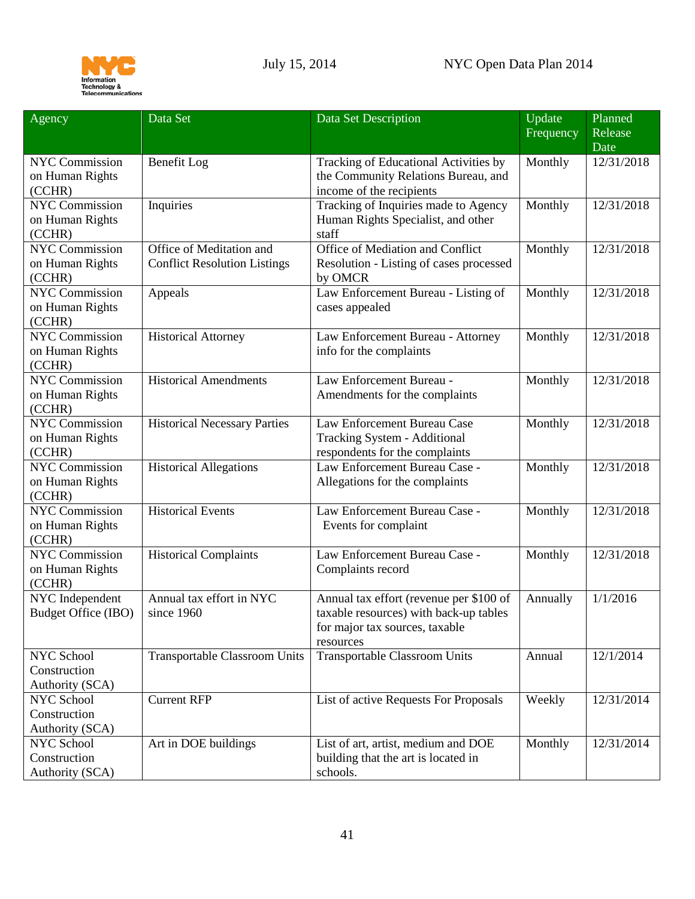

<span id="page-40-2"></span><span id="page-40-1"></span><span id="page-40-0"></span>

| Agency                          | Data Set                             | Data Set Description                               | Update<br>Frequency | Planned<br>Release |
|---------------------------------|--------------------------------------|----------------------------------------------------|---------------------|--------------------|
|                                 |                                      |                                                    |                     | Date               |
| NYC Commission                  | Benefit Log                          | Tracking of Educational Activities by              | Monthly             | 12/31/2018         |
| on Human Rights                 |                                      | the Community Relations Bureau, and                |                     |                    |
| (CCHR)                          |                                      | income of the recipients                           |                     |                    |
| <b>NYC Commission</b>           | Inquiries                            | Tracking of Inquiries made to Agency               | Monthly             | 12/31/2018         |
| on Human Rights                 |                                      | Human Rights Specialist, and other                 |                     |                    |
| (CCHR)                          |                                      | staff                                              |                     |                    |
| <b>NYC Commission</b>           | Office of Meditation and             | Office of Mediation and Conflict                   | Monthly             | 12/31/2018         |
| on Human Rights<br>(CCHR)       | <b>Conflict Resolution Listings</b>  | Resolution - Listing of cases processed<br>by OMCR |                     |                    |
| <b>NYC Commission</b>           | Appeals                              | Law Enforcement Bureau - Listing of                | Monthly             | 12/31/2018         |
| on Human Rights                 |                                      | cases appealed                                     |                     |                    |
| (CCHR)                          |                                      |                                                    |                     |                    |
| <b>NYC Commission</b>           | <b>Historical Attorney</b>           | Law Enforcement Bureau - Attorney                  | Monthly             | 12/31/2018         |
| on Human Rights                 |                                      | info for the complaints                            |                     |                    |
| (CCHR)                          |                                      |                                                    |                     |                    |
| <b>NYC Commission</b>           | <b>Historical Amendments</b>         | Law Enforcement Bureau -                           | Monthly             | 12/31/2018         |
| on Human Rights                 |                                      | Amendments for the complaints                      |                     |                    |
| (CCHR)<br><b>NYC Commission</b> |                                      | Law Enforcement Bureau Case                        |                     |                    |
| on Human Rights                 | <b>Historical Necessary Parties</b>  | Tracking System - Additional                       | Monthly             | 12/31/2018         |
| (CCHR)                          |                                      | respondents for the complaints                     |                     |                    |
| <b>NYC Commission</b>           | <b>Historical Allegations</b>        | Law Enforcement Bureau Case -                      | Monthly             | 12/31/2018         |
| on Human Rights                 |                                      | Allegations for the complaints                     |                     |                    |
| (CCHR)                          |                                      |                                                    |                     |                    |
| <b>NYC Commission</b>           | <b>Historical Events</b>             | Law Enforcement Bureau Case -                      | Monthly             | 12/31/2018         |
| on Human Rights                 |                                      | Events for complaint                               |                     |                    |
| (CCHR)                          |                                      |                                                    |                     |                    |
| <b>NYC Commission</b>           | <b>Historical Complaints</b>         | Law Enforcement Bureau Case -                      | Monthly             | 12/31/2018         |
| on Human Rights                 |                                      | Complaints record                                  |                     |                    |
| (CCHR)                          |                                      |                                                    |                     |                    |
| NYC Independent                 | Annual tax effort in NYC             | Annual tax effort (revenue per \$100 of            | Annually            | 1/1/2016           |
| Budget Office (IBO)             | since 1960                           | taxable resources) with back-up tables             |                     |                    |
|                                 |                                      | for major tax sources, taxable                     |                     |                    |
| <b>NYC School</b>               | <b>Transportable Classroom Units</b> | resources<br><b>Transportable Classroom Units</b>  | Annual              | 12/1/2014          |
| Construction                    |                                      |                                                    |                     |                    |
| Authority (SCA)                 |                                      |                                                    |                     |                    |
| NYC School                      | <b>Current RFP</b>                   | List of active Requests For Proposals              | Weekly              | 12/31/2014         |
| Construction                    |                                      |                                                    |                     |                    |
| Authority (SCA)                 |                                      |                                                    |                     |                    |
| NYC School                      | Art in DOE buildings                 | List of art, artist, medium and DOE                | Monthly             | 12/31/2014         |
| Construction                    |                                      | building that the art is located in                |                     |                    |
| Authority (SCA)                 |                                      | schools.                                           |                     |                    |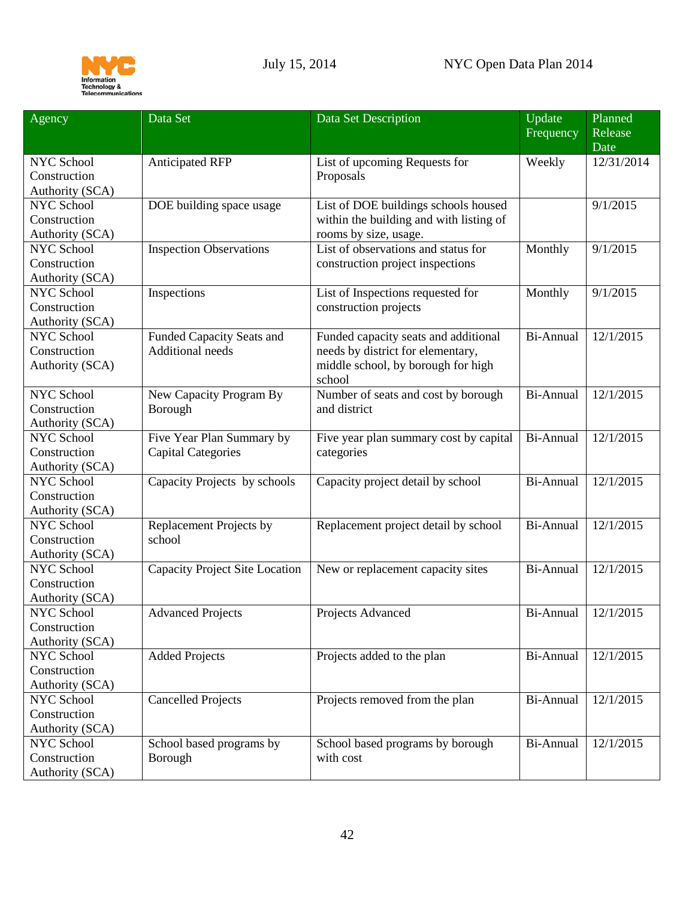

| Agency            | Data Set                              | Data Set Description                    | Update<br>Frequency | Planned<br>Release |
|-------------------|---------------------------------------|-----------------------------------------|---------------------|--------------------|
|                   |                                       |                                         |                     | Date               |
| NYC School        | <b>Anticipated RFP</b>                | List of upcoming Requests for           | Weekly              | 12/31/2014         |
| Construction      |                                       | Proposals                               |                     |                    |
| Authority (SCA)   |                                       |                                         |                     |                    |
| NYC School        | DOE building space usage              | List of DOE buildings schools housed    |                     | 9/1/2015           |
| Construction      |                                       | within the building and with listing of |                     |                    |
| Authority (SCA)   |                                       | rooms by size, usage.                   |                     |                    |
| <b>NYC School</b> | <b>Inspection Observations</b>        | List of observations and status for     | Monthly             | 9/1/2015           |
| Construction      |                                       | construction project inspections        |                     |                    |
| Authority (SCA)   |                                       |                                         |                     |                    |
| <b>NYC School</b> | Inspections                           | List of Inspections requested for       | Monthly             | 9/1/2015           |
| Construction      |                                       | construction projects                   |                     |                    |
| Authority (SCA)   |                                       |                                         |                     |                    |
| <b>NYC School</b> | Funded Capacity Seats and             | Funded capacity seats and additional    | Bi-Annual           | 12/1/2015          |
| Construction      | <b>Additional needs</b>               | needs by district for elementary,       |                     |                    |
| Authority (SCA)   |                                       | middle school, by borough for high      |                     |                    |
|                   |                                       | school                                  |                     |                    |
| <b>NYC School</b> | New Capacity Program By               | Number of seats and cost by borough     | Bi-Annual           | 12/1/2015          |
| Construction      | Borough                               | and district                            |                     |                    |
| Authority (SCA)   |                                       |                                         |                     |                    |
| <b>NYC School</b> | Five Year Plan Summary by             | Five year plan summary cost by capital  | Bi-Annual           | 12/1/2015          |
| Construction      | <b>Capital Categories</b>             | categories                              |                     |                    |
| Authority (SCA)   |                                       |                                         |                     |                    |
| <b>NYC School</b> | Capacity Projects by schools          | Capacity project detail by school       | Bi-Annual           | 12/1/2015          |
| Construction      |                                       |                                         |                     |                    |
| Authority (SCA)   |                                       |                                         |                     |                    |
| <b>NYC School</b> | Replacement Projects by               | Replacement project detail by school    | Bi-Annual           | 12/1/2015          |
| Construction      | school                                |                                         |                     |                    |
| Authority (SCA)   |                                       |                                         |                     |                    |
| <b>NYC School</b> | <b>Capacity Project Site Location</b> | New or replacement capacity sites       | Bi-Annual           | 12/1/2015          |
| Construction      |                                       |                                         |                     |                    |
| Authority (SCA)   |                                       |                                         |                     |                    |
| NYC School        | <b>Advanced Projects</b>              | Projects Advanced                       | Bi-Annual           | 12/1/2015          |
| Construction      |                                       |                                         |                     |                    |
| Authority (SCA)   |                                       |                                         |                     |                    |
| <b>NYC School</b> | <b>Added Projects</b>                 | Projects added to the plan              | Bi-Annual           | 12/1/2015          |
| Construction      |                                       |                                         |                     |                    |
| Authority (SCA)   |                                       |                                         |                     |                    |
| NYC School        | <b>Cancelled Projects</b>             | Projects removed from the plan          | Bi-Annual           | 12/1/2015          |
| Construction      |                                       |                                         |                     |                    |
| Authority (SCA)   |                                       |                                         |                     |                    |
| NYC School        | School based programs by              | School based programs by borough        | Bi-Annual           | 12/1/2015          |
| Construction      | Borough                               | with cost                               |                     |                    |
| Authority (SCA)   |                                       |                                         |                     |                    |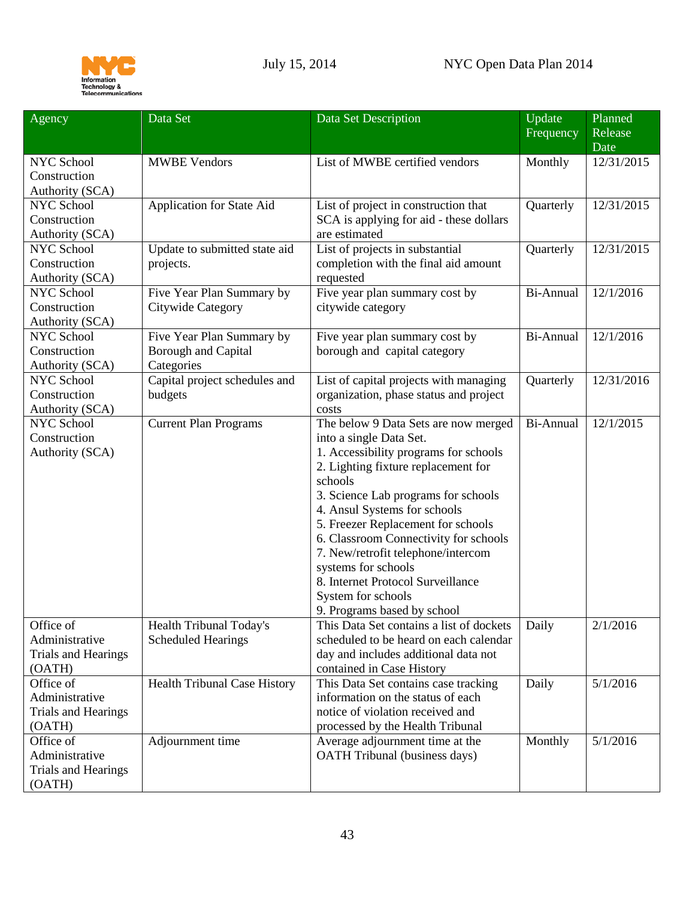

<span id="page-42-0"></span>

| Agency                            | Data Set                            | Data Set Description                                                             | Update<br>Frequency | Planned<br>Release |
|-----------------------------------|-------------------------------------|----------------------------------------------------------------------------------|---------------------|--------------------|
|                                   |                                     |                                                                                  |                     | Date               |
| NYC School                        | <b>MWBE Vendors</b>                 | List of MWBE certified vendors                                                   | Monthly             | 12/31/2015         |
| Construction                      |                                     |                                                                                  |                     |                    |
| Authority (SCA)                   |                                     |                                                                                  |                     |                    |
| <b>NYC School</b>                 | Application for State Aid           | List of project in construction that                                             | Quarterly           | 12/31/2015         |
| Construction                      |                                     | SCA is applying for aid - these dollars                                          |                     |                    |
| Authority (SCA)                   |                                     | are estimated                                                                    |                     |                    |
| NYC School                        | Update to submitted state aid       | List of projects in substantial                                                  | Quarterly           | 12/31/2015         |
| Construction                      | projects.                           | completion with the final aid amount                                             |                     |                    |
| Authority (SCA)                   |                                     | requested                                                                        |                     |                    |
| <b>NYC School</b>                 | Five Year Plan Summary by           | Five year plan summary cost by                                                   | Bi-Annual           | 12/1/2016          |
| Construction                      | Citywide Category                   | citywide category                                                                |                     |                    |
| Authority (SCA)                   |                                     |                                                                                  |                     |                    |
| NYC School                        | Five Year Plan Summary by           | Five year plan summary cost by                                                   | Bi-Annual           | 12/1/2016          |
| Construction                      | <b>Borough and Capital</b>          | borough and capital category                                                     |                     |                    |
| Authority (SCA)                   | Categories                          |                                                                                  |                     |                    |
| <b>NYC School</b><br>Construction | Capital project schedules and       | List of capital projects with managing<br>organization, phase status and project | Quarterly           | 12/31/2016         |
| Authority (SCA)                   | budgets                             | costs                                                                            |                     |                    |
| <b>NYC School</b>                 | <b>Current Plan Programs</b>        | The below 9 Data Sets are now merged                                             | Bi-Annual           | 12/1/2015          |
| Construction                      |                                     | into a single Data Set.                                                          |                     |                    |
| Authority (SCA)                   |                                     | 1. Accessibility programs for schools                                            |                     |                    |
|                                   |                                     | 2. Lighting fixture replacement for                                              |                     |                    |
|                                   |                                     | schools                                                                          |                     |                    |
|                                   |                                     | 3. Science Lab programs for schools                                              |                     |                    |
|                                   |                                     | 4. Ansul Systems for schools                                                     |                     |                    |
|                                   |                                     | 5. Freezer Replacement for schools                                               |                     |                    |
|                                   |                                     | 6. Classroom Connectivity for schools                                            |                     |                    |
|                                   |                                     | 7. New/retrofit telephone/intercom                                               |                     |                    |
|                                   |                                     | systems for schools                                                              |                     |                    |
|                                   |                                     | 8. Internet Protocol Surveillance                                                |                     |                    |
|                                   |                                     | System for schools                                                               |                     |                    |
|                                   |                                     | 9. Programs based by school                                                      |                     |                    |
| Office of                         | Health Tribunal Today's             | This Data Set contains a list of dockets                                         | Daily               | 2/1/2016           |
| Administrative                    | <b>Scheduled Hearings</b>           | scheduled to be heard on each calendar                                           |                     |                    |
| <b>Trials and Hearings</b>        |                                     | day and includes additional data not                                             |                     |                    |
| (OATH)                            |                                     | contained in Case History                                                        |                     |                    |
| Office of<br>Administrative       | <b>Health Tribunal Case History</b> | This Data Set contains case tracking<br>information on the status of each        | Daily               | 5/1/2016           |
| <b>Trials and Hearings</b>        |                                     | notice of violation received and                                                 |                     |                    |
| (OATH)                            |                                     | processed by the Health Tribunal                                                 |                     |                    |
| Office of                         | Adjournment time                    | Average adjournment time at the                                                  | Monthly             | 5/1/2016           |
| Administrative                    |                                     | <b>OATH</b> Tribunal (business days)                                             |                     |                    |
| <b>Trials and Hearings</b>        |                                     |                                                                                  |                     |                    |
| (OATH)                            |                                     |                                                                                  |                     |                    |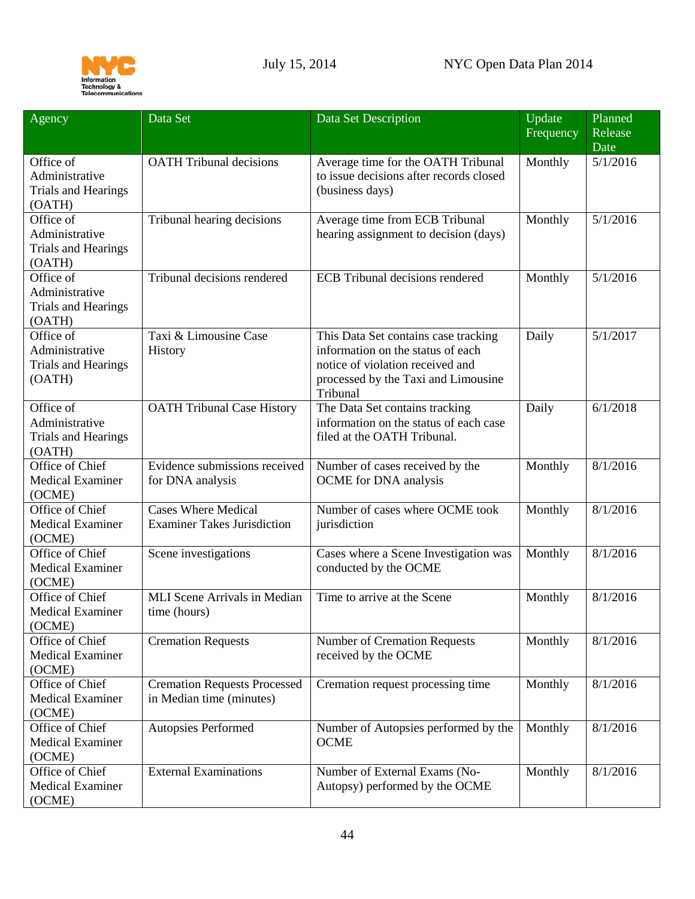

<span id="page-43-0"></span>

| Agency                           | Data Set                            | Data Set Description                    | Update<br>Frequency | Planned<br>Release |
|----------------------------------|-------------------------------------|-----------------------------------------|---------------------|--------------------|
|                                  |                                     |                                         |                     | Date               |
| Office of                        | <b>OATH Tribunal decisions</b>      | Average time for the OATH Tribunal      | Monthly             | 5/1/2016           |
| Administrative                   |                                     | to issue decisions after records closed |                     |                    |
| <b>Trials and Hearings</b>       |                                     | (business days)                         |                     |                    |
| (OATH)                           |                                     |                                         |                     |                    |
| Office of                        | Tribunal hearing decisions          | Average time from ECB Tribunal          | Monthly             | 5/1/2016           |
| Administrative                   |                                     | hearing assignment to decision (days)   |                     |                    |
| <b>Trials and Hearings</b>       |                                     |                                         |                     |                    |
| (OATH)<br>Office $\overline{of}$ | Tribunal decisions rendered         | <b>ECB</b> Tribunal decisions rendered  |                     |                    |
|                                  |                                     |                                         | Monthly             | 5/1/2016           |
| Administrative                   |                                     |                                         |                     |                    |
| <b>Trials and Hearings</b>       |                                     |                                         |                     |                    |
| (OATH)<br>Office of              | Taxi & Limousine Case               | This Data Set contains case tracking    | Daily               | 5/1/2017           |
| Administrative                   | History                             | information on the status of each       |                     |                    |
| <b>Trials and Hearings</b>       |                                     | notice of violation received and        |                     |                    |
| (OATH)                           |                                     | processed by the Taxi and Limousine     |                     |                    |
|                                  |                                     | Tribunal                                |                     |                    |
| Office of                        | <b>OATH Tribunal Case History</b>   | The Data Set contains tracking          | Daily               | 6/1/2018           |
| Administrative                   |                                     | information on the status of each case  |                     |                    |
| <b>Trials and Hearings</b>       |                                     | filed at the OATH Tribunal.             |                     |                    |
| (OATH)                           |                                     |                                         |                     |                    |
| Office of Chief                  | Evidence submissions received       | Number of cases received by the         | Monthly             | 8/1/2016           |
| <b>Medical Examiner</b>          | for DNA analysis                    | OCME for DNA analysis                   |                     |                    |
| (OCME)                           |                                     |                                         |                     |                    |
| Office of Chief                  | <b>Cases Where Medical</b>          | Number of cases where OCME took         | Monthly             | 8/1/2016           |
| <b>Medical Examiner</b>          | <b>Examiner Takes Jurisdiction</b>  | jurisdiction                            |                     |                    |
| (OCME)                           |                                     |                                         |                     |                    |
| Office of Chief                  | Scene investigations                | Cases where a Scene Investigation was   | Monthly             | 8/1/2016           |
| <b>Medical Examiner</b>          |                                     | conducted by the OCME                   |                     |                    |
| (OCME)                           |                                     |                                         |                     |                    |
| Office of Chief                  | <b>MLI</b> Scene Arrivals in Median | Time to arrive at the Scene             | Monthly             | 8/1/2016           |
| <b>Medical Examiner</b>          | time (hours)                        |                                         |                     |                    |
| (OCME)                           |                                     |                                         |                     |                    |
| Office of Chief                  | <b>Cremation Requests</b>           | <b>Number of Cremation Requests</b>     | Monthly             | 8/1/2016           |
| <b>Medical Examiner</b>          |                                     | received by the OCME                    |                     |                    |
| (OCME)                           |                                     |                                         |                     |                    |
| Office of Chief                  | <b>Cremation Requests Processed</b> | Cremation request processing time       | Monthly             | 8/1/2016           |
| <b>Medical Examiner</b>          | in Median time (minutes)            |                                         |                     |                    |
| (OCME)<br>Office of Chief        | Autopsies Performed                 | Number of Autopsies performed by the    | Monthly             | 8/1/2016           |
| <b>Medical Examiner</b>          |                                     | <b>OCME</b>                             |                     |                    |
| (OCME)                           |                                     |                                         |                     |                    |
| Office of Chief                  | <b>External Examinations</b>        | Number of External Exams (No-           | Monthly             | 8/1/2016           |
| <b>Medical Examiner</b>          |                                     | Autopsy) performed by the OCME          |                     |                    |
| (OCME)                           |                                     |                                         |                     |                    |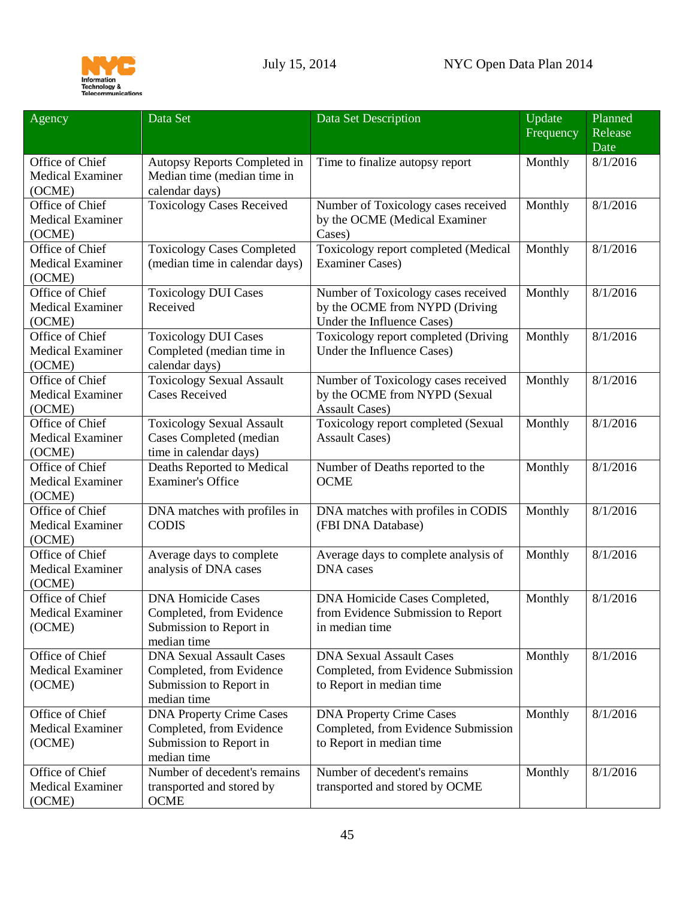

| Agency                                               | Data Set                                                                                              | Data Set Description                                                                                | Update<br>Frequency | Planned<br>Release |
|------------------------------------------------------|-------------------------------------------------------------------------------------------------------|-----------------------------------------------------------------------------------------------------|---------------------|--------------------|
|                                                      |                                                                                                       |                                                                                                     |                     | Date               |
| Office of Chief<br><b>Medical Examiner</b><br>(OCME) | Autopsy Reports Completed in<br>Median time (median time in<br>calendar days)                         | Time to finalize autopsy report                                                                     | Monthly             | 8/1/2016           |
| Office of Chief<br><b>Medical Examiner</b><br>(OCME) | <b>Toxicology Cases Received</b>                                                                      | Number of Toxicology cases received<br>by the OCME (Medical Examiner<br>Cases)                      | Monthly             | 8/1/2016           |
| Office of Chief<br><b>Medical Examiner</b><br>(OCME) | <b>Toxicology Cases Completed</b><br>(median time in calendar days)                                   | Toxicology report completed (Medical<br><b>Examiner Cases)</b>                                      | Monthly             | 8/1/2016           |
| Office of Chief<br><b>Medical Examiner</b><br>(OCME) | <b>Toxicology DUI Cases</b><br>Received                                                               | Number of Toxicology cases received<br>by the OCME from NYPD (Driving<br>Under the Influence Cases) | Monthly             | 8/1/2016           |
| Office of Chief<br><b>Medical Examiner</b><br>(OCME) | <b>Toxicology DUI Cases</b><br>Completed (median time in<br>calendar days)                            | Toxicology report completed (Driving<br>Under the Influence Cases)                                  | Monthly             | 8/1/2016           |
| Office of Chief<br><b>Medical Examiner</b><br>(OCME) | <b>Toxicology Sexual Assault</b><br><b>Cases Received</b>                                             | Number of Toxicology cases received<br>by the OCME from NYPD (Sexual<br><b>Assault Cases)</b>       | Monthly             | 8/1/2016           |
| Office of Chief<br><b>Medical Examiner</b><br>(OCME) | <b>Toxicology Sexual Assault</b><br><b>Cases Completed (median</b><br>time in calendar days)          | Toxicology report completed (Sexual<br><b>Assault Cases)</b>                                        | Monthly             | 8/1/2016           |
| Office of Chief<br><b>Medical Examiner</b><br>(OCME) | Deaths Reported to Medical<br><b>Examiner's Office</b>                                                | Number of Deaths reported to the<br><b>OCME</b>                                                     | Monthly             | 8/1/2016           |
| Office of Chief<br><b>Medical Examiner</b><br>(OCME) | DNA matches with profiles in<br><b>CODIS</b>                                                          | DNA matches with profiles in CODIS<br>(FBI DNA Database)                                            | Monthly             | 8/1/2016           |
| Office of Chief<br><b>Medical Examiner</b><br>(OCME) | Average days to complete<br>analysis of DNA cases                                                     | Average days to complete analysis of<br><b>DNA</b> cases                                            | Monthly             | 8/1/2016           |
| Office of Chief<br><b>Medical Examiner</b><br>(OCME) | <b>DNA Homicide Cases</b><br>Completed, from Evidence<br>Submission to Report in<br>median time       | DNA Homicide Cases Completed,<br>from Evidence Submission to Report<br>in median time               | Monthly             | 8/1/2016           |
| Office of Chief<br><b>Medical Examiner</b><br>(OCME) | <b>DNA Sexual Assault Cases</b><br>Completed, from Evidence<br>Submission to Report in<br>median time | <b>DNA Sexual Assault Cases</b><br>Completed, from Evidence Submission<br>to Report in median time  | Monthly             | 8/1/2016           |
| Office of Chief<br><b>Medical Examiner</b><br>(OCME) | <b>DNA Property Crime Cases</b><br>Completed, from Evidence<br>Submission to Report in<br>median time | <b>DNA Property Crime Cases</b><br>Completed, from Evidence Submission<br>to Report in median time  | Monthly             | 8/1/2016           |
| Office of Chief<br><b>Medical Examiner</b><br>(OCME) | Number of decedent's remains<br>transported and stored by<br><b>OCME</b>                              | Number of decedent's remains<br>transported and stored by OCME                                      | Monthly             | 8/1/2016           |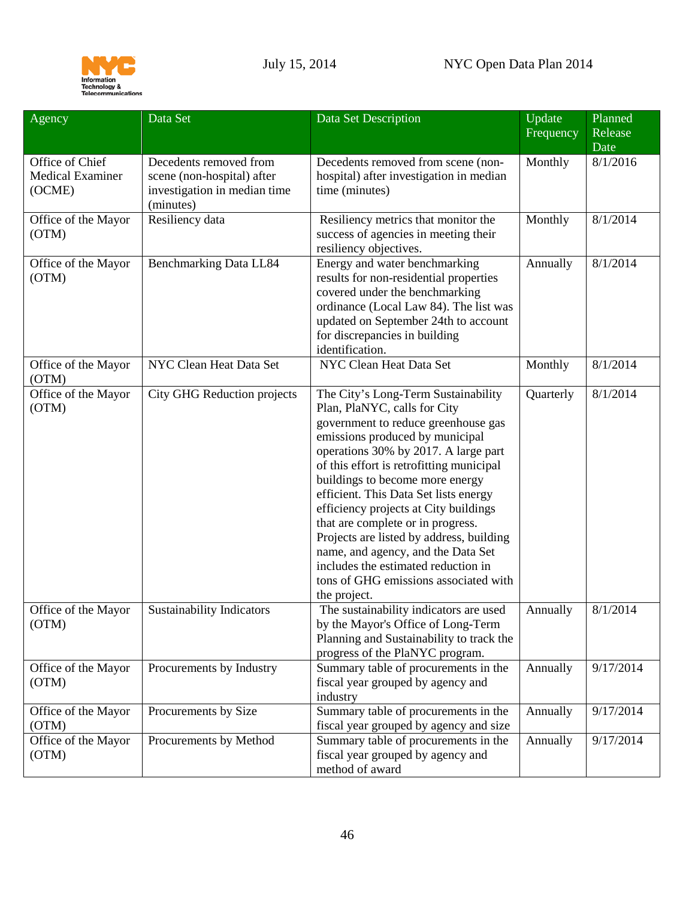

<span id="page-45-0"></span>

| Agency                                               | Data Set                                                                                          | Data Set Description                                                                                                                                                                                                                                                                                                                                                                                                                                                                                                                                                          | Update<br>Frequency | Planned<br>Release<br>Date |
|------------------------------------------------------|---------------------------------------------------------------------------------------------------|-------------------------------------------------------------------------------------------------------------------------------------------------------------------------------------------------------------------------------------------------------------------------------------------------------------------------------------------------------------------------------------------------------------------------------------------------------------------------------------------------------------------------------------------------------------------------------|---------------------|----------------------------|
| Office of Chief<br><b>Medical Examiner</b><br>(OCME) | Decedents removed from<br>scene (non-hospital) after<br>investigation in median time<br>(minutes) | Decedents removed from scene (non-<br>hospital) after investigation in median<br>time (minutes)                                                                                                                                                                                                                                                                                                                                                                                                                                                                               | Monthly             | 8/1/2016                   |
| Office of the Mayor<br>(OTM)                         | Resiliency data                                                                                   | Resiliency metrics that monitor the<br>success of agencies in meeting their<br>resiliency objectives.                                                                                                                                                                                                                                                                                                                                                                                                                                                                         | Monthly             | 8/1/2014                   |
| Office of the Mayor<br>(OTM)                         | Benchmarking Data LL84                                                                            | Energy and water benchmarking<br>results for non-residential properties<br>covered under the benchmarking<br>ordinance (Local Law 84). The list was<br>updated on September 24th to account<br>for discrepancies in building<br>identification.                                                                                                                                                                                                                                                                                                                               | Annually            | 8/1/2014                   |
| Office of the Mayor<br>(OTM)                         | NYC Clean Heat Data Set                                                                           | NYC Clean Heat Data Set                                                                                                                                                                                                                                                                                                                                                                                                                                                                                                                                                       | Monthly             | 8/1/2014                   |
| Office of the Mayor<br>(OTM)                         | <b>City GHG Reduction projects</b>                                                                | The City's Long-Term Sustainability<br>Plan, PlaNYC, calls for City<br>government to reduce greenhouse gas<br>emissions produced by municipal<br>operations 30% by 2017. A large part<br>of this effort is retrofitting municipal<br>buildings to become more energy<br>efficient. This Data Set lists energy<br>efficiency projects at City buildings<br>that are complete or in progress.<br>Projects are listed by address, building<br>name, and agency, and the Data Set<br>includes the estimated reduction in<br>tons of GHG emissions associated with<br>the project. | Quarterly           | 8/1/2014                   |
| Office of the Mayor<br>(OTM)                         | <b>Sustainability Indicators</b>                                                                  | The sustainability indicators are used<br>by the Mayor's Office of Long-Term<br>Planning and Sustainability to track the<br>progress of the PlaNYC program.                                                                                                                                                                                                                                                                                                                                                                                                                   | Annually            | 8/1/2014                   |
| Office of the Mayor<br>(OTM)                         | Procurements by Industry                                                                          | Summary table of procurements in the<br>fiscal year grouped by agency and<br>industry                                                                                                                                                                                                                                                                                                                                                                                                                                                                                         | Annually            | 9/17/2014                  |
| Office of the Mayor<br>(OTM)                         | Procurements by Size                                                                              | Summary table of procurements in the<br>fiscal year grouped by agency and size                                                                                                                                                                                                                                                                                                                                                                                                                                                                                                | Annually            | 9/17/2014                  |
| Office of the Mayor<br>(OTM)                         | Procurements by Method                                                                            | Summary table of procurements in the<br>fiscal year grouped by agency and<br>method of award                                                                                                                                                                                                                                                                                                                                                                                                                                                                                  | Annually            | 9/17/2014                  |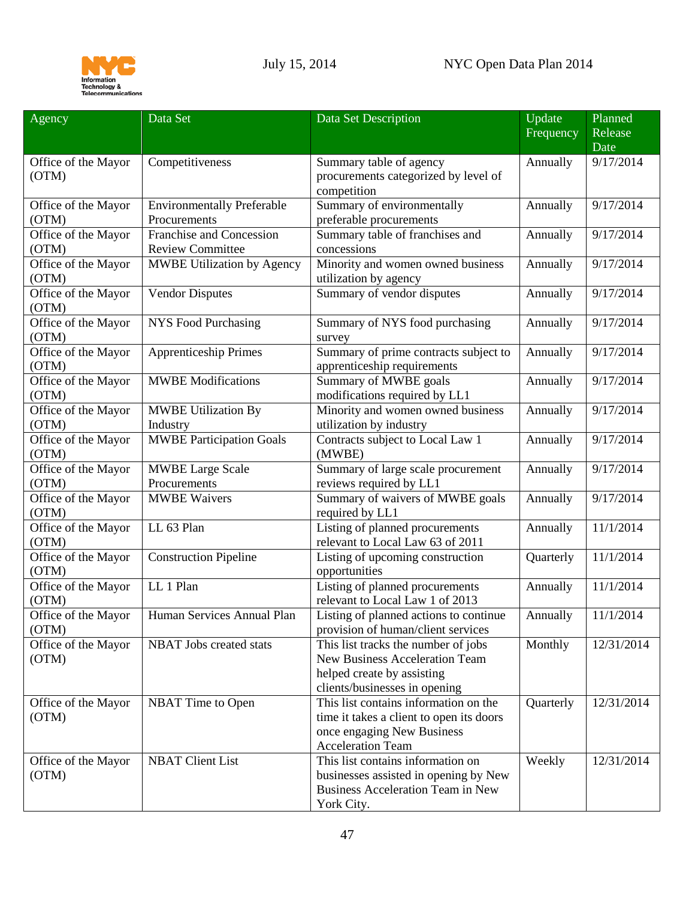

| Agency                       | Data Set                          | Data Set Description                                | Update    | Planned    |
|------------------------------|-----------------------------------|-----------------------------------------------------|-----------|------------|
|                              |                                   |                                                     | Frequency | Release    |
|                              |                                   |                                                     |           | Date       |
| Office of the Mayor          | Competitiveness                   | Summary table of agency                             | Annually  | 9/17/2014  |
| (OTM)                        |                                   | procurements categorized by level of                |           |            |
|                              |                                   | competition                                         |           |            |
| Office of the Mayor          | <b>Environmentally Preferable</b> | Summary of environmentally                          | Annually  | 9/17/2014  |
| (OTM)                        | Procurements                      | preferable procurements                             |           |            |
| Office of the Mayor          | Franchise and Concession          | Summary table of franchises and                     | Annually  | 9/17/2014  |
| (OTM)                        | <b>Review Committee</b>           | concessions                                         |           |            |
| Office of the Mayor          | <b>MWBE Utilization by Agency</b> | Minority and women owned business                   | Annually  | 9/17/2014  |
| (OTM)                        |                                   | utilization by agency                               |           |            |
| Office of the Mayor          | <b>Vendor Disputes</b>            | Summary of vendor disputes                          | Annually  | 9/17/2014  |
| (OTM)                        |                                   |                                                     |           |            |
| Office of the Mayor          | <b>NYS Food Purchasing</b>        | Summary of NYS food purchasing                      | Annually  | 9/17/2014  |
| (OTM)                        |                                   | survey                                              |           |            |
| Office of the Mayor          | <b>Apprenticeship Primes</b>      | Summary of prime contracts subject to               | Annually  | 9/17/2014  |
| (OTM)                        |                                   | apprenticeship requirements                         |           |            |
| Office of the Mayor          | <b>MWBE</b> Modifications         | Summary of MWBE goals                               | Annually  | 9/17/2014  |
| (OTM)                        |                                   | modifications required by LL1                       |           |            |
| Office of the Mayor          | <b>MWBE Utilization By</b>        | Minority and women owned business                   | Annually  | 9/17/2014  |
| (OTM)                        | Industry                          | utilization by industry                             |           |            |
| Office of the Mayor          | <b>MWBE Participation Goals</b>   | Contracts subject to Local Law 1                    | Annually  | 9/17/2014  |
| (OTM)                        |                                   | (MWBE)                                              |           |            |
| Office of the Mayor          | <b>MWBE Large Scale</b>           | Summary of large scale procurement                  | Annually  | 9/17/2014  |
| (OTM)                        | Procurements                      | reviews required by LL1                             |           |            |
| Office of the Mayor<br>(OTM) | <b>MWBE Waivers</b>               | Summary of waivers of MWBE goals<br>required by LL1 | Annually  | 9/17/2014  |
| Office of the Mayor          | LL 63 Plan                        | Listing of planned procurements                     | Annually  | 11/1/2014  |
| (OTM)                        |                                   | relevant to Local Law 63 of 2011                    |           |            |
| Office of the Mayor          | <b>Construction Pipeline</b>      | Listing of upcoming construction                    | Quarterly | 11/1/2014  |
| (OTM)                        |                                   | opportunities                                       |           |            |
| Office of the Mayor          | LL 1 Plan                         | Listing of planned procurements                     | Annually  | 11/1/2014  |
| (OTM)                        |                                   | relevant to Local Law 1 of 2013                     |           |            |
| Office of the Mayor          | Human Services Annual Plan        | Listing of planned actions to continue              | Annually  | 11/1/2014  |
| (OTM)                        |                                   | provision of human/client services                  |           |            |
| Office of the Mayor          | <b>NBAT</b> Jobs created stats    | This list tracks the number of jobs                 | Monthly   | 12/31/2014 |
| (OTM)                        |                                   | <b>New Business Acceleration Team</b>               |           |            |
|                              |                                   | helped create by assisting                          |           |            |
|                              |                                   | clients/businesses in opening                       |           |            |
| Office of the Mayor          | NBAT Time to Open                 | This list contains information on the               | Quarterly | 12/31/2014 |
| (OTM)                        |                                   | time it takes a client to open its doors            |           |            |
|                              |                                   | once engaging New Business                          |           |            |
|                              |                                   | <b>Acceleration Team</b>                            |           |            |
| Office of the Mayor          | <b>NBAT Client List</b>           | This list contains information on                   | Weekly    | 12/31/2014 |
| (OTM)                        |                                   | businesses assisted in opening by New               |           |            |
|                              |                                   | Business Acceleration Team in New                   |           |            |
|                              |                                   | York City.                                          |           |            |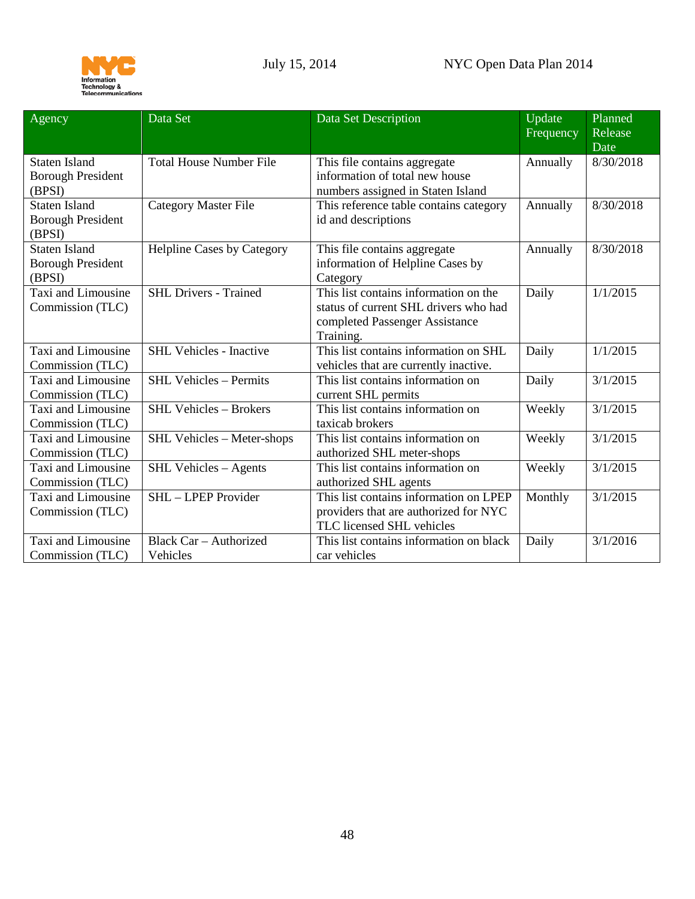

<span id="page-47-1"></span><span id="page-47-0"></span>

| Agency                                                     | Data Set                                  | Data Set Description                                                                                                          | Update<br>Frequency | Planned<br>Release<br>Date |
|------------------------------------------------------------|-------------------------------------------|-------------------------------------------------------------------------------------------------------------------------------|---------------------|----------------------------|
| <b>Staten Island</b><br><b>Borough President</b><br>(BPSI) | <b>Total House Number File</b>            | This file contains aggregate<br>information of total new house<br>numbers assigned in Staten Island                           | Annually            | 8/30/2018                  |
| <b>Staten Island</b><br><b>Borough President</b><br>(BPSI) | <b>Category Master File</b>               | This reference table contains category<br>id and descriptions                                                                 | Annually            | 8/30/2018                  |
| <b>Staten Island</b><br><b>Borough President</b><br>(BPSI) | <b>Helpline Cases by Category</b>         | This file contains aggregate<br>information of Helpline Cases by<br>Category                                                  | Annually            | 8/30/2018                  |
| Taxi and Limousine<br>Commission (TLC)                     | <b>SHL Drivers - Trained</b>              | This list contains information on the<br>status of current SHL drivers who had<br>completed Passenger Assistance<br>Training. | Daily               | 1/1/2015                   |
| Taxi and Limousine<br>Commission (TLC)                     | <b>SHL Vehicles - Inactive</b>            | This list contains information on SHL<br>vehicles that are currently inactive.                                                | Daily               | 1/1/2015                   |
| Taxi and Limousine<br>Commission (TLC)                     | <b>SHL Vehicles - Permits</b>             | This list contains information on<br>current SHL permits                                                                      | Daily               | 3/1/2015                   |
| Taxi and Limousine<br>Commission (TLC)                     | <b>SHL Vehicles - Brokers</b>             | This list contains information on<br>taxicab brokers                                                                          | Weekly              | 3/1/2015                   |
| Taxi and Limousine<br>Commission (TLC)                     | SHL Vehicles - Meter-shops                | This list contains information on<br>authorized SHL meter-shops                                                               | Weekly              | 3/1/2015                   |
| Taxi and Limousine<br>Commission (TLC)                     | SHL Vehicles - Agents                     | This list contains information on<br>authorized SHL agents                                                                    | Weekly              | 3/1/2015                   |
| Taxi and Limousine<br>Commission (TLC)                     | SHL - LPEP Provider                       | This list contains information on LPEP<br>providers that are authorized for NYC<br>TLC licensed SHL vehicles                  | Monthly             | 3/1/2015                   |
| Taxi and Limousine<br>Commission (TLC)                     | <b>Black Car - Authorized</b><br>Vehicles | This list contains information on black<br>car vehicles                                                                       | Daily               | 3/1/2016                   |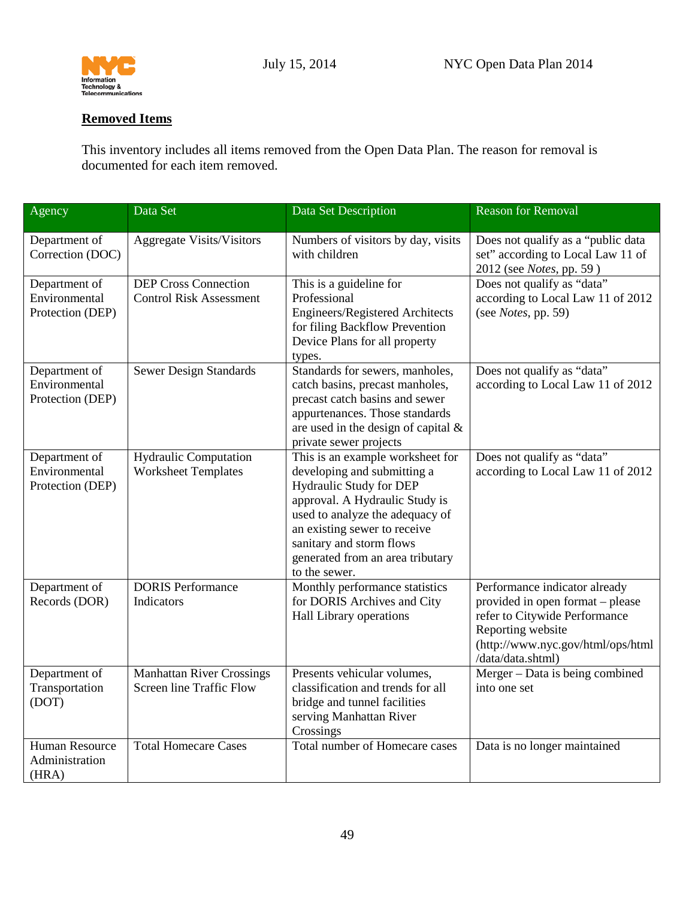

## <span id="page-48-0"></span>**Removed Items**

This inventory includes all items removed from the Open Data Plan. The reason for removal is documented for each item removed.

| Agency                                             | Data Set                                                            | Data Set Description                                                                                                                                                                                                                                                             | <b>Reason for Removal</b>                                                                                                                                                         |
|----------------------------------------------------|---------------------------------------------------------------------|----------------------------------------------------------------------------------------------------------------------------------------------------------------------------------------------------------------------------------------------------------------------------------|-----------------------------------------------------------------------------------------------------------------------------------------------------------------------------------|
| Department of<br>Correction (DOC)                  | <b>Aggregate Visits/Visitors</b>                                    | Numbers of visitors by day, visits<br>with children                                                                                                                                                                                                                              | Does not qualify as a "public data<br>set" according to Local Law 11 of<br>2012 (see Notes, pp. 59)                                                                               |
| Department of<br>Environmental<br>Protection (DEP) | <b>DEP Cross Connection</b><br><b>Control Risk Assessment</b>       | This is a guideline for<br>Professional<br>Engineers/Registered Architects<br>for filing Backflow Prevention<br>Device Plans for all property<br>types.                                                                                                                          | Does not qualify as "data"<br>according to Local Law 11 of 2012<br>(see <i>Notes</i> , pp. 59)                                                                                    |
| Department of<br>Environmental<br>Protection (DEP) | <b>Sewer Design Standards</b>                                       | Standards for sewers, manholes,<br>catch basins, precast manholes,<br>precast catch basins and sewer<br>appurtenances. Those standards<br>are used in the design of capital $\&$<br>private sewer projects                                                                       | Does not qualify as "data"<br>according to Local Law 11 of 2012                                                                                                                   |
| Department of<br>Environmental<br>Protection (DEP) | <b>Hydraulic Computation</b><br><b>Worksheet Templates</b>          | This is an example worksheet for<br>developing and submitting a<br>Hydraulic Study for DEP<br>approval. A Hydraulic Study is<br>used to analyze the adequacy of<br>an existing sewer to receive<br>sanitary and storm flows<br>generated from an area tributary<br>to the sewer. | Does not qualify as "data"<br>according to Local Law 11 of 2012                                                                                                                   |
| Department of<br>Records (DOR)                     | <b>DORIS Performance</b><br>Indicators                              | Monthly performance statistics<br>for DORIS Archives and City<br>Hall Library operations                                                                                                                                                                                         | Performance indicator already<br>provided in open format – please<br>refer to Citywide Performance<br>Reporting website<br>(http://www.nyc.gov/html/ops/html<br>/data/data.shtml) |
| Department of<br>Transportation<br>(DOT)           | <b>Manhattan River Crossings</b><br><b>Screen line Traffic Flow</b> | Presents vehicular volumes,<br>classification and trends for all<br>bridge and tunnel facilities<br>serving Manhattan River<br>Crossings                                                                                                                                         | Merger - Data is being combined<br>into one set                                                                                                                                   |
| <b>Human Resource</b><br>Administration<br>(HRA)   | <b>Total Homecare Cases</b>                                         | <b>Total number of Homecare cases</b>                                                                                                                                                                                                                                            | Data is no longer maintained                                                                                                                                                      |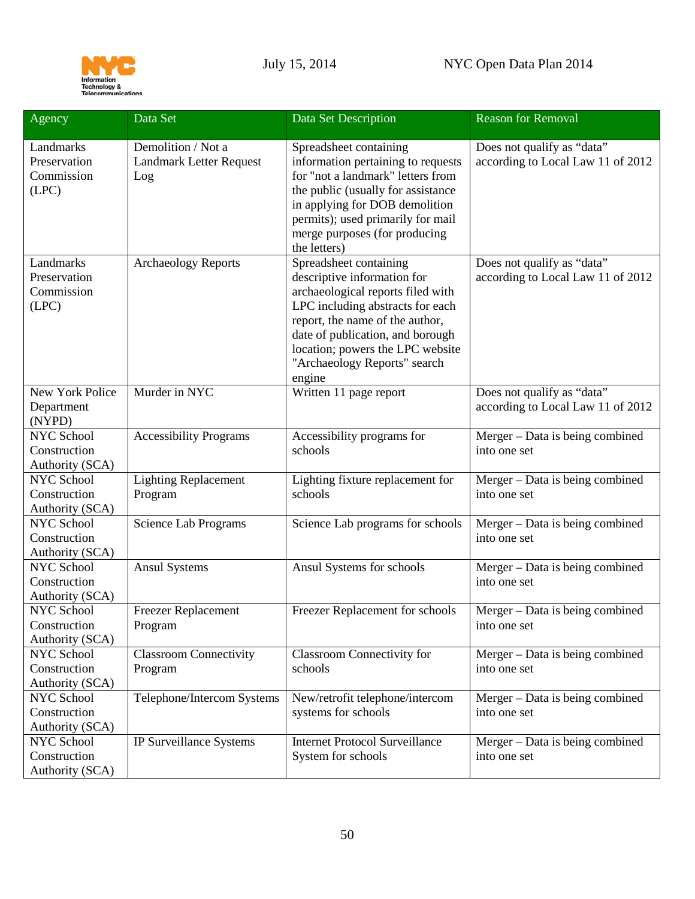

| Agency                                               | Data Set                                                    | Data Set Description                                                                                                                                                                                                                                                                | <b>Reason for Removal</b>                                       |
|------------------------------------------------------|-------------------------------------------------------------|-------------------------------------------------------------------------------------------------------------------------------------------------------------------------------------------------------------------------------------------------------------------------------------|-----------------------------------------------------------------|
| Landmarks<br>Preservation<br>Commission<br>(LPC)     | Demolition / Not a<br><b>Landmark Letter Request</b><br>Log | Spreadsheet containing<br>information pertaining to requests<br>for "not a landmark" letters from<br>the public (usually for assistance<br>in applying for DOB demolition<br>permits); used primarily for mail<br>merge purposes (for producing<br>the letters)                     | Does not qualify as "data"<br>according to Local Law 11 of 2012 |
| Landmarks<br>Preservation<br>Commission<br>(LPC)     | <b>Archaeology Reports</b>                                  | Spreadsheet containing<br>descriptive information for<br>archaeological reports filed with<br>LPC including abstracts for each<br>report, the name of the author,<br>date of publication, and borough<br>location; powers the LPC website<br>"Archaeology Reports" search<br>engine | Does not qualify as "data"<br>according to Local Law 11 of 2012 |
| New York Police<br>Department<br>(NYPD)              | Murder in NYC                                               | Written 11 page report                                                                                                                                                                                                                                                              | Does not qualify as "data"<br>according to Local Law 11 of 2012 |
| <b>NYC School</b><br>Construction<br>Authority (SCA) | <b>Accessibility Programs</b>                               | Accessibility programs for<br>schools                                                                                                                                                                                                                                               | Merger - Data is being combined<br>into one set                 |
| NYC School<br>Construction<br>Authority (SCA)        | <b>Lighting Replacement</b><br>Program                      | Lighting fixture replacement for<br>schools                                                                                                                                                                                                                                         | Merger – Data is being combined<br>into one set                 |
| <b>NYC School</b><br>Construction<br>Authority (SCA) | <b>Science Lab Programs</b>                                 | Science Lab programs for schools                                                                                                                                                                                                                                                    | Merger - Data is being combined<br>into one set                 |
| NYC School<br>Construction<br>Authority (SCA)        | <b>Ansul Systems</b>                                        | Ansul Systems for schools                                                                                                                                                                                                                                                           | Merger - Data is being combined<br>into one set                 |
| NYC School<br>Construction<br>Authority (SCA)        | <b>Freezer Replacement</b><br>Program                       | Freezer Replacement for schools                                                                                                                                                                                                                                                     | Merger – Data is being combined<br>into one set                 |
| <b>NYC School</b><br>Construction<br>Authority (SCA) | <b>Classroom Connectivity</b><br>Program                    | Classroom Connectivity for<br>schools                                                                                                                                                                                                                                               | Merger - Data is being combined<br>into one set                 |
| NYC School<br>Construction<br>Authority (SCA)        | Telephone/Intercom Systems                                  | New/retrofit telephone/intercom<br>systems for schools                                                                                                                                                                                                                              | Merger - Data is being combined<br>into one set                 |
| NYC School<br>Construction<br>Authority (SCA)        | IP Surveillance Systems                                     | <b>Internet Protocol Surveillance</b><br>System for schools                                                                                                                                                                                                                         | Merger - Data is being combined<br>into one set                 |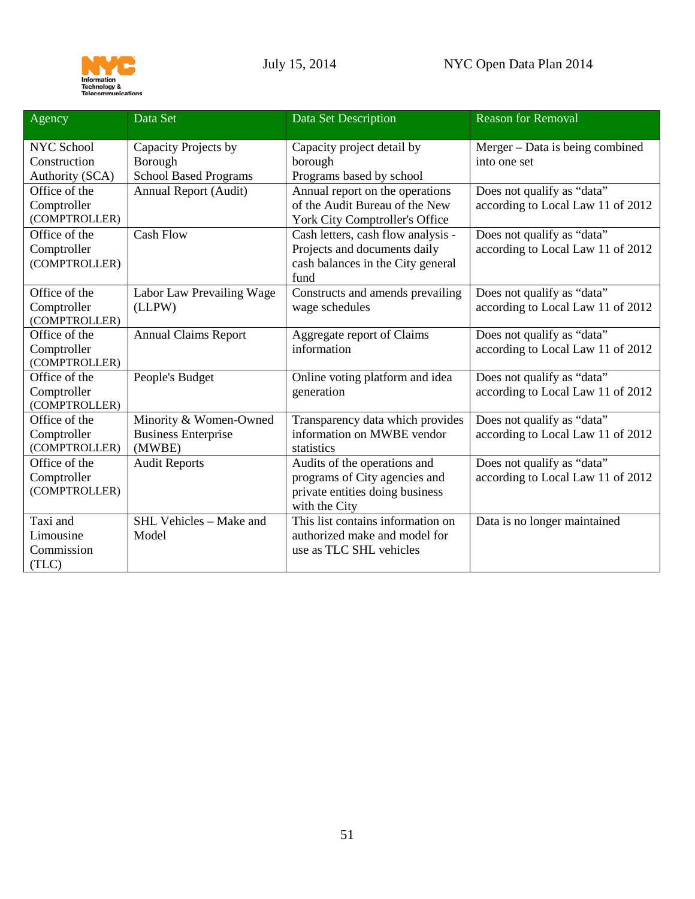

| Agency                                               | Data Set                                                        | Data Set Description                                                                                              | <b>Reason for Removal</b>                                       |
|------------------------------------------------------|-----------------------------------------------------------------|-------------------------------------------------------------------------------------------------------------------|-----------------------------------------------------------------|
| <b>NYC School</b><br>Construction<br>Authority (SCA) | Capacity Projects by<br>Borough<br><b>School Based Programs</b> | Capacity project detail by<br>borough<br>Programs based by school                                                 | Merger – Data is being combined<br>into one set                 |
| Office of the<br>Comptroller<br>(COMPTROLLER)        | Annual Report (Audit)                                           | Annual report on the operations<br>of the Audit Bureau of the New<br>York City Comptroller's Office               | Does not qualify as "data"<br>according to Local Law 11 of 2012 |
| Office of the<br>Comptroller<br>(COMPTROLLER)        | <b>Cash Flow</b>                                                | Cash letters, cash flow analysis -<br>Projects and documents daily<br>cash balances in the City general<br>fund   | Does not qualify as "data"<br>according to Local Law 11 of 2012 |
| Office of the<br>Comptroller<br>(COMPTROLLER)        | Labor Law Prevailing Wage<br>(LLPW)                             | Constructs and amends prevailing<br>wage schedules                                                                | Does not qualify as "data"<br>according to Local Law 11 of 2012 |
| Office of the<br>Comptroller<br>(COMPTROLLER)        | <b>Annual Claims Report</b>                                     | Aggregate report of Claims<br>information                                                                         | Does not qualify as "data"<br>according to Local Law 11 of 2012 |
| Office of the<br>Comptroller<br>(COMPTROLLER)        | People's Budget                                                 | Online voting platform and idea<br>generation                                                                     | Does not qualify as "data"<br>according to Local Law 11 of 2012 |
| Office of the<br>Comptroller<br>(COMPTROLLER)        | Minority & Women-Owned<br><b>Business Enterprise</b><br>(MWBE)  | Transparency data which provides<br>information on MWBE vendor<br>statistics                                      | Does not qualify as "data"<br>according to Local Law 11 of 2012 |
| Office of the<br>Comptroller<br>(COMPTROLLER)        | <b>Audit Reports</b>                                            | Audits of the operations and<br>programs of City agencies and<br>private entities doing business<br>with the City | Does not qualify as "data"<br>according to Local Law 11 of 2012 |
| Taxi and<br>Limousine<br>Commission<br>(TLC)         | SHL Vehicles - Make and<br>Model                                | This list contains information on<br>authorized make and model for<br>use as TLC SHL vehicles                     | Data is no longer maintained                                    |